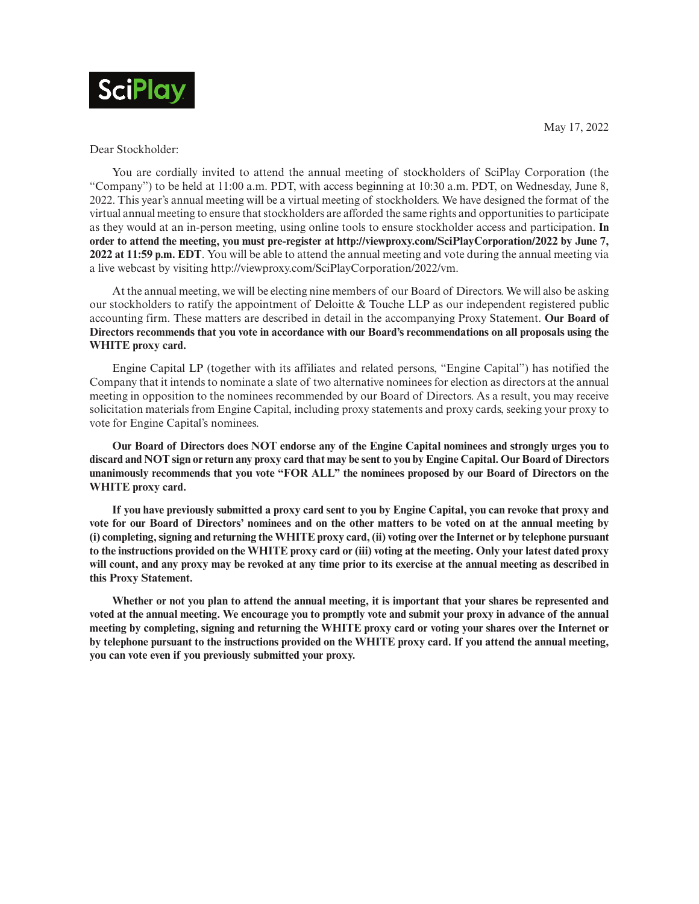

May 17, 2022

Dear Stockholder:

You are cordially invited to attend the annual meeting of stockholders of SciPlay Corporation (the "Company") to be held at 11:00 a.m. PDT, with access beginning at 10:30 a.m. PDT, on Wednesday, June 8, 2022. This year's annual meeting will be a virtual meeting of stockholders. We have designed the format of the virtual annual meeting to ensure that stockholders are afforded the same rights and opportunities to participate as they would at an in-person meeting, using online tools to ensure stockholder access and participation. **In order to attend the meeting, you must pre-register at http://viewproxy.com/SciPlayCorporation/2022 by June 7, 2022 at 11:59 p.m. EDT**. You will be able to attend the annual meeting and vote during the annual meeting via a live webcast by visiting http://viewproxy.com/SciPlayCorporation/2022/vm.

At the annual meeting, we will be electing nine members of our Board of Directors. We will also be asking our stockholders to ratify the appointment of Deloitte & Touche LLP as our independent registered public accounting firm. These matters are described in detail in the accompanying Proxy Statement. **Our Board of Directors recommends that you vote in accordance with our Board's recommendations on all proposals using the WHITE proxy card.**

Engine Capital LP (together with its affiliates and related persons, "Engine Capital") has notified the Company that it intends to nominate a slate of two alternative nominees for election as directors at the annual meeting in opposition to the nominees recommended by our Board of Directors. As a result, you may receive solicitation materials from Engine Capital, including proxy statements and proxy cards, seeking your proxy to vote for Engine Capital's nominees.

**Our Board of Directors does NOT endorse any of the Engine Capital nominees and strongly urges you to discard and NOT sign or return any proxy card that may be sent to you by Engine Capital. Our Board of Directors unanimously recommends that you vote "FOR ALL" the nominees proposed by our Board of Directors on the WHITE proxy card.**

**If you have previously submitted a proxy card sent to you by Engine Capital, you can revoke that proxy and vote for our Board of Directors' nominees and on the other matters to be voted on at the annual meeting by (i) completing, signing and returning the WHITE proxy card, (ii) voting over the Internet or by telephone pursuant to the instructions provided on the WHITE proxy card or (iii) voting at the meeting. Only your latest dated proxy will count, and any proxy may be revoked at any time prior to its exercise at the annual meeting as described in this Proxy Statement.**

**Whether or not you plan to attend the annual meeting, it is important that your shares be represented and voted at the annual meeting. We encourage you to promptly vote and submit your proxy in advance of the annual meeting by completing, signing and returning the WHITE proxy card or voting your shares over the Internet or by telephone pursuant to the instructions provided on the WHITE proxy card. If you attend the annual meeting, you can vote even if you previously submitted your proxy.**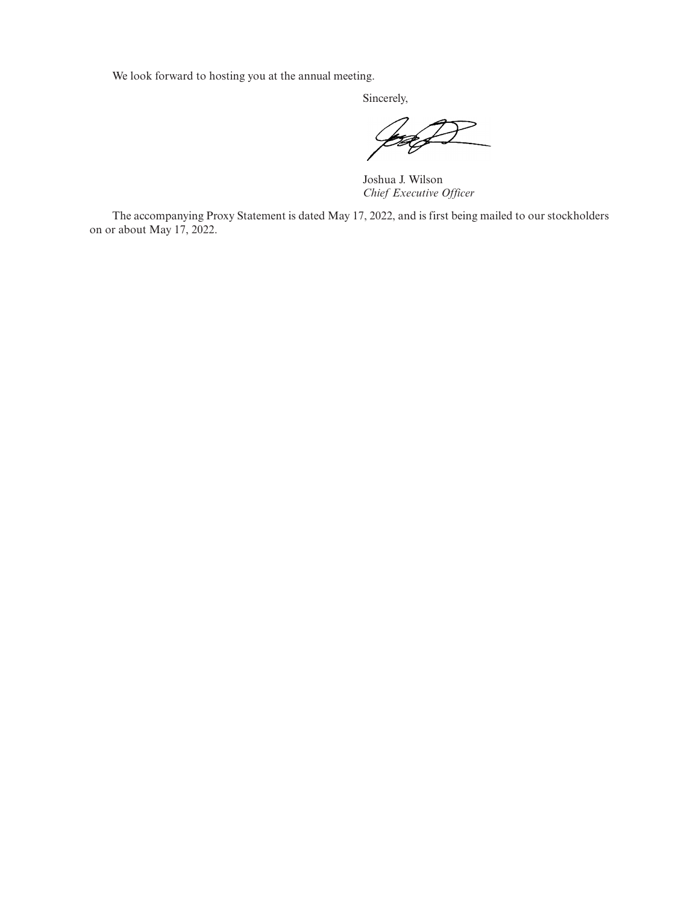We look forward to hosting you at the annual meeting.

Sincerely,

Joshua J. Wilson *Chief Executive Officer*

The accompanying Proxy Statement is dated May 17, 2022, and is first being mailed to our stockholders on or about May 17, 2022.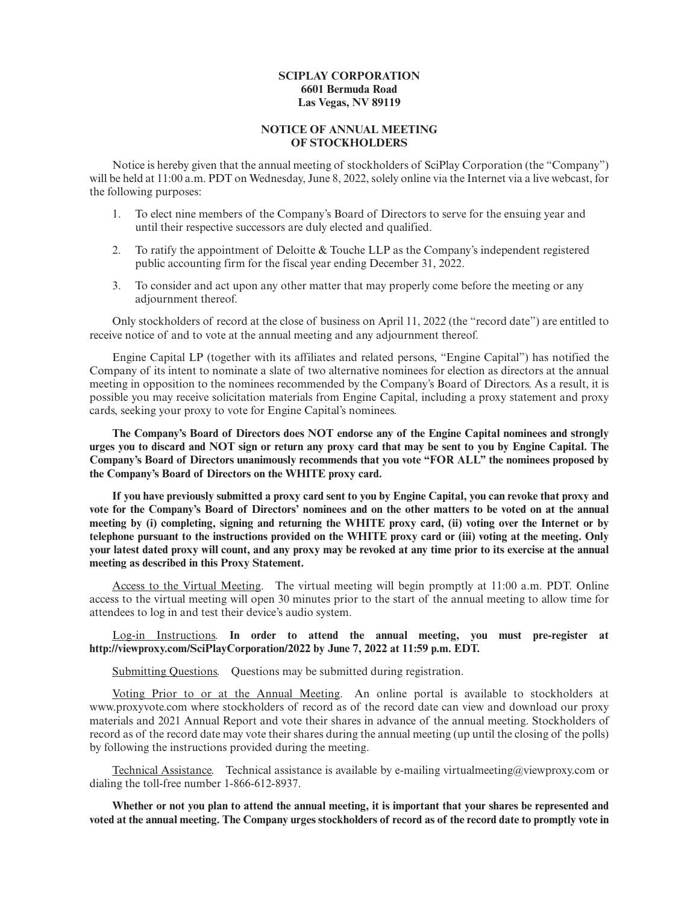## **SCIPLAY CORPORATION 6601 Bermuda Road Las Vegas, NV 89119**

## **NOTICE OF ANNUAL MEETING OF STOCKHOLDERS**

Notice is hereby given that the annual meeting of stockholders of SciPlay Corporation (the "Company") will be held at 11:00 a.m. PDT on Wednesday, June 8, 2022, solely online via the Internet via a live webcast, for the following purposes:

- 1. To elect nine members of the Company's Board of Directors to serve for the ensuing year and until their respective successors are duly elected and qualified.
- 2. To ratify the appointment of Deloitte & Touche LLP as the Company's independent registered public accounting firm for the fiscal year ending December 31, 2022.
- 3. To consider and act upon any other matter that may properly come before the meeting or any adjournment thereof.

Only stockholders of record at the close of business on April 11, 2022 (the "record date") are entitled to receive notice of and to vote at the annual meeting and any adjournment thereof.

Engine Capital LP (together with its affiliates and related persons, "Engine Capital") has notified the Company of its intent to nominate a slate of two alternative nominees for election as directors at the annual meeting in opposition to the nominees recommended by the Company's Board of Directors. As a result, it is possible you may receive solicitation materials from Engine Capital, including a proxy statement and proxy cards, seeking your proxy to vote for Engine Capital's nominees.

**The Company's Board of Directors does NOT endorse any of the Engine Capital nominees and strongly urges you to discard and NOT sign or return any proxy card that may be sent to you by Engine Capital. The Company's Board of Directors unanimously recommends that you vote "FOR ALL" the nominees proposed by the Company's Board of Directors on the WHITE proxy card.**

**If you have previously submitted a proxy card sent to you by Engine Capital, you can revoke that proxy and vote for the Company's Board of Directors' nominees and on the other matters to be voted on at the annual meeting by (i) completing, signing and returning the WHITE proxy card, (ii) voting over the Internet or by telephone pursuant to the instructions provided on the WHITE proxy card or (iii) voting at the meeting. Only your latest dated proxy will count, and any proxy may be revoked at any time prior to its exercise at the annual meeting as described in this Proxy Statement.**

Access to the Virtual Meeting. The virtual meeting will begin promptly at 11:00 a.m. PDT. Online access to the virtual meeting will open 30 minutes prior to the start of the annual meeting to allow time for attendees to log in and test their device's audio system.

## Log-in Instructions. **In order to attend the annual meeting, you must pre-register at http://viewproxy.com/SciPlayCorporation/2022 by June 7, 2022 at 11:59 p.m. EDT.**

Submitting Questions. Questions may be submitted during registration.

Voting Prior to or at the Annual Meeting. An online portal is available to stockholders at www.proxyvote.com where stockholders of record as of the record date can view and download our proxy materials and 2021 Annual Report and vote their shares in advance of the annual meeting. Stockholders of record as of the record date may vote their shares during the annual meeting (up until the closing of the polls) by following the instructions provided during the meeting.

Technical Assistance. Technical assistance is available by e-mailing virtualmeeting@viewproxy.com or dialing the toll-free number 1-866-612-8937.

**Whether or not you plan to attend the annual meeting, it is important that your shares be represented and voted at the annual meeting. The Company urges stockholders of record as of the record date to promptly vote in**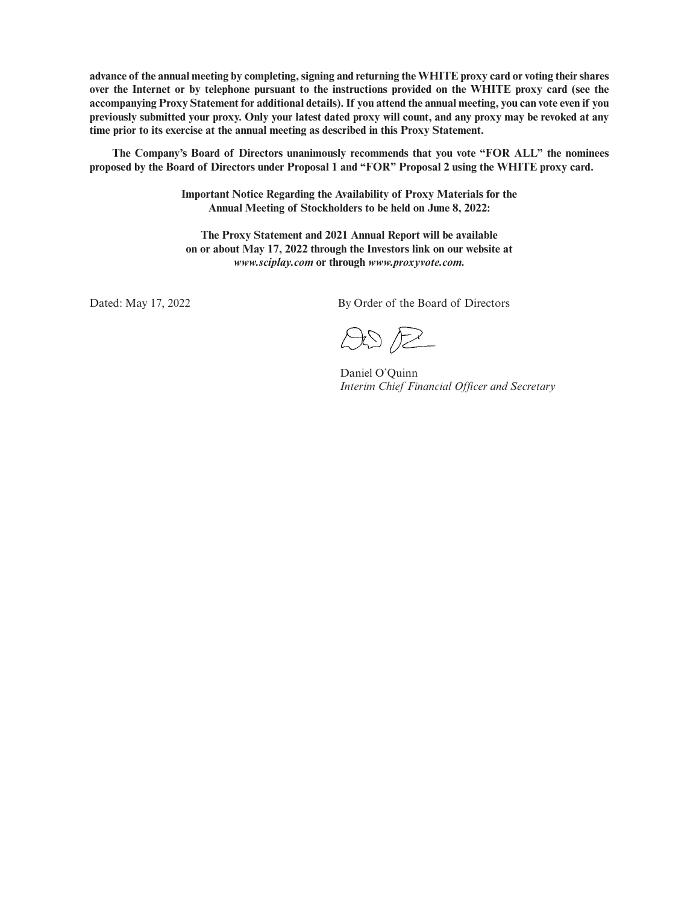**advance of the annual meeting by completing, signing and returning the WHITE proxy card or voting their shares over the Internet or by telephone pursuant to the instructions provided on the WHITE proxy card (see the accompanying Proxy Statement for additional details). If you attend the annual meeting, you can vote even if you previously submitted your proxy. Only your latest dated proxy will count, and any proxy may be revoked at any time prior to its exercise at the annual meeting as described in this Proxy Statement.**

**The Company's Board of Directors unanimously recommends that you vote "FOR ALL" the nominees proposed by the Board of Directors under Proposal 1 and "FOR" Proposal 2 using the WHITE proxy card.**

> **Important Notice Regarding the Availability of Proxy Materials for the Annual Meeting of Stockholders to be held on June 8, 2022:**

**The Proxy Statement and 2021 Annual Report will be available on or about May 17, 2022 through the Investors link on our website at** *www.sciplay.com* **or through** *www.proxyvote.com.*

Dated: May 17, 2022 By Order of the Board of Directors

 $ADP$ 

Daniel O'Quinn *Interim Chief Financial Officer and Secretary*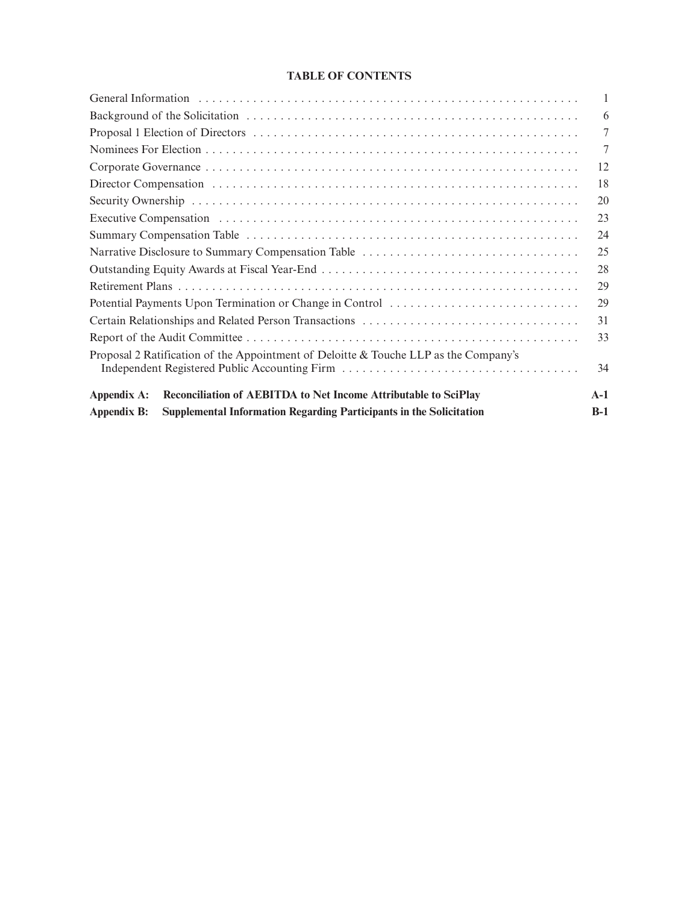# **TABLE OF CONTENTS**

|                                                                                                                                       | 1     |
|---------------------------------------------------------------------------------------------------------------------------------------|-------|
|                                                                                                                                       | 6     |
|                                                                                                                                       | 7     |
|                                                                                                                                       | 7     |
|                                                                                                                                       | 12    |
|                                                                                                                                       | 18    |
|                                                                                                                                       | 20    |
|                                                                                                                                       | 23    |
|                                                                                                                                       | 24    |
|                                                                                                                                       | 25    |
|                                                                                                                                       | 28    |
|                                                                                                                                       | 29    |
|                                                                                                                                       | 29    |
| Certain Relationships and Related Person Transactions                                                                                 | 31    |
|                                                                                                                                       | 33    |
| Proposal 2 Ratification of the Appointment of Deloitte & Touche LLP as the Company's<br>Independent Registered Public Accounting Firm | 34    |
| Reconciliation of AEBITDA to Net Income Attributable to SciPlay<br>Appendix A:                                                        | $A-1$ |
| Supplemental Information Regarding Participants in the Solicitation<br><b>Appendix B:</b>                                             | $B-1$ |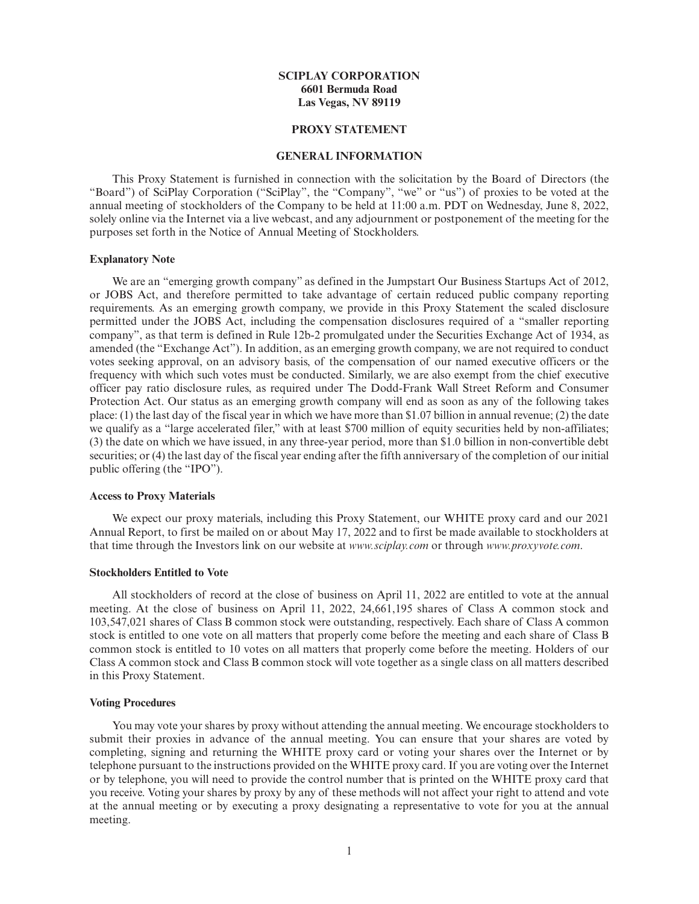## **SCIPLAY CORPORATION 6601 Bermuda Road Las Vegas, NV 89119**

## **PROXY STATEMENT**

## **GENERAL INFORMATION**

This Proxy Statement is furnished in connection with the solicitation by the Board of Directors (the "Board") of SciPlay Corporation ("SciPlay", the "Company", "we" or "us") of proxies to be voted at the annual meeting of stockholders of the Company to be held at 11:00 a.m. PDT on Wednesday, June 8, 2022, solely online via the Internet via a live webcast, and any adjournment or postponement of the meeting for the purposes set forth in the Notice of Annual Meeting of Stockholders.

## **Explanatory Note**

We are an "emerging growth company" as defined in the Jumpstart Our Business Startups Act of 2012, or JOBS Act, and therefore permitted to take advantage of certain reduced public company reporting requirements. As an emerging growth company, we provide in this Proxy Statement the scaled disclosure permitted under the JOBS Act, including the compensation disclosures required of a "smaller reporting company", as that term is defined in Rule 12b-2 promulgated under the Securities Exchange Act of 1934, as amended (the "Exchange Act"). In addition, as an emerging growth company, we are not required to conduct votes seeking approval, on an advisory basis, of the compensation of our named executive officers or the frequency with which such votes must be conducted. Similarly, we are also exempt from the chief executive officer pay ratio disclosure rules, as required under The Dodd-Frank Wall Street Reform and Consumer Protection Act. Our status as an emerging growth company will end as soon as any of the following takes place: (1) the last day of the fiscal year in which we have more than \$1.07 billion in annual revenue; (2) the date we qualify as a "large accelerated filer," with at least \$700 million of equity securities held by non-affiliates; (3) the date on which we have issued, in any three-year period, more than \$1.0 billion in non-convertible debt securities; or (4) the last day of the fiscal year ending after the fifth anniversary of the completion of our initial public offering (the "IPO").

#### **Access to Proxy Materials**

We expect our proxy materials, including this Proxy Statement, our WHITE proxy card and our 2021 Annual Report, to first be mailed on or about May 17, 2022 and to first be made available to stockholders at that time through the Investors link on our website at *www.sciplay.com* or through *www.proxyvote.com*.

#### **Stockholders Entitled to Vote**

All stockholders of record at the close of business on April 11, 2022 are entitled to vote at the annual meeting. At the close of business on April 11, 2022, 24,661,195 shares of Class A common stock and 103,547,021 shares of Class B common stock were outstanding, respectively. Each share of Class A common stock is entitled to one vote on all matters that properly come before the meeting and each share of Class B common stock is entitled to 10 votes on all matters that properly come before the meeting. Holders of our Class A common stock and Class B common stock will vote together as a single class on all matters described in this Proxy Statement.

#### **Voting Procedures**

You may vote your shares by proxy without attending the annual meeting. We encourage stockholders to submit their proxies in advance of the annual meeting. You can ensure that your shares are voted by completing, signing and returning the WHITE proxy card or voting your shares over the Internet or by telephone pursuant to the instructions provided on the WHITE proxy card. If you are voting over the Internet or by telephone, you will need to provide the control number that is printed on the WHITE proxy card that you receive. Voting your shares by proxy by any of these methods will not affect your right to attend and vote at the annual meeting or by executing a proxy designating a representative to vote for you at the annual meeting.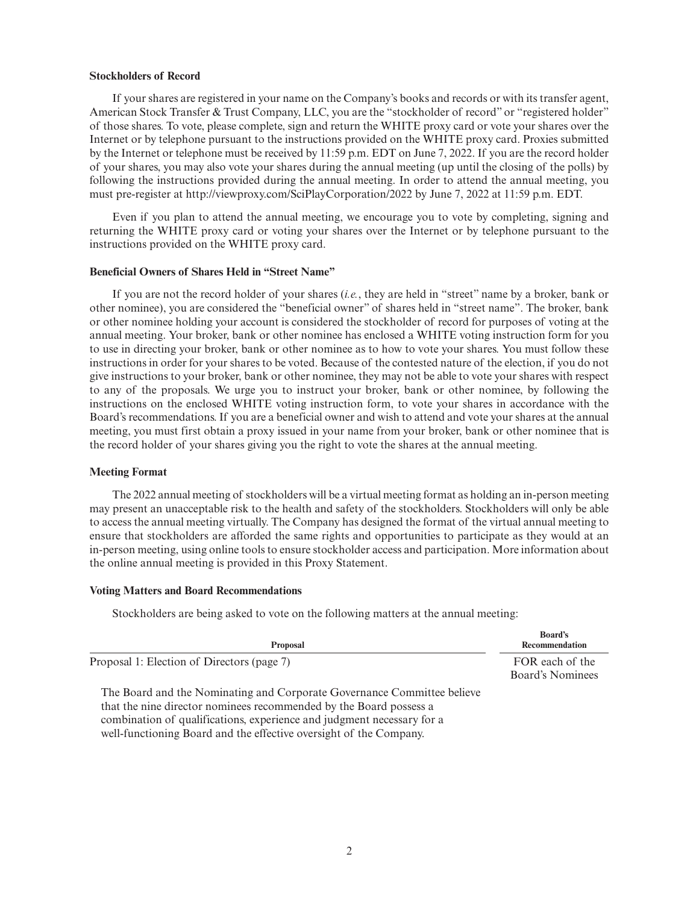#### **Stockholders of Record**

If your shares are registered in your name on the Company's books and records or with its transfer agent, American Stock Transfer & Trust Company, LLC, you are the "stockholder of record" or "registered holder" of those shares. To vote, please complete, sign and return the WHITE proxy card or vote your shares over the Internet or by telephone pursuant to the instructions provided on the WHITE proxy card. Proxies submitted by the Internet or telephone must be received by 11:59 p.m. EDT on June 7, 2022. If you are the record holder of your shares, you may also vote your shares during the annual meeting (up until the closing of the polls) by following the instructions provided during the annual meeting. In order to attend the annual meeting, you must pre-register at http://viewproxy.com/SciPlayCorporation/2022 by June 7, 2022 at 11:59 p.m. EDT.

Even if you plan to attend the annual meeting, we encourage you to vote by completing, signing and returning the WHITE proxy card or voting your shares over the Internet or by telephone pursuant to the instructions provided on the WHITE proxy card.

#### **Beneficial Owners of Shares Held in "Street Name"**

If you are not the record holder of your shares (*i.e.*, they are held in "street" name by a broker, bank or other nominee), you are considered the "beneficial owner" of shares held in "street name". The broker, bank or other nominee holding your account is considered the stockholder of record for purposes of voting at the annual meeting. Your broker, bank or other nominee has enclosed a WHITE voting instruction form for you to use in directing your broker, bank or other nominee as to how to vote your shares. You must follow these instructions in order for your shares to be voted. Because of the contested nature of the election, if you do not give instructions to your broker, bank or other nominee, they may not be able to vote your shares with respect to any of the proposals. We urge you to instruct your broker, bank or other nominee, by following the instructions on the enclosed WHITE voting instruction form, to vote your shares in accordance with the Board's recommendations. If you are a beneficial owner and wish to attend and vote your shares at the annual meeting, you must first obtain a proxy issued in your name from your broker, bank or other nominee that is the record holder of your shares giving you the right to vote the shares at the annual meeting.

#### **Meeting Format**

The 2022 annual meeting of stockholders will be a virtual meeting format as holding an in-person meeting may present an unacceptable risk to the health and safety of the stockholders. Stockholders will only be able to access the annual meeting virtually. The Company has designed the format of the virtual annual meeting to ensure that stockholders are afforded the same rights and opportunities to participate as they would at an in-person meeting, using online tools to ensure stockholder access and participation. More information about the online annual meeting is provided in this Proxy Statement.

#### **Voting Matters and Board Recommendations**

Stockholders are being asked to vote on the following matters at the annual meeting:

| <b>Proposal</b>                                                                                                                                                                                                        | <b>Board's</b><br>Recommendation    |
|------------------------------------------------------------------------------------------------------------------------------------------------------------------------------------------------------------------------|-------------------------------------|
| Proposal 1: Election of Directors (page 7)                                                                                                                                                                             | FOR each of the<br>Board's Nominees |
| The Board and the Nominating and Corporate Governance Committee believe<br>that the nine director nominees recommended by the Board possess a<br>combination of qualifications experience and judgment pecessary for a |                                     |

combination of qualifications, experience and judgment necessary for a well-functioning Board and the effective oversight of the Company.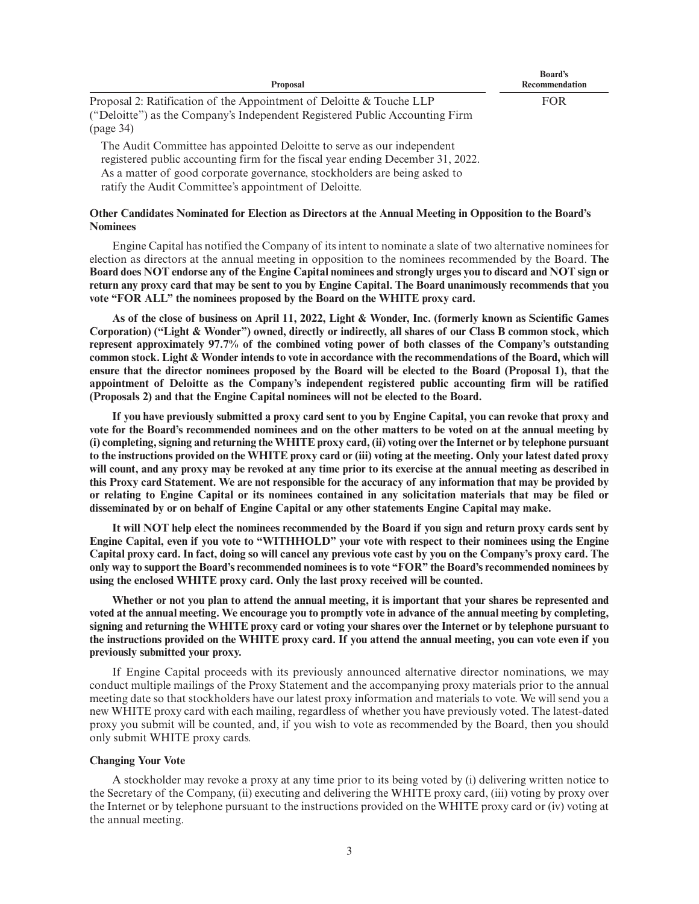| <b>Proposal</b>                                                                                                                                                  | <b>Board's</b><br>Recommendation |
|------------------------------------------------------------------------------------------------------------------------------------------------------------------|----------------------------------|
| Proposal 2: Ratification of the Appointment of Deloitte & Touche LLP<br>("Deloitte") as the Company's Independent Registered Public Accounting Firm<br>(page 34) | <b>FOR</b>                       |

The Audit Committee has appointed Deloitte to serve as our independent registered public accounting firm for the fiscal year ending December 31, 2022. As a matter of good corporate governance, stockholders are being asked to ratify the Audit Committee's appointment of Deloitte.

## **Other Candidates Nominated for Election as Directors at the Annual Meeting in Opposition to the Board's Nominees**

Engine Capital has notified the Company of its intent to nominate a slate of two alternative nominees for election as directors at the annual meeting in opposition to the nominees recommended by the Board. **The Board does NOT endorse any of the Engine Capital nominees and strongly urges you to discard and NOT sign or return any proxy card that may be sent to you by Engine Capital. The Board unanimously recommends that you vote "FOR ALL" the nominees proposed by the Board on the WHITE proxy card.**

**As of the close of business on April 11, 2022, Light & Wonder, Inc. (formerly known as Scientific Games Corporation) ("Light & Wonder") owned, directly or indirectly, all shares of our Class B common stock, which represent approximately 97.7% of the combined voting power of both classes of the Company's outstanding common stock. Light & Wonder intends to vote in accordance with the recommendations of the Board, which will ensure that the director nominees proposed by the Board will be elected to the Board (Proposal 1), that the appointment of Deloitte as the Company's independent registered public accounting firm will be ratified (Proposals 2) and that the Engine Capital nominees will not be elected to the Board.**

**If you have previously submitted a proxy card sent to you by Engine Capital, you can revoke that proxy and vote for the Board's recommended nominees and on the other matters to be voted on at the annual meeting by (i) completing, signing and returning the WHITE proxy card, (ii) voting over the Internet or by telephone pursuant to the instructions provided on the WHITE proxy card or (iii) voting at the meeting. Only your latest dated proxy will count, and any proxy may be revoked at any time prior to its exercise at the annual meeting as described in this Proxy card Statement. We are not responsible for the accuracy of any information that may be provided by or relating to Engine Capital or its nominees contained in any solicitation materials that may be filed or disseminated by or on behalf of Engine Capital or any other statements Engine Capital may make.**

**It will NOT help elect the nominees recommended by the Board if you sign and return proxy cards sent by Engine Capital, even if you vote to "WITHHOLD" your vote with respect to their nominees using the Engine Capital proxy card. In fact, doing so will cancel any previous vote cast by you on the Company's proxy card. The only way to support the Board's recommended nominees is to vote "FOR" the Board's recommended nominees by using the enclosed WHITE proxy card. Only the last proxy received will be counted.**

**Whether or not you plan to attend the annual meeting, it is important that your shares be represented and voted at the annual meeting. We encourage you to promptly vote in advance of the annual meeting by completing, signing and returning the WHITE proxy card or voting your shares over the Internet or by telephone pursuant to the instructions provided on the WHITE proxy card. If you attend the annual meeting, you can vote even if you previously submitted your proxy.**

If Engine Capital proceeds with its previously announced alternative director nominations, we may conduct multiple mailings of the Proxy Statement and the accompanying proxy materials prior to the annual meeting date so that stockholders have our latest proxy information and materials to vote. We will send you a new WHITE proxy card with each mailing, regardless of whether you have previously voted. The latest-dated proxy you submit will be counted, and, if you wish to vote as recommended by the Board, then you should only submit WHITE proxy cards.

#### **Changing Your Vote**

A stockholder may revoke a proxy at any time prior to its being voted by (i) delivering written notice to the Secretary of the Company, (ii) executing and delivering the WHITE proxy card, (iii) voting by proxy over the Internet or by telephone pursuant to the instructions provided on the WHITE proxy card or (iv) voting at the annual meeting.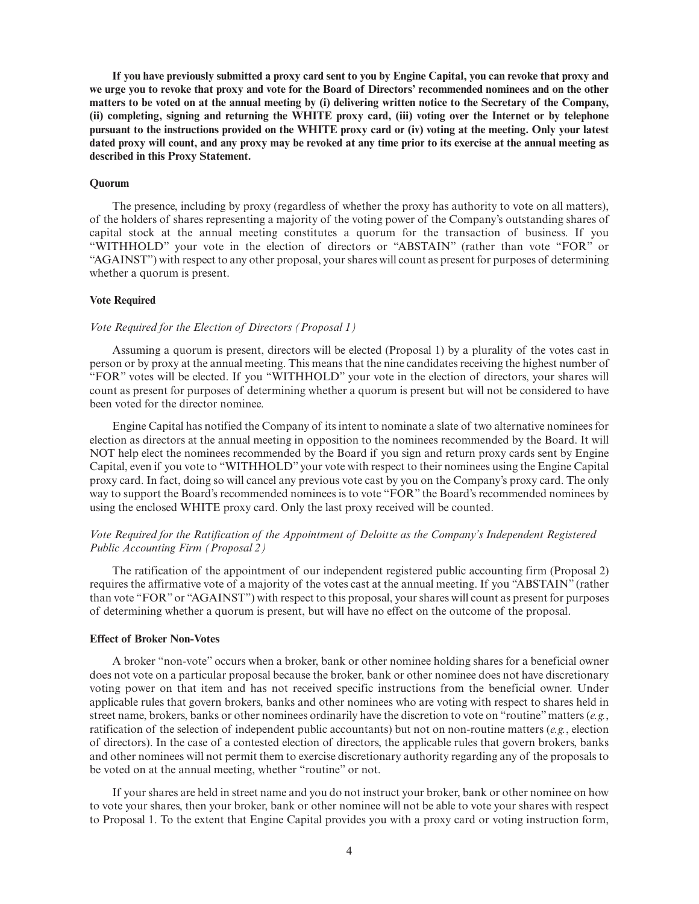**If you have previously submitted a proxy card sent to you by Engine Capital, you can revoke that proxy and we urge you to revoke that proxy and vote for the Board of Directors' recommended nominees and on the other matters to be voted on at the annual meeting by (i) delivering written notice to the Secretary of the Company, (ii) completing, signing and returning the WHITE proxy card, (iii) voting over the Internet or by telephone pursuant to the instructions provided on the WHITE proxy card or (iv) voting at the meeting. Only your latest dated proxy will count, and any proxy may be revoked at any time prior to its exercise at the annual meeting as described in this Proxy Statement.**

## **Quorum**

The presence, including by proxy (regardless of whether the proxy has authority to vote on all matters), of the holders of shares representing a majority of the voting power of the Company's outstanding shares of capital stock at the annual meeting constitutes a quorum for the transaction of business. If you "WITHHOLD" your vote in the election of directors or "ABSTAIN" (rather than vote "FOR" or "AGAINST") with respect to any other proposal, your shares will count as present for purposes of determining whether a quorum is present.

## **Vote Required**

#### *Vote Required for the Election of Directors (Proposal 1)*

Assuming a quorum is present, directors will be elected (Proposal 1) by a plurality of the votes cast in person or by proxy at the annual meeting. This means that the nine candidates receiving the highest number of "FOR" votes will be elected. If you "WITHHOLD" your vote in the election of directors, your shares will count as present for purposes of determining whether a quorum is present but will not be considered to have been voted for the director nominee.

Engine Capital has notified the Company of its intent to nominate a slate of two alternative nominees for election as directors at the annual meeting in opposition to the nominees recommended by the Board. It will NOT help elect the nominees recommended by the Board if you sign and return proxy cards sent by Engine Capital, even if you vote to "WITHHOLD" your vote with respect to their nominees using the Engine Capital proxy card. In fact, doing so will cancel any previous vote cast by you on the Company's proxy card. The only way to support the Board's recommended nominees is to vote "FOR" the Board's recommended nominees by using the enclosed WHITE proxy card. Only the last proxy received will be counted.

## *Vote Required for the Ratification of the Appointment of Deloitte as the Company's Independent Registered Public Accounting Firm (Proposal 2)*

The ratification of the appointment of our independent registered public accounting firm (Proposal 2) requires the affirmative vote of a majority of the votes cast at the annual meeting. If you "ABSTAIN" (rather than vote "FOR" or "AGAINST") with respect to this proposal, your shares will count as present for purposes of determining whether a quorum is present, but will have no effect on the outcome of the proposal.

#### **Effect of Broker Non-Votes**

A broker "non-vote" occurs when a broker, bank or other nominee holding shares for a beneficial owner does not vote on a particular proposal because the broker, bank or other nominee does not have discretionary voting power on that item and has not received specific instructions from the beneficial owner. Under applicable rules that govern brokers, banks and other nominees who are voting with respect to shares held in street name, brokers, banks or other nominees ordinarily have the discretion to vote on "routine" matters (*e.g.*, ratification of the selection of independent public accountants) but not on non-routine matters (*e.g.*, election of directors). In the case of a contested election of directors, the applicable rules that govern brokers, banks and other nominees will not permit them to exercise discretionary authority regarding any of the proposals to be voted on at the annual meeting, whether "routine" or not.

If your shares are held in street name and you do not instruct your broker, bank or other nominee on how to vote your shares, then your broker, bank or other nominee will not be able to vote your shares with respect to Proposal 1. To the extent that Engine Capital provides you with a proxy card or voting instruction form,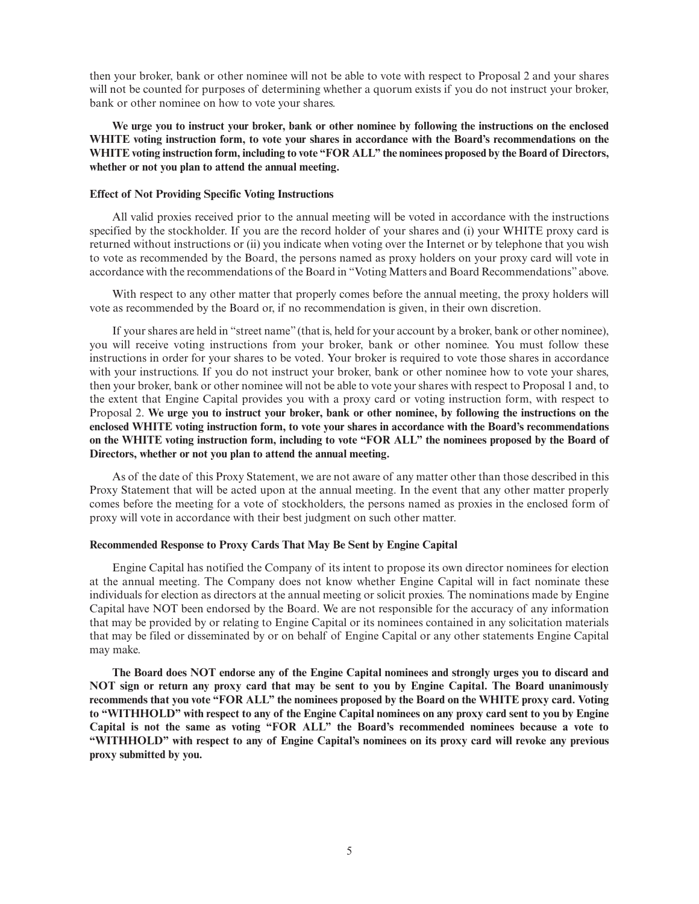then your broker, bank or other nominee will not be able to vote with respect to Proposal 2 and your shares will not be counted for purposes of determining whether a quorum exists if you do not instruct your broker, bank or other nominee on how to vote your shares.

**We urge you to instruct your broker, bank or other nominee by following the instructions on the enclosed WHITE voting instruction form, to vote your shares in accordance with the Board's recommendations on the WHITE voting instruction form, including to vote "FOR ALL" the nominees proposed by the Board of Directors, whether or not you plan to attend the annual meeting.**

## **Effect of Not Providing Specific Voting Instructions**

All valid proxies received prior to the annual meeting will be voted in accordance with the instructions specified by the stockholder. If you are the record holder of your shares and (i) your WHITE proxy card is returned without instructions or (ii) you indicate when voting over the Internet or by telephone that you wish to vote as recommended by the Board, the persons named as proxy holders on your proxy card will vote in accordance with the recommendations of the Board in "Voting Matters and Board Recommendations" above.

With respect to any other matter that properly comes before the annual meeting, the proxy holders will vote as recommended by the Board or, if no recommendation is given, in their own discretion.

If your shares are held in "street name" (that is, held for your account by a broker, bank or other nominee), you will receive voting instructions from your broker, bank or other nominee. You must follow these instructions in order for your shares to be voted. Your broker is required to vote those shares in accordance with your instructions. If you do not instruct your broker, bank or other nominee how to vote your shares, then your broker, bank or other nominee will not be able to vote your shares with respect to Proposal 1 and, to the extent that Engine Capital provides you with a proxy card or voting instruction form, with respect to Proposal 2. **We urge you to instruct your broker, bank or other nominee, by following the instructions on the enclosed WHITE voting instruction form, to vote your shares in accordance with the Board's recommendations on the WHITE voting instruction form, including to vote "FOR ALL" the nominees proposed by the Board of Directors, whether or not you plan to attend the annual meeting.**

As of the date of this Proxy Statement, we are not aware of any matter other than those described in this Proxy Statement that will be acted upon at the annual meeting. In the event that any other matter properly comes before the meeting for a vote of stockholders, the persons named as proxies in the enclosed form of proxy will vote in accordance with their best judgment on such other matter.

#### **Recommended Response to Proxy Cards That May Be Sent by Engine Capital**

Engine Capital has notified the Company of its intent to propose its own director nominees for election at the annual meeting. The Company does not know whether Engine Capital will in fact nominate these individuals for election as directors at the annual meeting or solicit proxies. The nominations made by Engine Capital have NOT been endorsed by the Board. We are not responsible for the accuracy of any information that may be provided by or relating to Engine Capital or its nominees contained in any solicitation materials that may be filed or disseminated by or on behalf of Engine Capital or any other statements Engine Capital may make.

**The Board does NOT endorse any of the Engine Capital nominees and strongly urges you to discard and NOT sign or return any proxy card that may be sent to you by Engine Capital. The Board unanimously recommends that you vote "FOR ALL" the nominees proposed by the Board on the WHITE proxy card. Voting to "WITHHOLD" with respect to any of the Engine Capital nominees on any proxy card sent to you by Engine Capital is not the same as voting "FOR ALL" the Board's recommended nominees because a vote to "WITHHOLD" with respect to any of Engine Capital's nominees on its proxy card will revoke any previous proxy submitted by you.**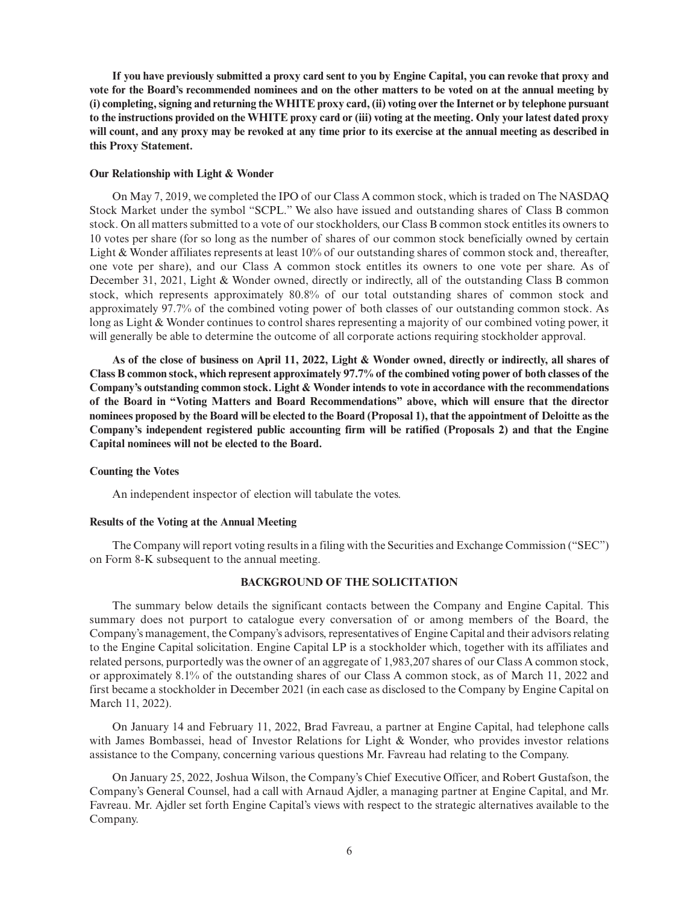**If you have previously submitted a proxy card sent to you by Engine Capital, you can revoke that proxy and vote for the Board's recommended nominees and on the other matters to be voted on at the annual meeting by (i) completing, signing and returning the WHITE proxy card, (ii) voting over the Internet or by telephone pursuant to the instructions provided on the WHITE proxy card or (iii) voting at the meeting. Only your latest dated proxy will count, and any proxy may be revoked at any time prior to its exercise at the annual meeting as described in this Proxy Statement.**

## **Our Relationship with Light & Wonder**

On May 7, 2019, we completed the IPO of our Class A common stock, which is traded on The NASDAQ Stock Market under the symbol "SCPL." We also have issued and outstanding shares of Class B common stock. On all matters submitted to a vote of our stockholders, our Class B common stock entitles its owners to 10 votes per share (for so long as the number of shares of our common stock beneficially owned by certain Light & Wonder affiliates represents at least 10% of our outstanding shares of common stock and, thereafter, one vote per share), and our Class A common stock entitles its owners to one vote per share. As of December 31, 2021, Light & Wonder owned, directly or indirectly, all of the outstanding Class B common stock, which represents approximately 80.8% of our total outstanding shares of common stock and approximately 97.7% of the combined voting power of both classes of our outstanding common stock. As long as Light & Wonder continues to control shares representing a majority of our combined voting power, it will generally be able to determine the outcome of all corporate actions requiring stockholder approval.

**As of the close of business on April 11, 2022, Light & Wonder owned, directly or indirectly, all shares of Class B common stock, which represent approximately 97.7% of the combined voting power of both classes of the Company's outstanding common stock. Light & Wonder intends to vote in accordance with the recommendations of the Board in "Voting Matters and Board Recommendations" above, which will ensure that the director nominees proposed by the Board will be elected to the Board (Proposal 1), that the appointment of Deloitte as the Company's independent registered public accounting firm will be ratified (Proposals 2) and that the Engine Capital nominees will not be elected to the Board.**

#### **Counting the Votes**

An independent inspector of election will tabulate the votes.

#### **Results of the Voting at the Annual Meeting**

The Company will report voting results in a filing with the Securities and Exchange Commission ("SEC") on Form 8-K subsequent to the annual meeting.

#### **BACKGROUND OF THE SOLICITATION**

The summary below details the significant contacts between the Company and Engine Capital. This summary does not purport to catalogue every conversation of or among members of the Board, the Company's management, the Company's advisors, representatives of Engine Capital and their advisors relating to the Engine Capital solicitation. Engine Capital LP is a stockholder which, together with its affiliates and related persons, purportedly was the owner of an aggregate of 1,983,207 shares of our Class A common stock, or approximately 8.1% of the outstanding shares of our Class A common stock, as of March 11, 2022 and first became a stockholder in December 2021 (in each case as disclosed to the Company by Engine Capital on March 11, 2022).

On January 14 and February 11, 2022, Brad Favreau, a partner at Engine Capital, had telephone calls with James Bombassei, head of Investor Relations for Light & Wonder, who provides investor relations assistance to the Company, concerning various questions Mr. Favreau had relating to the Company.

On January 25, 2022, Joshua Wilson, the Company's Chief Executive Officer, and Robert Gustafson, the Company's General Counsel, had a call with Arnaud Ajdler, a managing partner at Engine Capital, and Mr. Favreau. Mr. Ajdler set forth Engine Capital's views with respect to the strategic alternatives available to the Company.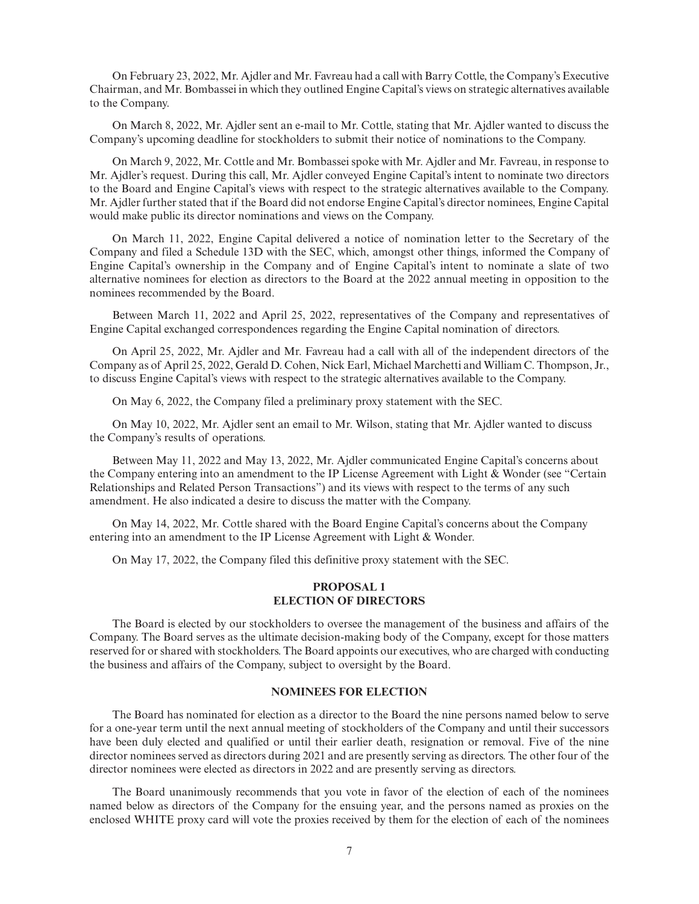On February 23, 2022, Mr. Ajdler and Mr. Favreau had a call with Barry Cottle, the Company's Executive Chairman, and Mr. Bombassei in which they outlined Engine Capital's views on strategic alternatives available to the Company.

On March 8, 2022, Mr. Ajdler sent an e-mail to Mr. Cottle, stating that Mr. Ajdler wanted to discuss the Company's upcoming deadline for stockholders to submit their notice of nominations to the Company.

On March 9, 2022, Mr. Cottle and Mr. Bombassei spoke with Mr. Ajdler and Mr. Favreau, in response to Mr. Ajdler's request. During this call, Mr. Ajdler conveyed Engine Capital's intent to nominate two directors to the Board and Engine Capital's views with respect to the strategic alternatives available to the Company. Mr. Ajdler further stated that if the Board did not endorse Engine Capital's director nominees, Engine Capital would make public its director nominations and views on the Company.

On March 11, 2022, Engine Capital delivered a notice of nomination letter to the Secretary of the Company and filed a Schedule 13D with the SEC, which, amongst other things, informed the Company of Engine Capital's ownership in the Company and of Engine Capital's intent to nominate a slate of two alternative nominees for election as directors to the Board at the 2022 annual meeting in opposition to the nominees recommended by the Board.

Between March 11, 2022 and April 25, 2022, representatives of the Company and representatives of Engine Capital exchanged correspondences regarding the Engine Capital nomination of directors.

On April 25, 2022, Mr. Ajdler and Mr. Favreau had a call with all of the independent directors of the Company as of April 25, 2022, Gerald D. Cohen, Nick Earl, Michael Marchetti and William C. Thompson, Jr., to discuss Engine Capital's views with respect to the strategic alternatives available to the Company.

On May 6, 2022, the Company filed a preliminary proxy statement with the SEC.

On May 10, 2022, Mr. Ajdler sent an email to Mr. Wilson, stating that Mr. Ajdler wanted to discuss the Company's results of operations.

Between May 11, 2022 and May 13, 2022, Mr. Ajdler communicated Engine Capital's concerns about the Company entering into an amendment to the IP License Agreement with Light & Wonder (see "Certain Relationships and Related Person Transactions") and its views with respect to the terms of any such amendment. He also indicated a desire to discuss the matter with the Company.

On May 14, 2022, Mr. Cottle shared with the Board Engine Capital's concerns about the Company entering into an amendment to the IP License Agreement with Light & Wonder.

On May 17, 2022, the Company filed this definitive proxy statement with the SEC.

## **PROPOSAL 1 ELECTION OF DIRECTORS**

The Board is elected by our stockholders to oversee the management of the business and affairs of the Company. The Board serves as the ultimate decision-making body of the Company, except for those matters reserved for or shared with stockholders. The Board appoints our executives, who are charged with conducting the business and affairs of the Company, subject to oversight by the Board.

#### **NOMINEES FOR ELECTION**

The Board has nominated for election as a director to the Board the nine persons named below to serve for a one-year term until the next annual meeting of stockholders of the Company and until their successors have been duly elected and qualified or until their earlier death, resignation or removal. Five of the nine director nominees served as directors during 2021 and are presently serving as directors. The other four of the director nominees were elected as directors in 2022 and are presently serving as directors.

The Board unanimously recommends that you vote in favor of the election of each of the nominees named below as directors of the Company for the ensuing year, and the persons named as proxies on the enclosed WHITE proxy card will vote the proxies received by them for the election of each of the nominees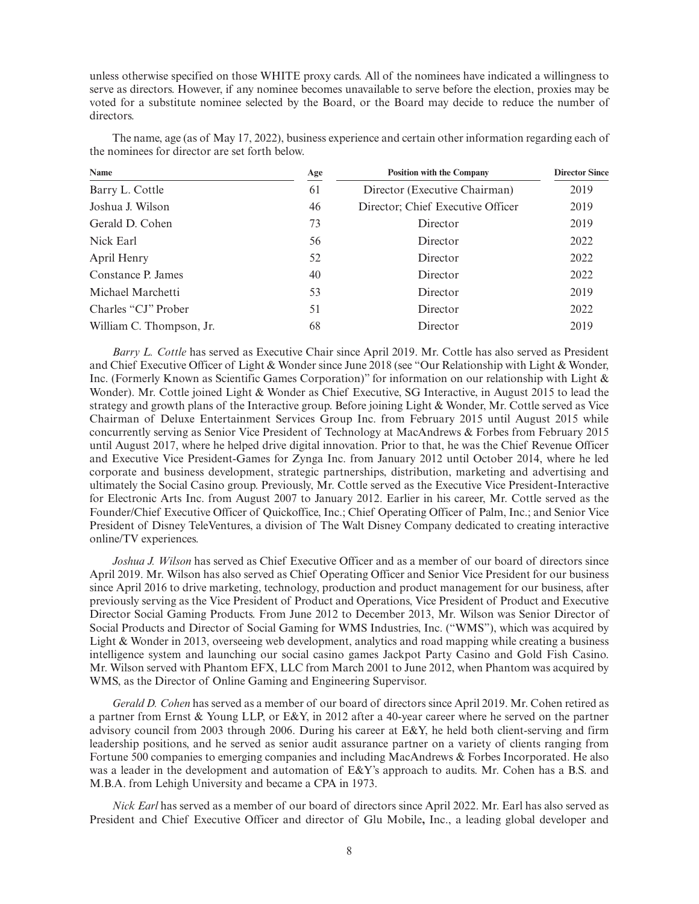unless otherwise specified on those WHITE proxy cards. All of the nominees have indicated a willingness to serve as directors. However, if any nominee becomes unavailable to serve before the election, proxies may be voted for a substitute nominee selected by the Board, or the Board may decide to reduce the number of directors.

| Name                     | Age | <b>Position with the Company</b>  | <b>Director Since</b> |
|--------------------------|-----|-----------------------------------|-----------------------|
| Barry L. Cottle          | 61  | Director (Executive Chairman)     | 2019                  |
| Joshua J. Wilson         | 46  | Director; Chief Executive Officer | 2019                  |
| Gerald D. Cohen          | 73  | Director                          | 2019                  |
| Nick Earl                | 56  | Director                          | 2022                  |
| April Henry              | 52  | Director                          | 2022                  |
| Constance P. James       | 40  | Director                          | 2022                  |
| Michael Marchetti        | 53  | Director                          | 2019                  |
| Charles "CJ" Prober      | 51  | Director                          | 2022                  |
| William C. Thompson, Jr. | 68  | Director                          | 2019                  |

The name, age (as of May 17, 2022), business experience and certain other information regarding each of the nominees for director are set forth below.

*Barry L. Cottle* has served as Executive Chair since April 2019. Mr. Cottle has also served as President and Chief Executive Officer of Light & Wonder since June 2018 (see "Our Relationship with Light & Wonder, Inc. (Formerly Known as Scientific Games Corporation)" for information on our relationship with Light & Wonder). Mr. Cottle joined Light & Wonder as Chief Executive, SG Interactive, in August 2015 to lead the strategy and growth plans of the Interactive group. Before joining Light & Wonder, Mr. Cottle served as Vice Chairman of Deluxe Entertainment Services Group Inc. from February 2015 until August 2015 while concurrently serving as Senior Vice President of Technology at MacAndrews & Forbes from February 2015 until August 2017, where he helped drive digital innovation. Prior to that, he was the Chief Revenue Officer and Executive Vice President-Games for Zynga Inc. from January 2012 until October 2014, where he led corporate and business development, strategic partnerships, distribution, marketing and advertising and ultimately the Social Casino group. Previously, Mr. Cottle served as the Executive Vice President-Interactive for Electronic Arts Inc. from August 2007 to January 2012. Earlier in his career, Mr. Cottle served as the Founder/Chief Executive Officer of Quickoffice, Inc.; Chief Operating Officer of Palm, Inc.; and Senior Vice President of Disney TeleVentures, a division of The Walt Disney Company dedicated to creating interactive online/TV experiences.

*Joshua J. Wilson* has served as Chief Executive Officer and as a member of our board of directors since April 2019. Mr. Wilson has also served as Chief Operating Officer and Senior Vice President for our business since April 2016 to drive marketing, technology, production and product management for our business, after previously serving as the Vice President of Product and Operations, Vice President of Product and Executive Director Social Gaming Products. From June 2012 to December 2013, Mr. Wilson was Senior Director of Social Products and Director of Social Gaming for WMS Industries, Inc. ("WMS"), which was acquired by Light & Wonder in 2013, overseeing web development, analytics and road mapping while creating a business intelligence system and launching our social casino games Jackpot Party Casino and Gold Fish Casino. Mr. Wilson served with Phantom EFX, LLC from March 2001 to June 2012, when Phantom was acquired by WMS, as the Director of Online Gaming and Engineering Supervisor.

*Gerald D. Cohen* has served as a member of our board of directors since April 2019. Mr. Cohen retired as a partner from Ernst & Young LLP, or E&Y, in 2012 after a 40-year career where he served on the partner advisory council from 2003 through 2006. During his career at E&Y, he held both client-serving and firm leadership positions, and he served as senior audit assurance partner on a variety of clients ranging from Fortune 500 companies to emerging companies and including MacAndrews & Forbes Incorporated. He also was a leader in the development and automation of E&Y's approach to audits. Mr. Cohen has a B.S. and M.B.A. from Lehigh University and became a CPA in 1973.

*Nick Earl* has served as a member of our board of directors since April 2022. Mr. Earl has also served as President and Chief Executive Officer and director of Glu Mobile**,** Inc., a leading global developer and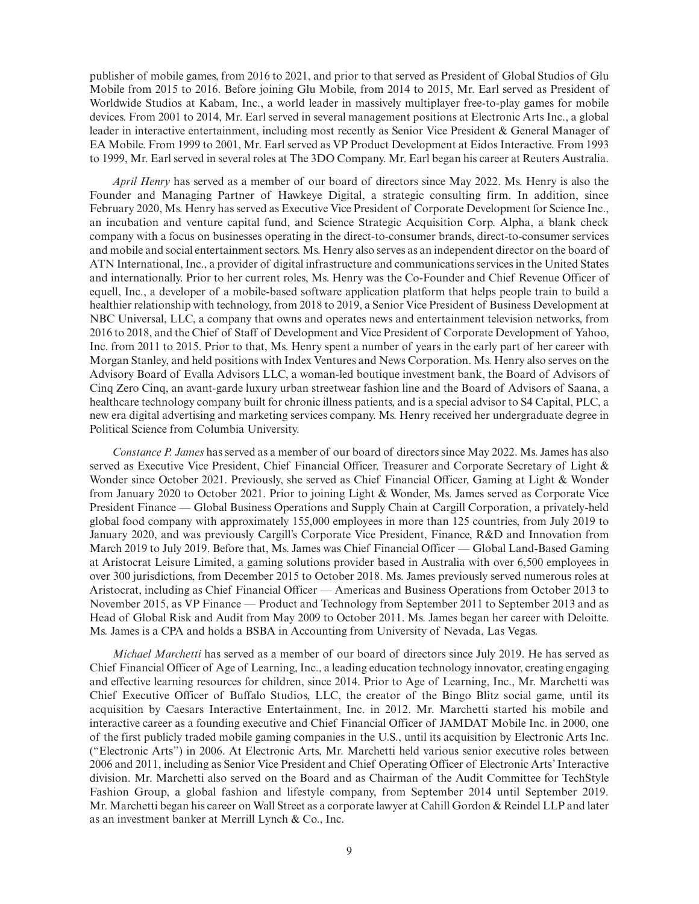publisher of mobile games, from 2016 to 2021, and prior to that served as President of Global Studios of Glu Mobile from 2015 to 2016. Before joining Glu Mobile, from 2014 to 2015, Mr. Earl served as President of Worldwide Studios at Kabam, Inc., a world leader in massively multiplayer free-to-play games for mobile devices. From 2001 to 2014, Mr. Earl served in several management positions at Electronic Arts Inc., a global leader in interactive entertainment, including most recently as Senior Vice President & General Manager of EA Mobile. From 1999 to 2001, Mr. Earl served as VP Product Development at Eidos Interactive. From 1993 to 1999, Mr. Earl served in several roles at The 3DO Company. Mr. Earl began his career at Reuters Australia.

*April Henry* has served as a member of our board of directors since May 2022. Ms. Henry is also the Founder and Managing Partner of Hawkeye Digital, a strategic consulting firm. In addition, since February 2020, Ms. Henry has served as Executive Vice President of Corporate Development for Science Inc., an incubation and venture capital fund, and Science Strategic Acquisition Corp. Alpha, a blank check company with a focus on businesses operating in the direct-to-consumer brands, direct-to-consumer services and mobile and social entertainment sectors. Ms. Henry also serves as an independent director on the board of ATN International, Inc., a provider of digital infrastructure and communications services in the United States and internationally. Prior to her current roles, Ms. Henry was the Co-Founder and Chief Revenue Officer of equell, Inc., a developer of a mobile-based software application platform that helps people train to build a healthier relationship with technology, from 2018 to 2019, a Senior Vice President of Business Development at NBC Universal, LLC, a company that owns and operates news and entertainment television networks, from 2016 to 2018, and the Chief of Staff of Development and Vice President of Corporate Development of Yahoo, Inc. from 2011 to 2015. Prior to that, Ms. Henry spent a number of years in the early part of her career with Morgan Stanley, and held positions with Index Ventures and News Corporation. Ms. Henry also serves on the Advisory Board of Evalla Advisors LLC, a woman-led boutique investment bank, the Board of Advisors of Cinq Zero Cinq, an avant-garde luxury urban streetwear fashion line and the Board of Advisors of Saana, a healthcare technology company built for chronic illness patients, and is a special advisor to S4 Capital, PLC, a new era digital advertising and marketing services company. Ms. Henry received her undergraduate degree in Political Science from Columbia University.

*Constance P. James* has served as a member of our board of directors since May 2022. Ms. James has also served as Executive Vice President, Chief Financial Officer, Treasurer and Corporate Secretary of Light & Wonder since October 2021. Previously, she served as Chief Financial Officer, Gaming at Light & Wonder from January 2020 to October 2021. Prior to joining Light & Wonder, Ms. James served as Corporate Vice President Finance — Global Business Operations and Supply Chain at Cargill Corporation, a privately-held global food company with approximately 155,000 employees in more than 125 countries, from July 2019 to January 2020, and was previously Cargill's Corporate Vice President, Finance, R&D and Innovation from March 2019 to July 2019. Before that, Ms. James was Chief Financial Officer — Global Land-Based Gaming at Aristocrat Leisure Limited, a gaming solutions provider based in Australia with over 6,500 employees in over 300 jurisdictions, from December 2015 to October 2018. Ms. James previously served numerous roles at Aristocrat, including as Chief Financial Officer — Americas and Business Operations from October 2013 to November 2015, as VP Finance — Product and Technology from September 2011 to September 2013 and as Head of Global Risk and Audit from May 2009 to October 2011. Ms. James began her career with Deloitte. Ms. James is a CPA and holds a BSBA in Accounting from University of Nevada, Las Vegas.

*Michael Marchetti* has served as a member of our board of directors since July 2019. He has served as Chief Financial Officer of Age of Learning, Inc., a leading education technology innovator, creating engaging and effective learning resources for children, since 2014. Prior to Age of Learning, Inc., Mr. Marchetti was Chief Executive Officer of Buffalo Studios, LLC, the creator of the Bingo Blitz social game, until its acquisition by Caesars Interactive Entertainment, Inc. in 2012. Mr. Marchetti started his mobile and interactive career as a founding executive and Chief Financial Officer of JAMDAT Mobile Inc. in 2000, one of the first publicly traded mobile gaming companies in the U.S., until its acquisition by Electronic Arts Inc. ("Electronic Arts") in 2006. At Electronic Arts, Mr. Marchetti held various senior executive roles between 2006 and 2011, including as Senior Vice President and Chief Operating Officer of Electronic Arts' Interactive division. Mr. Marchetti also served on the Board and as Chairman of the Audit Committee for TechStyle Fashion Group, a global fashion and lifestyle company, from September 2014 until September 2019. Mr. Marchetti began his career on Wall Street as a corporate lawyer at Cahill Gordon & Reindel LLP and later as an investment banker at Merrill Lynch & Co., Inc.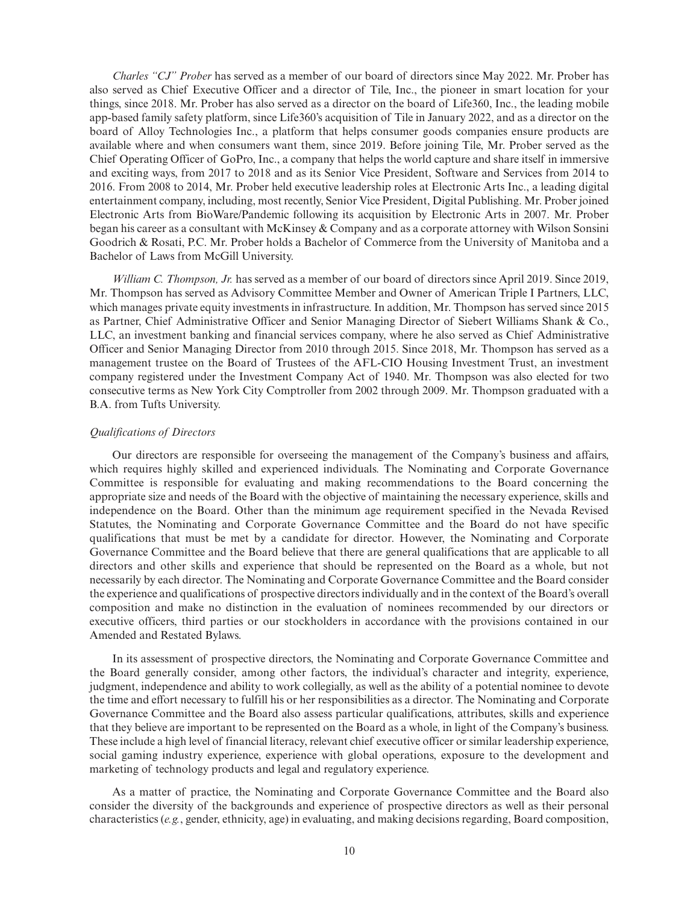*Charles "CJ" Prober* has served as a member of our board of directors since May 2022. Mr. Prober has also served as Chief Executive Officer and a director of Tile, Inc., the pioneer in smart location for your things, since 2018. Mr. Prober has also served as a director on the board of Life360, Inc., the leading mobile app-based family safety platform, since Life360's acquisition of Tile in January 2022, and as a director on the board of Alloy Technologies Inc., a platform that helps consumer goods companies ensure products are available where and when consumers want them, since 2019. Before joining Tile, Mr. Prober served as the Chief Operating Officer of GoPro, Inc., a company that helps the world capture and share itself in immersive and exciting ways, from 2017 to 2018 and as its Senior Vice President, Software and Services from 2014 to 2016. From 2008 to 2014, Mr. Prober held executive leadership roles at Electronic Arts Inc., a leading digital entertainment company, including, most recently, Senior Vice President, Digital Publishing. Mr. Prober joined Electronic Arts from BioWare/Pandemic following its acquisition by Electronic Arts in 2007. Mr. Prober began his career as a consultant with McKinsey & Company and as a corporate attorney with Wilson Sonsini Goodrich & Rosati, P.C. Mr. Prober holds a Bachelor of Commerce from the University of Manitoba and a Bachelor of Laws from McGill University.

*William C. Thompson, Jr.* has served as a member of our board of directors since April 2019. Since 2019, Mr. Thompson has served as Advisory Committee Member and Owner of American Triple I Partners, LLC, which manages private equity investments in infrastructure. In addition, Mr. Thompson has served since 2015 as Partner, Chief Administrative Officer and Senior Managing Director of Siebert Williams Shank & Co., LLC, an investment banking and financial services company, where he also served as Chief Administrative Officer and Senior Managing Director from 2010 through 2015. Since 2018, Mr. Thompson has served as a management trustee on the Board of Trustees of the AFL-CIO Housing Investment Trust, an investment company registered under the Investment Company Act of 1940. Mr. Thompson was also elected for two consecutive terms as New York City Comptroller from 2002 through 2009. Mr. Thompson graduated with a B.A. from Tufts University.

## *Qualifications of Directors*

Our directors are responsible for overseeing the management of the Company's business and affairs, which requires highly skilled and experienced individuals. The Nominating and Corporate Governance Committee is responsible for evaluating and making recommendations to the Board concerning the appropriate size and needs of the Board with the objective of maintaining the necessary experience, skills and independence on the Board. Other than the minimum age requirement specified in the Nevada Revised Statutes, the Nominating and Corporate Governance Committee and the Board do not have specific qualifications that must be met by a candidate for director. However, the Nominating and Corporate Governance Committee and the Board believe that there are general qualifications that are applicable to all directors and other skills and experience that should be represented on the Board as a whole, but not necessarily by each director. The Nominating and Corporate Governance Committee and the Board consider the experience and qualifications of prospective directors individually and in the context of the Board's overall composition and make no distinction in the evaluation of nominees recommended by our directors or executive officers, third parties or our stockholders in accordance with the provisions contained in our Amended and Restated Bylaws.

In its assessment of prospective directors, the Nominating and Corporate Governance Committee and the Board generally consider, among other factors, the individual's character and integrity, experience, judgment, independence and ability to work collegially, as well as the ability of a potential nominee to devote the time and effort necessary to fulfill his or her responsibilities as a director. The Nominating and Corporate Governance Committee and the Board also assess particular qualifications, attributes, skills and experience that they believe are important to be represented on the Board as a whole, in light of the Company's business. These include a high level of financial literacy, relevant chief executive officer or similar leadership experience, social gaming industry experience, experience with global operations, exposure to the development and marketing of technology products and legal and regulatory experience.

As a matter of practice, the Nominating and Corporate Governance Committee and the Board also consider the diversity of the backgrounds and experience of prospective directors as well as their personal characteristics (*e.g.*, gender, ethnicity, age) in evaluating, and making decisions regarding, Board composition,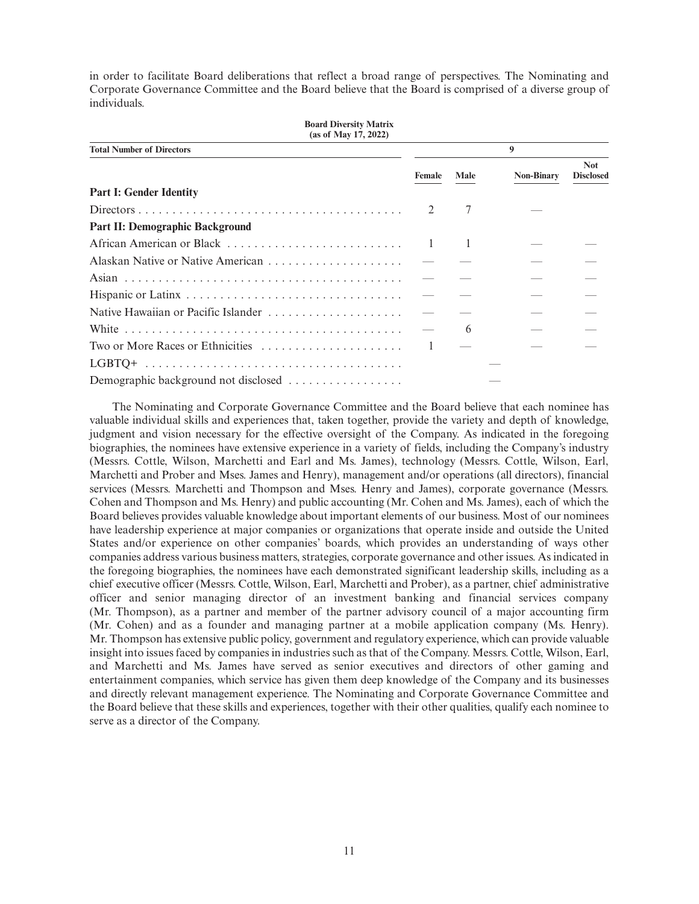in order to facilitate Board deliberations that reflect a broad range of perspectives. The Nominating and Corporate Governance Committee and the Board believe that the Board is comprised of a diverse group of individuals.

| <b>Board Diversity Matrix</b><br>(as of May 17, 2022) |              |      |                   |                                |
|-------------------------------------------------------|--------------|------|-------------------|--------------------------------|
| <b>Total Number of Directors</b>                      |              |      | 9                 |                                |
|                                                       | Female       | Male | <b>Non-Binary</b> | <b>Not</b><br><b>Disclosed</b> |
| <b>Part I: Gender Identity</b>                        |              |      |                   |                                |
|                                                       |              | 7    |                   |                                |
| <b>Part II: Demographic Background</b>                |              |      |                   |                                |
|                                                       | $\mathbf{1}$ |      |                   |                                |
|                                                       |              |      |                   |                                |
|                                                       |              |      |                   |                                |
|                                                       |              |      |                   |                                |
| Native Hawaiian or Pacific Islander                   |              |      |                   |                                |
|                                                       |              | 6    |                   |                                |
| Two or More Races or Ethnicities                      |              |      |                   |                                |
|                                                       |              |      |                   |                                |
| Demographic background not disclosed                  |              |      |                   |                                |

The Nominating and Corporate Governance Committee and the Board believe that each nominee has valuable individual skills and experiences that, taken together, provide the variety and depth of knowledge, judgment and vision necessary for the effective oversight of the Company. As indicated in the foregoing biographies, the nominees have extensive experience in a variety of fields, including the Company's industry (Messrs. Cottle, Wilson, Marchetti and Earl and Ms. James), technology (Messrs. Cottle, Wilson, Earl, Marchetti and Prober and Mses. James and Henry), management and/or operations (all directors), financial services (Messrs. Marchetti and Thompson and Mses. Henry and James), corporate governance (Messrs. Cohen and Thompson and Ms. Henry) and public accounting (Mr. Cohen and Ms. James), each of which the Board believes provides valuable knowledge about important elements of our business. Most of our nominees have leadership experience at major companies or organizations that operate inside and outside the United States and/or experience on other companies' boards, which provides an understanding of ways other companies address various business matters, strategies, corporate governance and other issues. As indicated in the foregoing biographies, the nominees have each demonstrated significant leadership skills, including as a chief executive officer (Messrs. Cottle, Wilson, Earl, Marchetti and Prober), as a partner, chief administrative officer and senior managing director of an investment banking and financial services company (Mr. Thompson), as a partner and member of the partner advisory council of a major accounting firm (Mr. Cohen) and as a founder and managing partner at a mobile application company (Ms. Henry). Mr. Thompson has extensive public policy, government and regulatory experience, which can provide valuable insight into issues faced by companies in industries such as that of the Company. Messrs. Cottle, Wilson, Earl, and Marchetti and Ms. James have served as senior executives and directors of other gaming and entertainment companies, which service has given them deep knowledge of the Company and its businesses and directly relevant management experience. The Nominating and Corporate Governance Committee and the Board believe that these skills and experiences, together with their other qualities, qualify each nominee to serve as a director of the Company.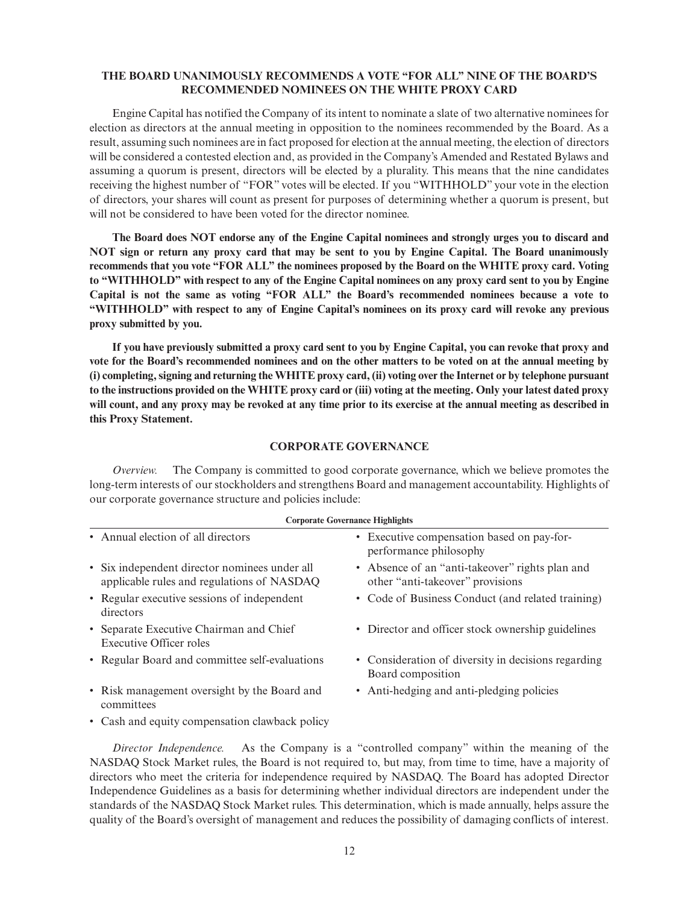## **THE BOARD UNANIMOUSLY RECOMMENDS A VOTE "FOR ALL" NINE OF THE BOARD'S RECOMMENDED NOMINEES ON THE WHITE PROXY CARD**

Engine Capital has notified the Company of its intent to nominate a slate of two alternative nominees for election as directors at the annual meeting in opposition to the nominees recommended by the Board. As a result, assuming such nominees are in fact proposed for election at the annual meeting, the election of directors will be considered a contested election and, as provided in the Company's Amended and Restated Bylaws and assuming a quorum is present, directors will be elected by a plurality. This means that the nine candidates receiving the highest number of "FOR" votes will be elected. If you "WITHHOLD" your vote in the election of directors, your shares will count as present for purposes of determining whether a quorum is present, but will not be considered to have been voted for the director nominee.

**The Board does NOT endorse any of the Engine Capital nominees and strongly urges you to discard and NOT sign or return any proxy card that may be sent to you by Engine Capital. The Board unanimously recommends that you vote "FOR ALL" the nominees proposed by the Board on the WHITE proxy card. Voting to "WITHHOLD" with respect to any of the Engine Capital nominees on any proxy card sent to you by Engine Capital is not the same as voting "FOR ALL" the Board's recommended nominees because a vote to "WITHHOLD" with respect to any of Engine Capital's nominees on its proxy card will revoke any previous proxy submitted by you.**

**If you have previously submitted a proxy card sent to you by Engine Capital, you can revoke that proxy and vote for the Board's recommended nominees and on the other matters to be voted on at the annual meeting by (i) completing, signing and returning the WHITE proxy card, (ii) voting over the Internet or by telephone pursuant to the instructions provided on the WHITE proxy card or (iii) voting at the meeting. Only your latest dated proxy will count, and any proxy may be revoked at any time prior to its exercise at the annual meeting as described in this Proxy Statement.**

## **CORPORATE GOVERNANCE**

*Overview.* The Company is committed to good corporate governance, which we believe promotes the long-term interests of our stockholders and strengthens Board and management accountability. Highlights of our corporate governance structure and policies include:

| <b>Corporate Governance Highlights</b>                                                      |                                                                                      |  |  |
|---------------------------------------------------------------------------------------------|--------------------------------------------------------------------------------------|--|--|
| • Annual election of all directors                                                          | • Executive compensation based on pay-for-<br>performance philosophy                 |  |  |
| • Six independent director nominees under all<br>applicable rules and regulations of NASDAQ | • Absence of an "anti-take over" rights plan and<br>other "anti-takeover" provisions |  |  |
| • Regular executive sessions of independent<br>directors                                    | • Code of Business Conduct (and related training)                                    |  |  |
| • Separate Executive Chairman and Chief<br>Executive Officer roles                          | • Director and officer stock ownership guidelines                                    |  |  |
| • Regular Board and committee self-evaluations                                              | • Consideration of diversity in decisions regarding<br>Board composition             |  |  |
| • Risk management oversight by the Board and<br>committees                                  | • Anti-hedging and anti-pledging policies                                            |  |  |
| • Cash and equity compensation clawback policy                                              |                                                                                      |  |  |

# *Director Independence.* As the Company is a "controlled company" within the meaning of the NASDAQ Stock Market rules, the Board is not required to, but may, from time to time, have a majority of directors who meet the criteria for independence required by NASDAQ. The Board has adopted Director Independence Guidelines as a basis for determining whether individual directors are independent under the standards of the NASDAQ Stock Market rules. This determination, which is made annually, helps assure the quality of the Board's oversight of management and reduces the possibility of damaging conflicts of interest.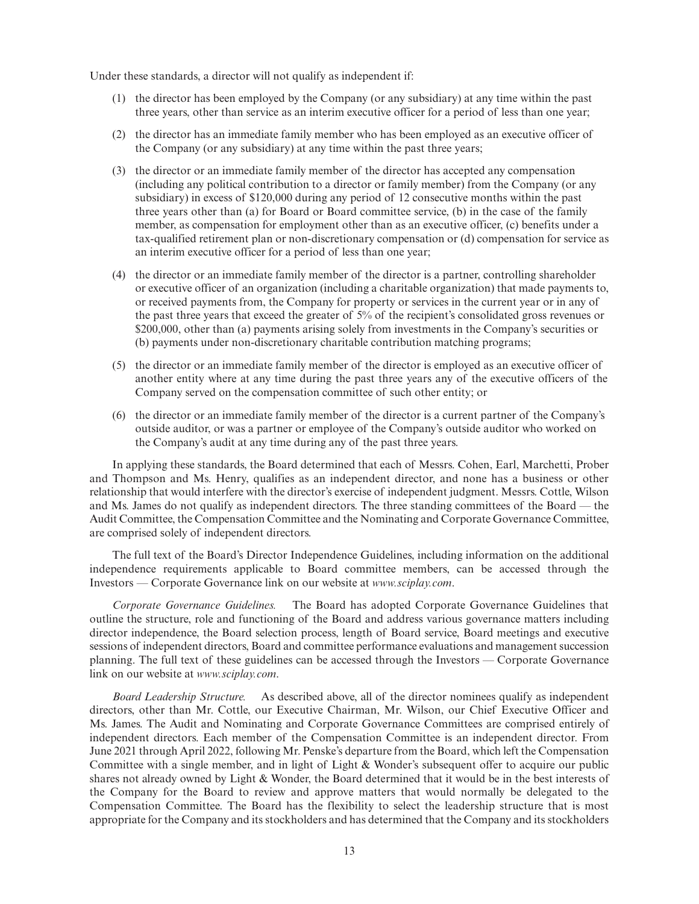Under these standards, a director will not qualify as independent if:

- (1) the director has been employed by the Company (or any subsidiary) at any time within the past three years, other than service as an interim executive officer for a period of less than one year;
- (2) the director has an immediate family member who has been employed as an executive officer of the Company (or any subsidiary) at any time within the past three years;
- (3) the director or an immediate family member of the director has accepted any compensation (including any political contribution to a director or family member) from the Company (or any subsidiary) in excess of \$120,000 during any period of 12 consecutive months within the past three years other than (a) for Board or Board committee service, (b) in the case of the family member, as compensation for employment other than as an executive officer, (c) benefits under a tax-qualified retirement plan or non-discretionary compensation or (d) compensation for service as an interim executive officer for a period of less than one year;
- (4) the director or an immediate family member of the director is a partner, controlling shareholder or executive officer of an organization (including a charitable organization) that made payments to, or received payments from, the Company for property or services in the current year or in any of the past three years that exceed the greater of 5% of the recipient's consolidated gross revenues or \$200,000, other than (a) payments arising solely from investments in the Company's securities or (b) payments under non-discretionary charitable contribution matching programs;
- (5) the director or an immediate family member of the director is employed as an executive officer of another entity where at any time during the past three years any of the executive officers of the Company served on the compensation committee of such other entity; or
- (6) the director or an immediate family member of the director is a current partner of the Company's outside auditor, or was a partner or employee of the Company's outside auditor who worked on the Company's audit at any time during any of the past three years.

In applying these standards, the Board determined that each of Messrs. Cohen, Earl, Marchetti, Prober and Thompson and Ms. Henry, qualifies as an independent director, and none has a business or other relationship that would interfere with the director's exercise of independent judgment. Messrs. Cottle, Wilson and Ms. James do not qualify as independent directors. The three standing committees of the Board — the Audit Committee, the Compensation Committee and the Nominating and Corporate Governance Committee, are comprised solely of independent directors.

The full text of the Board's Director Independence Guidelines, including information on the additional independence requirements applicable to Board committee members, can be accessed through the Investors — Corporate Governance link on our website at *www.sciplay.com*.

*Corporate Governance Guidelines.* The Board has adopted Corporate Governance Guidelines that outline the structure, role and functioning of the Board and address various governance matters including director independence, the Board selection process, length of Board service, Board meetings and executive sessions of independent directors, Board and committee performance evaluations and management succession planning. The full text of these guidelines can be accessed through the Investors — Corporate Governance link on our website at *www.sciplay.com*.

*Board Leadership Structure.* As described above, all of the director nominees qualify as independent directors, other than Mr. Cottle, our Executive Chairman, Mr. Wilson, our Chief Executive Officer and Ms. James. The Audit and Nominating and Corporate Governance Committees are comprised entirely of independent directors. Each member of the Compensation Committee is an independent director. From June 2021 through April 2022, following Mr. Penske's departure from the Board, which left the Compensation Committee with a single member, and in light of Light & Wonder's subsequent offer to acquire our public shares not already owned by Light & Wonder, the Board determined that it would be in the best interests of the Company for the Board to review and approve matters that would normally be delegated to the Compensation Committee. The Board has the flexibility to select the leadership structure that is most appropriate for the Company and its stockholders and has determined that the Company and its stockholders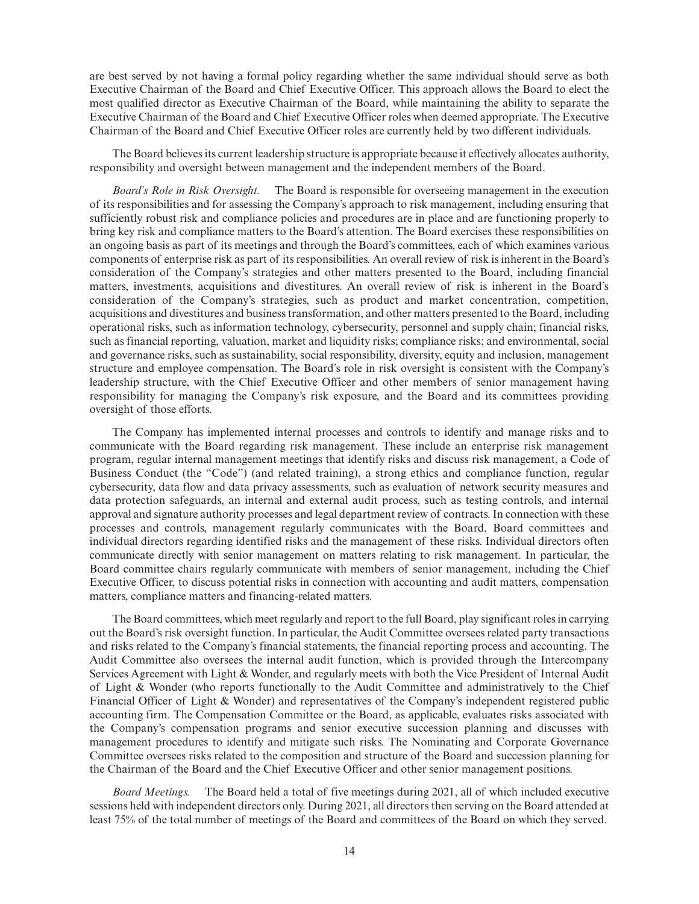are best served by not having a formal policy regarding whether the same individual should serve as both Executive Chairman of the Board and Chief Executive Officer. This approach allows the Board to elect the most qualified director as Executive Chairman of the Board, while maintaining the ability to separate the Executive Chairman of the Board and Chief Executive Officer roles when deemed appropriate. The Executive Chairman of the Board and Chief Executive Officer roles are currently held by two different individuals.

The Board believes its current leadership structure is appropriate because it effectively allocates authority, responsibility and oversight between management and the independent members of the Board.

*Board's Role in Risk Oversight.* The Board is responsible for overseeing management in the execution of its responsibilities and for assessing the Company's approach to risk management, including ensuring that sufficiently robust risk and compliance policies and procedures are in place and are functioning properly to bring key risk and compliance matters to the Board's attention. The Board exercises these responsibilities on an ongoing basis as part of its meetings and through the Board's committees, each of which examines various components of enterprise risk as part of its responsibilities. An overall review of risk is inherent in the Board's consideration of the Company's strategies and other matters presented to the Board, including financial matters, investments, acquisitions and divestitures. An overall review of risk is inherent in the Board's consideration of the Company's strategies, such as product and market concentration, competition, acquisitions and divestitures and business transformation, and other matters presented to the Board, including operational risks, such as information technology, cybersecurity, personnel and supply chain; financial risks, such as financial reporting, valuation, market and liquidity risks; compliance risks; and environmental, social and governance risks, such as sustainability, social responsibility, diversity, equity and inclusion, management structure and employee compensation. The Board's role in risk oversight is consistent with the Company's leadership structure, with the Chief Executive Officer and other members of senior management having responsibility for managing the Company's risk exposure, and the Board and its committees providing oversight of those efforts.

The Company has implemented internal processes and controls to identify and manage risks and to communicate with the Board regarding risk management. These include an enterprise risk management program, regular internal management meetings that identify risks and discuss risk management, a Code of Business Conduct (the "Code") (and related training), a strong ethics and compliance function, regular cybersecurity, data flow and data privacy assessments, such as evaluation of network security measures and data protection safeguards, an internal and external audit process, such as testing controls, and internal approval and signature authority processes and legal department review of contracts. In connection with these processes and controls, management regularly communicates with the Board, Board committees and individual directors regarding identified risks and the management of these risks. Individual directors often communicate directly with senior management on matters relating to risk management. In particular, the Board committee chairs regularly communicate with members of senior management, including the Chief Executive Officer, to discuss potential risks in connection with accounting and audit matters, compensation matters, compliance matters and financing-related matters.

The Board committees, which meet regularly and report to the full Board, play significant roles in carrying out the Board's risk oversight function. In particular, the Audit Committee oversees related party transactions and risks related to the Company's financial statements, the financial reporting process and accounting. The Audit Committee also oversees the internal audit function, which is provided through the Intercompany Services Agreement with Light & Wonder, and regularly meets with both the Vice President of Internal Audit of Light & Wonder (who reports functionally to the Audit Committee and administratively to the Chief Financial Officer of Light & Wonder) and representatives of the Company's independent registered public accounting firm. The Compensation Committee or the Board, as applicable, evaluates risks associated with the Company's compensation programs and senior executive succession planning and discusses with management procedures to identify and mitigate such risks. The Nominating and Corporate Governance Committee oversees risks related to the composition and structure of the Board and succession planning for the Chairman of the Board and the Chief Executive Officer and other senior management positions.

*Board Meetings.* The Board held a total of five meetings during 2021, all of which included executive sessions held with independent directors only. During 2021, all directors then serving on the Board attended at least 75% of the total number of meetings of the Board and committees of the Board on which they served.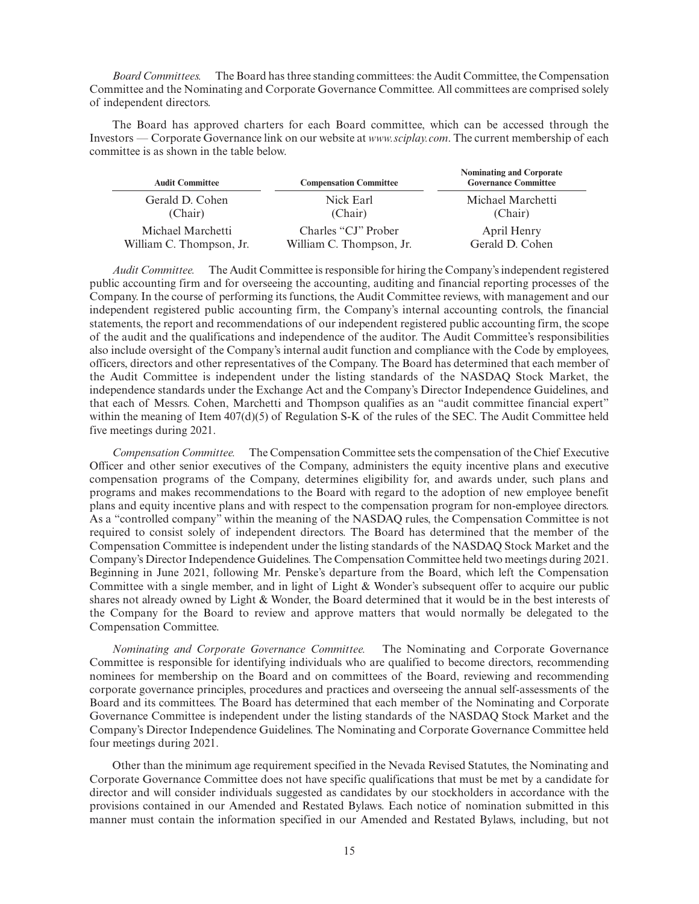*Board Committees.* The Board has three standing committees: the Audit Committee, the Compensation Committee and the Nominating and Corporate Governance Committee. All committees are comprised solely of independent directors.

The Board has approved charters for each Board committee, which can be accessed through the Investors — Corporate Governance link on our website at *www.sciplay.com*. The current membership of each committee is as shown in the table below.

| <b>Audit Committee</b>   | <b>Compensation Committee</b> | <b>Nominating and Corporate</b><br><b>Governance Committee</b> |
|--------------------------|-------------------------------|----------------------------------------------------------------|
| Gerald D. Cohen          | Nick Earl                     | Michael Marchetti                                              |
| (Chair)                  | (Chair)                       | (Chair)                                                        |
| Michael Marchetti        | Charles "CJ" Prober           | April Henry                                                    |
| William C. Thompson, Jr. | William C. Thompson, Jr.      | Gerald D. Cohen                                                |

*Audit Committee.* The Audit Committee is responsible for hiring the Company's independent registered public accounting firm and for overseeing the accounting, auditing and financial reporting processes of the Company. In the course of performing its functions, the Audit Committee reviews, with management and our independent registered public accounting firm, the Company's internal accounting controls, the financial statements, the report and recommendations of our independent registered public accounting firm, the scope of the audit and the qualifications and independence of the auditor. The Audit Committee's responsibilities also include oversight of the Company's internal audit function and compliance with the Code by employees, officers, directors and other representatives of the Company. The Board has determined that each member of the Audit Committee is independent under the listing standards of the NASDAQ Stock Market, the independence standards under the Exchange Act and the Company's Director Independence Guidelines, and that each of Messrs. Cohen, Marchetti and Thompson qualifies as an "audit committee financial expert" within the meaning of Item  $407(d)(5)$  of Regulation S-K of the rules of the SEC. The Audit Committee held five meetings during 2021.

*Compensation Committee.* The Compensation Committee sets the compensation of the Chief Executive Officer and other senior executives of the Company, administers the equity incentive plans and executive compensation programs of the Company, determines eligibility for, and awards under, such plans and programs and makes recommendations to the Board with regard to the adoption of new employee benefit plans and equity incentive plans and with respect to the compensation program for non-employee directors. As a "controlled company" within the meaning of the NASDAQ rules, the Compensation Committee is not required to consist solely of independent directors. The Board has determined that the member of the Compensation Committee is independent under the listing standards of the NASDAQ Stock Market and the Company's Director Independence Guidelines. The Compensation Committee held two meetings during 2021. Beginning in June 2021, following Mr. Penske's departure from the Board, which left the Compensation Committee with a single member, and in light of Light & Wonder's subsequent offer to acquire our public shares not already owned by Light & Wonder, the Board determined that it would be in the best interests of the Company for the Board to review and approve matters that would normally be delegated to the Compensation Committee.

*Nominating and Corporate Governance Committee.* The Nominating and Corporate Governance Committee is responsible for identifying individuals who are qualified to become directors, recommending nominees for membership on the Board and on committees of the Board, reviewing and recommending corporate governance principles, procedures and practices and overseeing the annual self-assessments of the Board and its committees. The Board has determined that each member of the Nominating and Corporate Governance Committee is independent under the listing standards of the NASDAQ Stock Market and the Company's Director Independence Guidelines. The Nominating and Corporate Governance Committee held four meetings during 2021.

Other than the minimum age requirement specified in the Nevada Revised Statutes, the Nominating and Corporate Governance Committee does not have specific qualifications that must be met by a candidate for director and will consider individuals suggested as candidates by our stockholders in accordance with the provisions contained in our Amended and Restated Bylaws. Each notice of nomination submitted in this manner must contain the information specified in our Amended and Restated Bylaws, including, but not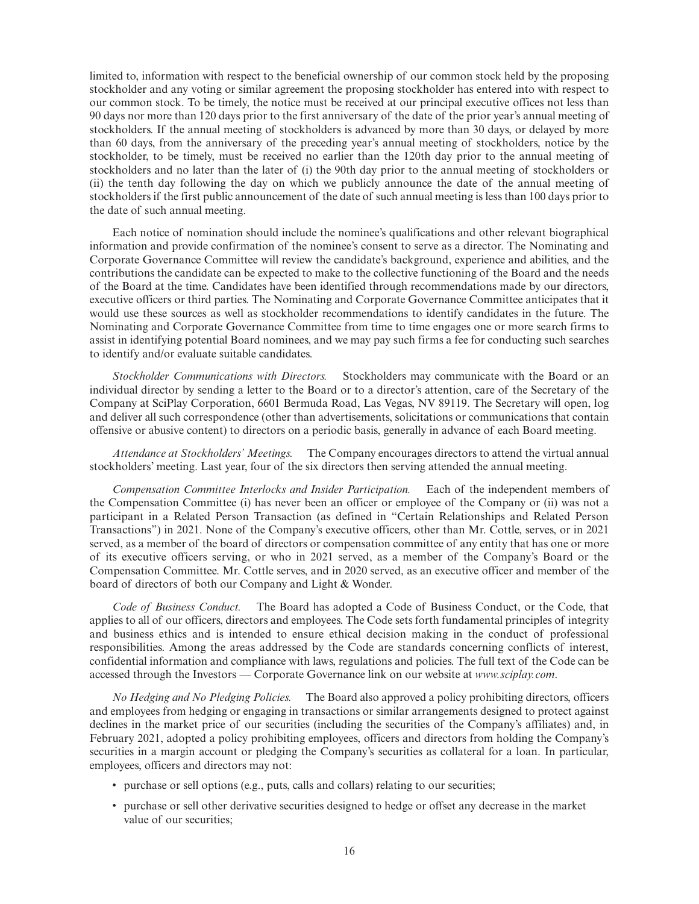limited to, information with respect to the beneficial ownership of our common stock held by the proposing stockholder and any voting or similar agreement the proposing stockholder has entered into with respect to our common stock. To be timely, the notice must be received at our principal executive offices not less than 90 days nor more than 120 days prior to the first anniversary of the date of the prior year's annual meeting of stockholders. If the annual meeting of stockholders is advanced by more than 30 days, or delayed by more than 60 days, from the anniversary of the preceding year's annual meeting of stockholders, notice by the stockholder, to be timely, must be received no earlier than the 120th day prior to the annual meeting of stockholders and no later than the later of (i) the 90th day prior to the annual meeting of stockholders or (ii) the tenth day following the day on which we publicly announce the date of the annual meeting of stockholders if the first public announcement of the date of such annual meeting is less than 100 days prior to the date of such annual meeting.

Each notice of nomination should include the nominee's qualifications and other relevant biographical information and provide confirmation of the nominee's consent to serve as a director. The Nominating and Corporate Governance Committee will review the candidate's background, experience and abilities, and the contributions the candidate can be expected to make to the collective functioning of the Board and the needs of the Board at the time. Candidates have been identified through recommendations made by our directors, executive officers or third parties. The Nominating and Corporate Governance Committee anticipates that it would use these sources as well as stockholder recommendations to identify candidates in the future. The Nominating and Corporate Governance Committee from time to time engages one or more search firms to assist in identifying potential Board nominees, and we may pay such firms a fee for conducting such searches to identify and/or evaluate suitable candidates.

*Stockholder Communications with Directors.* Stockholders may communicate with the Board or an individual director by sending a letter to the Board or to a director's attention, care of the Secretary of the Company at SciPlay Corporation, 6601 Bermuda Road, Las Vegas, NV 89119. The Secretary will open, log and deliver all such correspondence (other than advertisements, solicitations or communications that contain offensive or abusive content) to directors on a periodic basis, generally in advance of each Board meeting.

*Attendance at Stockholders' Meetings.* The Company encourages directors to attend the virtual annual stockholders' meeting. Last year, four of the six directors then serving attended the annual meeting.

*Compensation Committee Interlocks and Insider Participation.* Each of the independent members of the Compensation Committee (i) has never been an officer or employee of the Company or (ii) was not a participant in a Related Person Transaction (as defined in "Certain Relationships and Related Person Transactions") in 2021. None of the Company's executive officers, other than Mr. Cottle, serves, or in 2021 served, as a member of the board of directors or compensation committee of any entity that has one or more of its executive officers serving, or who in 2021 served, as a member of the Company's Board or the Compensation Committee. Mr. Cottle serves, and in 2020 served, as an executive officer and member of the board of directors of both our Company and Light & Wonder.

*Code of Business Conduct.* The Board has adopted a Code of Business Conduct, or the Code, that applies to all of our officers, directors and employees. The Code sets forth fundamental principles of integrity and business ethics and is intended to ensure ethical decision making in the conduct of professional responsibilities. Among the areas addressed by the Code are standards concerning conflicts of interest, confidential information and compliance with laws, regulations and policies. The full text of the Code can be accessed through the Investors — Corporate Governance link on our website at *www.sciplay.com*.

*No Hedging and No Pledging Policies.* The Board also approved a policy prohibiting directors, officers and employees from hedging or engaging in transactions or similar arrangements designed to protect against declines in the market price of our securities (including the securities of the Company's affiliates) and, in February 2021, adopted a policy prohibiting employees, officers and directors from holding the Company's securities in a margin account or pledging the Company's securities as collateral for a loan. In particular, employees, officers and directors may not:

- purchase or sell options (e.g., puts, calls and collars) relating to our securities;
- purchase or sell other derivative securities designed to hedge or offset any decrease in the market value of our securities;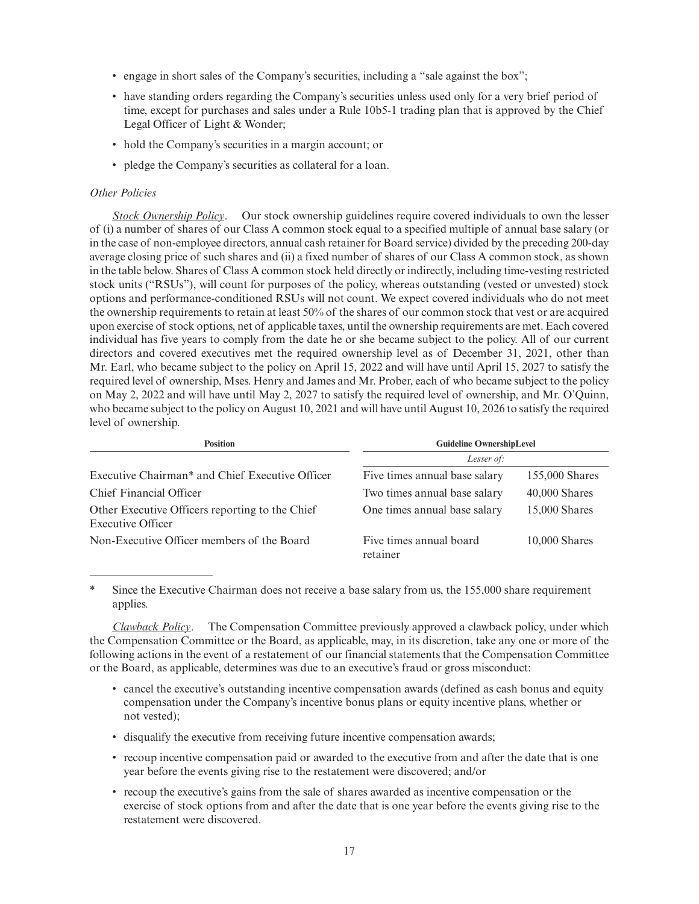- engage in short sales of the Company's securities, including a "sale against the box";
- have standing orders regarding the Company's securities unless used only for a very brief period of time, except for purchases and sales under a Rule 10b5-1 trading plan that is approved by the Chief Legal Officer of Light & Wonder;
- hold the Company's securities in a margin account; or
- pledge the Company's securities as collateral for a loan.

## *Other Policies*

*Stock Ownership Policy*. Our stock ownership guidelines require covered individuals to own the lesser of (i) a number of shares of our Class A common stock equal to a specified multiple of annual base salary (or in the case of non-employee directors, annual cash retainer for Board service) divided by the preceding 200-day average closing price of such shares and (ii) a fixed number of shares of our Class A common stock, as shown in the table below. Shares of Class A common stock held directly or indirectly, including time-vesting restricted stock units ("RSUs"), will count for purposes of the policy, whereas outstanding (vested or unvested) stock options and performance-conditioned RSUs will not count. We expect covered individuals who do not meet the ownership requirements to retain at least 50% of the shares of our common stock that vest or are acquired upon exercise of stock options, net of applicable taxes, until the ownership requirements are met. Each covered individual has five years to comply from the date he or she became subject to the policy. All of our current directors and covered executives met the required ownership level as of December 31, 2021, other than Mr. Earl, who became subject to the policy on April 15, 2022 and will have until April 15, 2027 to satisfy the required level of ownership, Mses. Henry and James and Mr. Prober, each of who became subject to the policy on May 2, 2022 and will have until May 2, 2027 to satisfy the required level of ownership, and Mr. O'Quinn, who became subject to the policy on August 10, 2021 and will have until August 10, 2026 to satisfy the required level of ownership.

| <b>Position</b>                                                      | <b>Guideline OwnershipLevel</b>     |                 |  |  |
|----------------------------------------------------------------------|-------------------------------------|-----------------|--|--|
|                                                                      | Lesser of:                          |                 |  |  |
| Executive Chairman* and Chief Executive Officer                      | Five times annual base salary       | 155,000 Shares  |  |  |
| Chief Financial Officer                                              | Two times annual base salary        | $40,000$ Shares |  |  |
| Other Executive Officers reporting to the Chief<br>Executive Officer | One times annual base salary        | $15,000$ Shares |  |  |
| Non-Executive Officer members of the Board                           | Five times annual board<br>retainer | $10,000$ Shares |  |  |

Since the Executive Chairman does not receive a base salary from us, the 155,000 share requirement applies.

*Clawback Policy*. The Compensation Committee previously approved a clawback policy, under which the Compensation Committee or the Board, as applicable, may, in its discretion, take any one or more of the following actions in the event of a restatement of our financial statements that the Compensation Committee or the Board, as applicable, determines was due to an executive's fraud or gross misconduct:

- cancel the executive's outstanding incentive compensation awards (defined as cash bonus and equity compensation under the Company's incentive bonus plans or equity incentive plans, whether or not vested);
- disqualify the executive from receiving future incentive compensation awards;
- recoup incentive compensation paid or awarded to the executive from and after the date that is one year before the events giving rise to the restatement were discovered; and/or
- recoup the executive's gains from the sale of shares awarded as incentive compensation or the exercise of stock options from and after the date that is one year before the events giving rise to the restatement were discovered.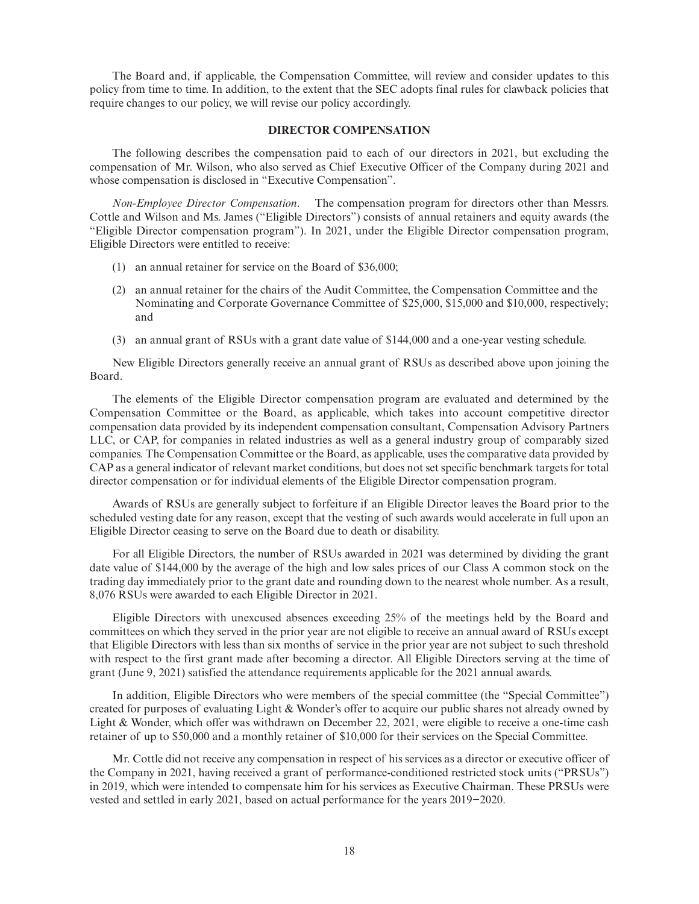The Board and, if applicable, the Compensation Committee, will review and consider updates to this policy from time to time. In addition, to the extent that the SEC adopts final rules for clawback policies that require changes to our policy, we will revise our policy accordingly.

#### **DIRECTOR COMPENSATION**

The following describes the compensation paid to each of our directors in 2021, but excluding the compensation of Mr. Wilson, who also served as Chief Executive Officer of the Company during 2021 and whose compensation is disclosed in "Executive Compensation".

*Non-Employee Director Compensation*. The compensation program for directors other than Messrs. Cottle and Wilson and Ms. James ("Eligible Directors") consists of annual retainers and equity awards (the "Eligible Director compensation program"). In 2021, under the Eligible Director compensation program, Eligible Directors were entitled to receive:

- (1) an annual retainer for service on the Board of \$36,000;
- (2) an annual retainer for the chairs of the Audit Committee, the Compensation Committee and the Nominating and Corporate Governance Committee of \$25,000, \$15,000 and \$10,000, respectively; and
- (3) an annual grant of RSUs with a grant date value of \$144,000 and a one-year vesting schedule.

New Eligible Directors generally receive an annual grant of RSUs as described above upon joining the Board.

The elements of the Eligible Director compensation program are evaluated and determined by the Compensation Committee or the Board, as applicable, which takes into account competitive director compensation data provided by its independent compensation consultant, Compensation Advisory Partners LLC, or CAP, for companies in related industries as well as a general industry group of comparably sized companies. The Compensation Committee or the Board, as applicable, uses the comparative data provided by CAP as a general indicator of relevant market conditions, but does not set specific benchmark targets for total director compensation or for individual elements of the Eligible Director compensation program.

Awards of RSUs are generally subject to forfeiture if an Eligible Director leaves the Board prior to the scheduled vesting date for any reason, except that the vesting of such awards would accelerate in full upon an Eligible Director ceasing to serve on the Board due to death or disability.

For all Eligible Directors, the number of RSUs awarded in 2021 was determined by dividing the grant date value of \$144,000 by the average of the high and low sales prices of our Class A common stock on the trading day immediately prior to the grant date and rounding down to the nearest whole number. As a result, 8,076 RSUs were awarded to each Eligible Director in 2021.

Eligible Directors with unexcused absences exceeding 25% of the meetings held by the Board and committees on which they served in the prior year are not eligible to receive an annual award of RSUs except that Eligible Directors with less than six months of service in the prior year are not subject to such threshold with respect to the first grant made after becoming a director. All Eligible Directors serving at the time of grant (June 9, 2021) satisfied the attendance requirements applicable for the 2021 annual awards.

In addition, Eligible Directors who were members of the special committee (the "Special Committee") created for purposes of evaluating Light & Wonder's offer to acquire our public shares not already owned by Light & Wonder, which offer was withdrawn on December 22, 2021, were eligible to receive a one-time cash retainer of up to \$50,000 and a monthly retainer of \$10,000 for their services on the Special Committee.

Mr. Cottle did not receive any compensation in respect of his services as a director or executive officer of the Company in 2021, having received a grant of performance-conditioned restricted stock units ("PRSUs") in 2019, which were intended to compensate him for his services as Executive Chairman. These PRSUs were vested and settled in early 2021, based on actual performance for the years 2019−2020.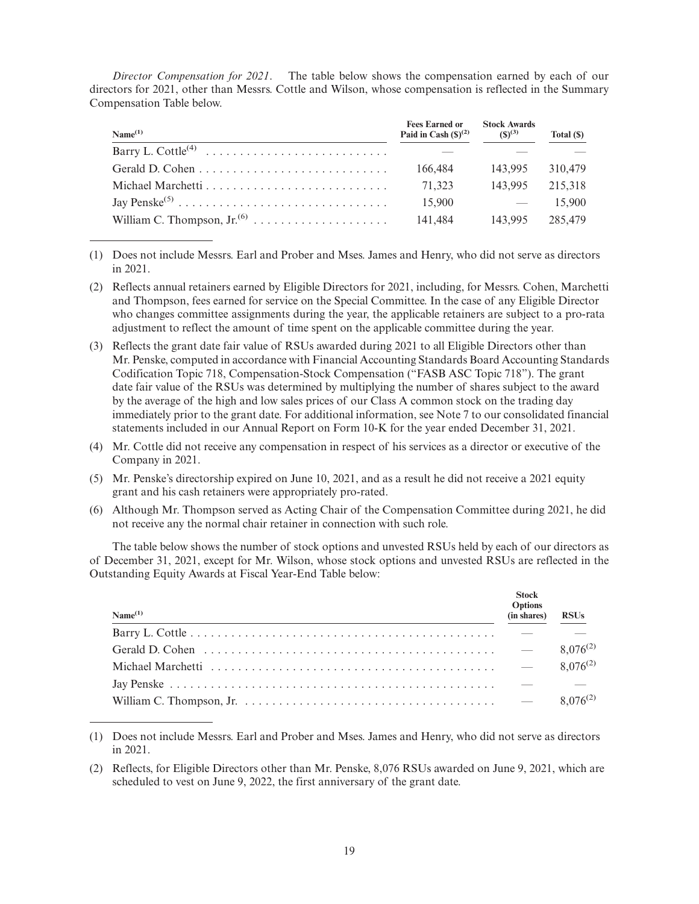*Director Compensation for 2021*. The table below shows the compensation earned by each of our directors for 2021, other than Messrs. Cottle and Wilson, whose compensation is reflected in the Summary Compensation Table below.

| Name <sup>(1)</sup> | <b>Fees Earned or</b><br>Paid in Cash $(\mathcal{S})^{(2)}$ | <b>Stock Awards</b><br>$(S)^{(3)}$ | Total (\$) |
|---------------------|-------------------------------------------------------------|------------------------------------|------------|
|                     |                                                             |                                    |            |
|                     | 166,484                                                     | 143.995                            | 310,479    |
|                     | 71.323                                                      | 143.995                            | 215,318    |
|                     | 15,900                                                      | $\sim$ $-$                         | 15.900     |
|                     | 141.484                                                     | 143.995                            | 285,479    |

<sup>(1)</sup> Does not include Messrs. Earl and Prober and Mses. James and Henry, who did not serve as directors in 2021.

- (2) Reflects annual retainers earned by Eligible Directors for 2021, including, for Messrs. Cohen, Marchetti and Thompson, fees earned for service on the Special Committee. In the case of any Eligible Director who changes committee assignments during the year, the applicable retainers are subject to a pro-rata adjustment to reflect the amount of time spent on the applicable committee during the year.
- (3) Reflects the grant date fair value of RSUs awarded during 2021 to all Eligible Directors other than Mr. Penske, computed in accordance with Financial Accounting Standards Board Accounting Standards Codification Topic 718, Compensation-Stock Compensation ("FASB ASC Topic 718"). The grant date fair value of the RSUs was determined by multiplying the number of shares subject to the award by the average of the high and low sales prices of our Class A common stock on the trading day immediately prior to the grant date. For additional information, see Note 7 to our consolidated financial statements included in our Annual Report on Form 10-K for the year ended December 31, 2021.
- (4) Mr. Cottle did not receive any compensation in respect of his services as a director or executive of the Company in 2021.
- (5) Mr. Penske's directorship expired on June 10, 2021, and as a result he did not receive a 2021 equity grant and his cash retainers were appropriately pro-rated.
- (6) Although Mr. Thompson served as Acting Chair of the Compensation Committee during 2021, he did not receive any the normal chair retainer in connection with such role.

The table below shows the number of stock options and unvested RSUs held by each of our directors as of December 31, 2021, except for Mr. Wilson, whose stock options and unvested RSUs are reflected in the Outstanding Equity Awards at Fiscal Year-End Table below:

| Name <sup>(1)</sup> | <b>Stock</b><br><b>Options</b><br>(in shares) | <b>RSUs</b>   |
|---------------------|-----------------------------------------------|---------------|
|                     |                                               |               |
|                     | $\sim$ $-$                                    | $8.076^{(2)}$ |
|                     | $\overline{\phantom{0}}$                      | $8.076^{(2)}$ |
|                     |                                               |               |
|                     |                                               | $8.076^{(2)}$ |

<sup>(1)</sup> Does not include Messrs. Earl and Prober and Mses. James and Henry, who did not serve as directors in 2021.

<sup>(2)</sup> Reflects, for Eligible Directors other than Mr. Penske, 8,076 RSUs awarded on June 9, 2021, which are scheduled to vest on June 9, 2022, the first anniversary of the grant date.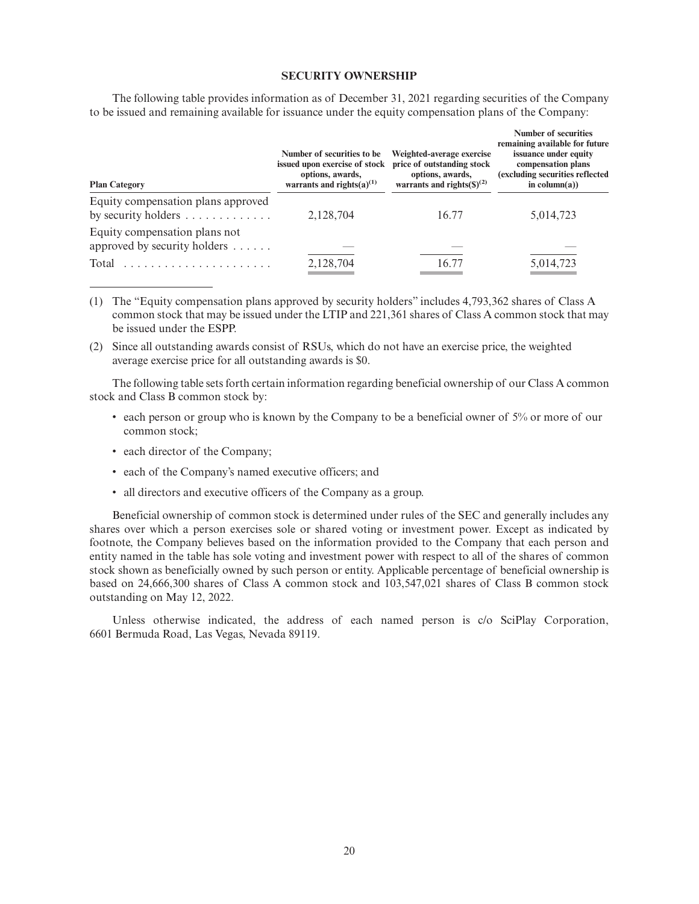## **SECURITY OWNERSHIP**

| <b>Plan Category</b>                                                          | Number of securities to be<br>issued upon exercise of stock<br>options, awards,<br>warrants and rights $(a)^{(1)}$ | Weighted-average exercise<br>price of outstanding stock<br>options, awards,<br>warrants and rights $(S)^{(2)}$ | Number of securities<br>remaining available for future<br>issuance under equity<br>compensation plans<br>(excluding securities reflected<br>in column(a)) |  |
|-------------------------------------------------------------------------------|--------------------------------------------------------------------------------------------------------------------|----------------------------------------------------------------------------------------------------------------|-----------------------------------------------------------------------------------------------------------------------------------------------------------|--|
| Equity compensation plans approved<br>by security holders $\dots \dots \dots$ | 2,128,704                                                                                                          | 16.77                                                                                                          | 5,014,723                                                                                                                                                 |  |
| Equity compensation plans not<br>approved by security holders $\dots$ .       |                                                                                                                    |                                                                                                                |                                                                                                                                                           |  |
| Total                                                                         | 2,128,704                                                                                                          | 16.77                                                                                                          | 5,014,723                                                                                                                                                 |  |

The following table provides information as of December 31, 2021 regarding securities of the Company to be issued and remaining available for issuance under the equity compensation plans of the Company:

- (1) The "Equity compensation plans approved by security holders" includes 4,793,362 shares of Class A common stock that may be issued under the LTIP and 221,361 shares of Class A common stock that may be issued under the ESPP.
- (2) Since all outstanding awards consist of RSUs, which do not have an exercise price, the weighted average exercise price for all outstanding awards is \$0.

The following table sets forth certain information regarding beneficial ownership of our Class A common stock and Class B common stock by:

- each person or group who is known by the Company to be a beneficial owner of 5% or more of our common stock;
- each director of the Company;
- each of the Company's named executive officers; and
- all directors and executive officers of the Company as a group.

Beneficial ownership of common stock is determined under rules of the SEC and generally includes any shares over which a person exercises sole or shared voting or investment power. Except as indicated by footnote, the Company believes based on the information provided to the Company that each person and entity named in the table has sole voting and investment power with respect to all of the shares of common stock shown as beneficially owned by such person or entity. Applicable percentage of beneficial ownership is based on 24,666,300 shares of Class A common stock and 103,547,021 shares of Class B common stock outstanding on May 12, 2022.

Unless otherwise indicated, the address of each named person is c/o SciPlay Corporation, 6601 Bermuda Road, Las Vegas, Nevada 89119.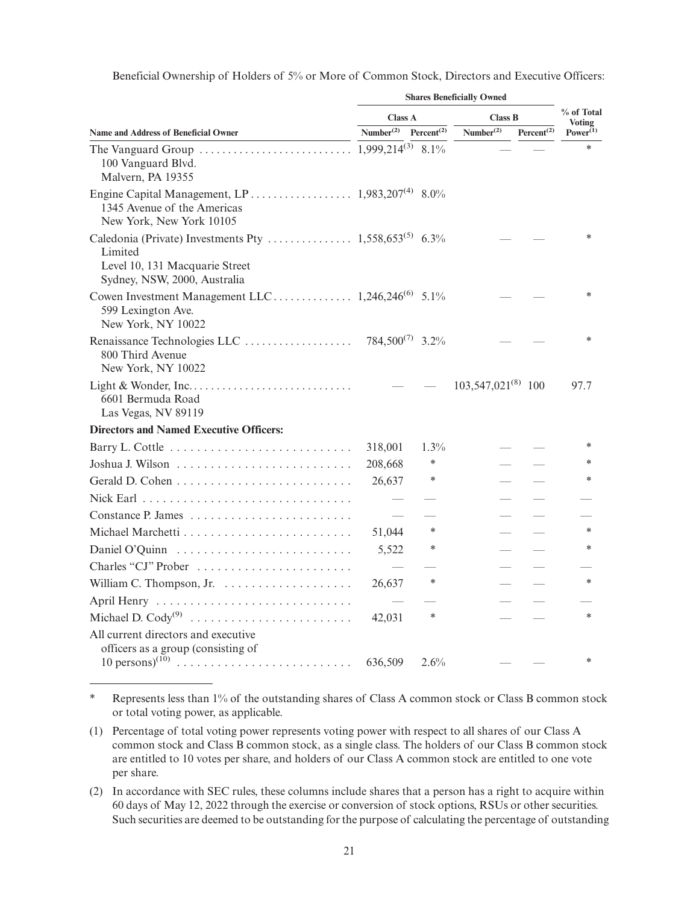Beneficial Ownership of Holders of 5% or More of Common Stock, Directors and Executive Officers:

|                                                                                                                        | <b>Shares Beneficially Owned</b> |                                     |                         |                        |                                |
|------------------------------------------------------------------------------------------------------------------------|----------------------------------|-------------------------------------|-------------------------|------------------------|--------------------------------|
|                                                                                                                        | <b>Class A</b>                   |                                     | <b>Class B</b>          |                        | % of Total                     |
| <b>Name and Address of Beneficial Owner</b>                                                                            | Number <sup>(2)</sup>            | Percent <sup><math>(2)</math></sup> | Number <sup>(2)</sup>   | Percent <sup>(2)</sup> | <b>Voting</b><br>$Power^{(1)}$ |
| 100 Vanguard Blvd.<br>Malvern, PA 19355                                                                                |                                  |                                     |                         |                        | ×                              |
| Engine Capital Management, LP 1,983,207 <sup>(4)</sup> 8.0%<br>1345 Avenue of the Americas<br>New York, New York 10105 |                                  |                                     |                         |                        |                                |
| Limited<br>Level 10, 131 Macquarie Street<br>Sydney, NSW, 2000, Australia                                              |                                  |                                     |                         |                        | $\ast$                         |
| 599 Lexington Ave.<br>New York, NY 10022                                                                               |                                  |                                     |                         |                        | $\ast$                         |
| 800 Third Avenue<br>New York, NY 10022                                                                                 |                                  |                                     |                         |                        | $\ast$                         |
| 6601 Bermuda Road<br>Las Vegas, NV 89119                                                                               |                                  |                                     | $103,547,021^{(8)}$ 100 |                        | 97.7                           |
| <b>Directors and Named Executive Officers:</b>                                                                         |                                  |                                     |                         |                        |                                |
|                                                                                                                        | 318,001                          | $1.3\%$                             |                         |                        | $\ast$                         |
|                                                                                                                        | 208,668                          | $\ast$                              |                         |                        | *                              |
|                                                                                                                        | 26,637                           | ∗                                   |                         |                        | $\ast$                         |
|                                                                                                                        |                                  |                                     |                         |                        |                                |
|                                                                                                                        |                                  |                                     |                         |                        |                                |
|                                                                                                                        | 51,044                           | ∗                                   |                         |                        | $\ast$                         |
|                                                                                                                        | 5,522                            | ∗                                   |                         |                        | *                              |
| Charles "CJ" Prober                                                                                                    |                                  |                                     |                         |                        |                                |
|                                                                                                                        | 26,637                           | ∗                                   |                         |                        | $\ast$                         |
| April Henry                                                                                                            |                                  |                                     |                         |                        |                                |
|                                                                                                                        | 42,031                           | $\ast$                              |                         |                        | $\ast$                         |
| All current directors and executive                                                                                    |                                  |                                     |                         |                        |                                |
| officers as a group (consisting of<br>$10 \text{ persons}^{(10)}$                                                      | 636,509                          | 2.6%                                |                         |                        | $\ast$                         |

<sup>\*</sup> Represents less than 1% of the outstanding shares of Class A common stock or Class B common stock or total voting power, as applicable.

<sup>(1)</sup> Percentage of total voting power represents voting power with respect to all shares of our Class A common stock and Class B common stock, as a single class. The holders of our Class B common stock are entitled to 10 votes per share, and holders of our Class A common stock are entitled to one vote per share.

<sup>(2)</sup> In accordance with SEC rules, these columns include shares that a person has a right to acquire within 60 days of May 12, 2022 through the exercise or conversion of stock options, RSUs or other securities. Such securities are deemed to be outstanding for the purpose of calculating the percentage of outstanding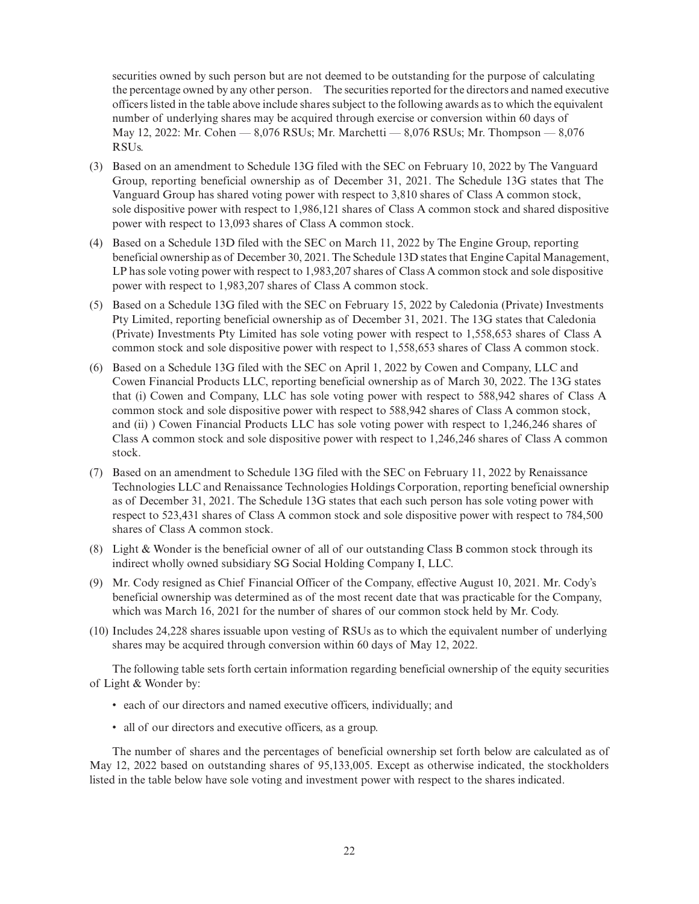securities owned by such person but are not deemed to be outstanding for the purpose of calculating the percentage owned by any other person. The securities reported for the directors and named executive officers listed in the table above include shares subject to the following awards as to which the equivalent number of underlying shares may be acquired through exercise or conversion within 60 days of May 12, 2022: Mr. Cohen — 8,076 RSUs; Mr. Marchetti — 8,076 RSUs; Mr. Thompson — 8,076 RSUs.

- (3) Based on an amendment to Schedule 13G filed with the SEC on February 10, 2022 by The Vanguard Group, reporting beneficial ownership as of December 31, 2021. The Schedule 13G states that The Vanguard Group has shared voting power with respect to 3,810 shares of Class A common stock, sole dispositive power with respect to 1,986,121 shares of Class A common stock and shared dispositive power with respect to 13,093 shares of Class A common stock.
- (4) Based on a Schedule 13D filed with the SEC on March 11, 2022 by The Engine Group, reporting beneficial ownership as of December 30, 2021. The Schedule 13D states that Engine Capital Management, LP has sole voting power with respect to 1,983,207 shares of Class A common stock and sole dispositive power with respect to 1,983,207 shares of Class A common stock.
- (5) Based on a Schedule 13G filed with the SEC on February 15, 2022 by Caledonia (Private) Investments Pty Limited, reporting beneficial ownership as of December 31, 2021. The 13G states that Caledonia (Private) Investments Pty Limited has sole voting power with respect to 1,558,653 shares of Class A common stock and sole dispositive power with respect to 1,558,653 shares of Class A common stock.
- (6) Based on a Schedule 13G filed with the SEC on April 1, 2022 by Cowen and Company, LLC and Cowen Financial Products LLC, reporting beneficial ownership as of March 30, 2022. The 13G states that (i) Cowen and Company, LLC has sole voting power with respect to 588,942 shares of Class A common stock and sole dispositive power with respect to 588,942 shares of Class A common stock, and (ii) ) Cowen Financial Products LLC has sole voting power with respect to 1,246,246 shares of Class A common stock and sole dispositive power with respect to 1,246,246 shares of Class A common stock.
- (7) Based on an amendment to Schedule 13G filed with the SEC on February 11, 2022 by Renaissance Technologies LLC and Renaissance Technologies Holdings Corporation, reporting beneficial ownership as of December 31, 2021. The Schedule 13G states that each such person has sole voting power with respect to 523,431 shares of Class A common stock and sole dispositive power with respect to 784,500 shares of Class A common stock.
- (8) Light & Wonder is the beneficial owner of all of our outstanding Class B common stock through its indirect wholly owned subsidiary SG Social Holding Company I, LLC.
- (9) Mr. Cody resigned as Chief Financial Officer of the Company, effective August 10, 2021. Mr. Cody's beneficial ownership was determined as of the most recent date that was practicable for the Company, which was March 16, 2021 for the number of shares of our common stock held by Mr. Cody.
- (10) Includes 24,228 shares issuable upon vesting of RSUs as to which the equivalent number of underlying shares may be acquired through conversion within 60 days of May 12, 2022.

The following table sets forth certain information regarding beneficial ownership of the equity securities of Light & Wonder by:

- each of our directors and named executive officers, individually; and
- all of our directors and executive officers, as a group.

The number of shares and the percentages of beneficial ownership set forth below are calculated as of May 12, 2022 based on outstanding shares of 95,133,005. Except as otherwise indicated, the stockholders listed in the table below have sole voting and investment power with respect to the shares indicated.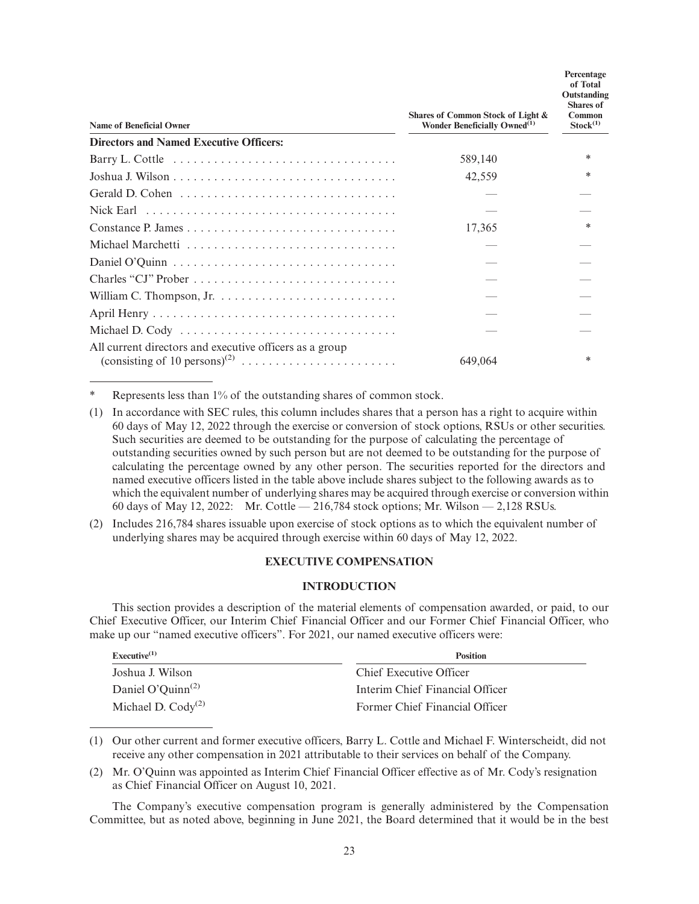| <b>Name of Beneficial Owner</b>                         | Shares of Common Stock of Light &<br>Wonder Beneficially Owned <sup>(1)</sup> | Percentage<br>of Total<br>Outstanding<br><b>Shares</b> of<br>Common<br>Stock <sup>(1)</sup> |
|---------------------------------------------------------|-------------------------------------------------------------------------------|---------------------------------------------------------------------------------------------|
| <b>Directors and Named Executive Officers:</b>          |                                                                               |                                                                                             |
|                                                         | 589,140                                                                       | $\ast$                                                                                      |
|                                                         | 42,559                                                                        | $\ast$                                                                                      |
|                                                         |                                                                               |                                                                                             |
|                                                         |                                                                               |                                                                                             |
|                                                         | 17,365                                                                        |                                                                                             |
|                                                         |                                                                               |                                                                                             |
|                                                         |                                                                               |                                                                                             |
|                                                         |                                                                               |                                                                                             |
|                                                         |                                                                               |                                                                                             |
|                                                         |                                                                               |                                                                                             |
| Michael D. Cody                                         |                                                                               |                                                                                             |
| All current directors and executive officers as a group | 649,064                                                                       | *                                                                                           |

Represents less than 1% of the outstanding shares of common stock.

- (1) In accordance with SEC rules, this column includes shares that a person has a right to acquire within 60 days of May 12, 2022 through the exercise or conversion of stock options, RSUs or other securities. Such securities are deemed to be outstanding for the purpose of calculating the percentage of outstanding securities owned by such person but are not deemed to be outstanding for the purpose of calculating the percentage owned by any other person. The securities reported for the directors and named executive officers listed in the table above include shares subject to the following awards as to which the equivalent number of underlying shares may be acquired through exercise or conversion within 60 days of May 12, 2022: Mr. Cottle — 216,784 stock options; Mr. Wilson — 2,128 RSUs.
- (2) Includes 216,784 shares issuable upon exercise of stock options as to which the equivalent number of underlying shares may be acquired through exercise within 60 days of May 12, 2022.

## **EXECUTIVE COMPENSATION**

## **INTRODUCTION**

This section provides a description of the material elements of compensation awarded, or paid, to our Chief Executive Officer, our Interim Chief Financial Officer and our Former Chief Financial Officer, who make up our "named executive officers". For 2021, our named executive officers were:

| Executive <sup>(1)</sup>                   | <b>Position</b>                 |
|--------------------------------------------|---------------------------------|
| Joshua J. Wilson                           | Chief Executive Officer         |
| Daniel O'Quinn <sup><math>(2)</math></sup> | Interim Chief Financial Officer |
| Michael D. $Cody^{(2)}$                    | Former Chief Financial Officer  |

(1) Our other current and former executive officers, Barry L. Cottle and Michael F. Winterscheidt, did not receive any other compensation in 2021 attributable to their services on behalf of the Company.

(2) Mr. O'Quinn was appointed as Interim Chief Financial Officer effective as of Mr. Cody's resignation as Chief Financial Officer on August 10, 2021.

The Company's executive compensation program is generally administered by the Compensation Committee, but as noted above, beginning in June 2021, the Board determined that it would be in the best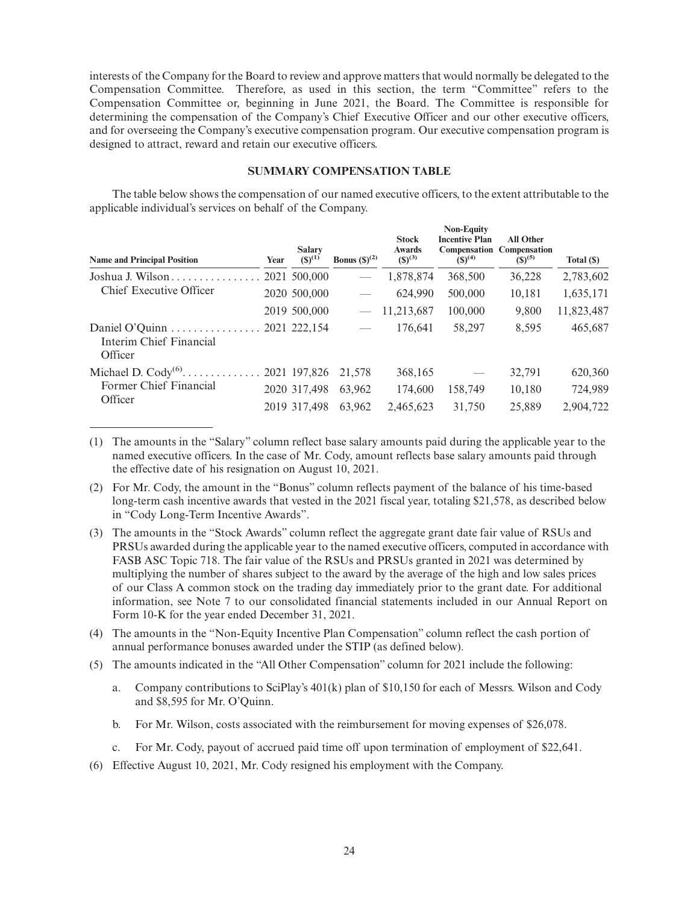interests of the Company for the Board to review and approve matters that would normally be delegated to the Compensation Committee. Therefore, as used in this section, the term "Committee" refers to the Compensation Committee or, beginning in June 2021, the Board. The Committee is responsible for determining the compensation of the Company's Chief Executive Officer and our other executive officers, and for overseeing the Company's executive compensation program. Our executive compensation program is designed to attract, reward and retain our executive officers.

## **SUMMARY COMPENSATION TABLE**

The table below shows the compensation of our named executive officers, to the extent attributable to the applicable individual's services on behalf of the Company.

| <b>Name and Principal Position</b>                                | Year | <b>Salary</b><br>$(S)^{(1)}$ | Bonus $(\mathbb{S})^{(2)}$      | <b>Stock</b><br>Awards<br>$(S)^{(3)}$ | <b>Non-Equity</b><br><b>Incentive Plan</b><br>Compensation<br>$(S)^{(4)}$ | <b>All Other</b><br><b>Compensation</b><br>$(S)^{(5)}$ | Total (\$) |
|-------------------------------------------------------------------|------|------------------------------|---------------------------------|---------------------------------------|---------------------------------------------------------------------------|--------------------------------------------------------|------------|
| Joshua J. Wilson                                                  |      | 2021 500,000                 | $\overline{\phantom{m}}$        | 1,878,874                             | 368,500                                                                   | 36,228                                                 | 2,783,602  |
| Chief Executive Officer                                           |      | 2020 500,000                 |                                 | 624,990                               | 500,000                                                                   | 10,181                                                 | 1,635,171  |
|                                                                   |      | 2019 500,000                 | $\overbrace{\qquad \qquad }^{}$ | 11,213,687                            | 100,000                                                                   | 9,800                                                  | 11,823,487 |
| Daniel O'Quinn 2021 222,154<br>Interim Chief Financial<br>Officer |      |                              |                                 | 176.641                               | 58,297                                                                    | 8,595                                                  | 465,687    |
| Former Chief Financial                                            |      |                              | 21,578                          | 368,165                               |                                                                           | 32,791                                                 | 620,360    |
|                                                                   |      | 2020 317,498                 | 63.962                          | 174,600                               | 158,749                                                                   | 10,180                                                 | 724,989    |
| Officer                                                           |      | 2019 317,498                 | 63.962                          | 2,465,623                             | 31,750                                                                    | 25,889                                                 | 2,904,722  |

(1) The amounts in the "Salary" column reflect base salary amounts paid during the applicable year to the named executive officers. In the case of Mr. Cody, amount reflects base salary amounts paid through the effective date of his resignation on August 10, 2021.

(3) The amounts in the "Stock Awards" column reflect the aggregate grant date fair value of RSUs and PRSUs awarded during the applicable year to the named executive officers, computed in accordance with FASB ASC Topic 718. The fair value of the RSUs and PRSUs granted in 2021 was determined by multiplying the number of shares subject to the award by the average of the high and low sales prices of our Class A common stock on the trading day immediately prior to the grant date. For additional information, see Note 7 to our consolidated financial statements included in our Annual Report on Form 10-K for the year ended December 31, 2021.

(4) The amounts in the "Non-Equity Incentive Plan Compensation" column reflect the cash portion of annual performance bonuses awarded under the STIP (as defined below).

(5) The amounts indicated in the "All Other Compensation" column for 2021 include the following:

- a. Company contributions to SciPlay's 401(k) plan of \$10,150 for each of Messrs. Wilson and Cody and \$8,595 for Mr. O'Quinn.
- b. For Mr. Wilson, costs associated with the reimbursement for moving expenses of \$26,078.
- c. For Mr. Cody, payout of accrued paid time off upon termination of employment of \$22,641.
- (6) Effective August 10, 2021, Mr. Cody resigned his employment with the Company.

<sup>(2)</sup> For Mr. Cody, the amount in the "Bonus" column reflects payment of the balance of his time-based long-term cash incentive awards that vested in the 2021 fiscal year, totaling \$21,578, as described below in "Cody Long-Term Incentive Awards".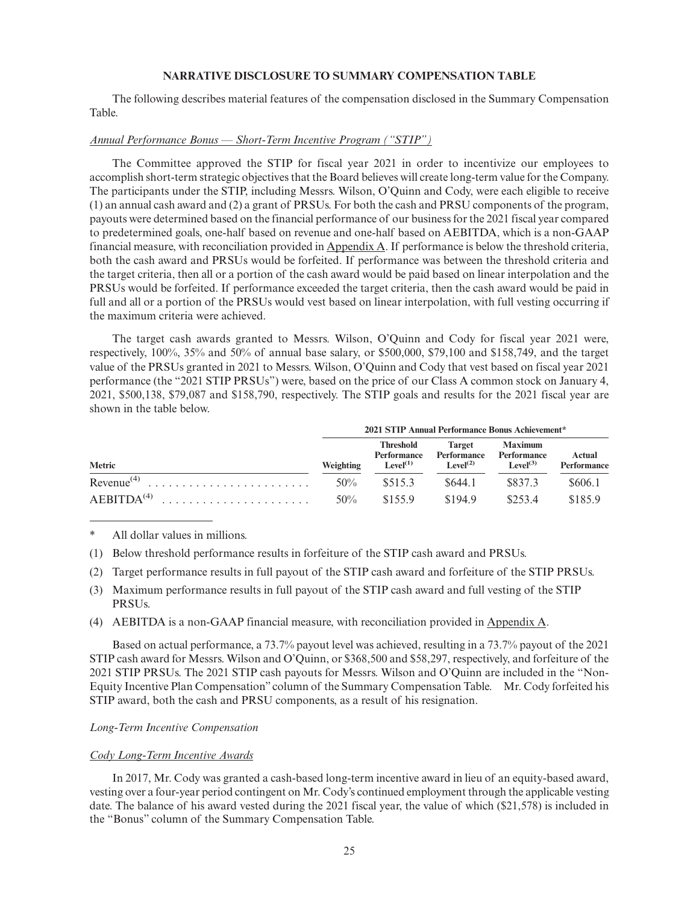## **NARRATIVE DISCLOSURE TO SUMMARY COMPENSATION TABLE**

The following describes material features of the compensation disclosed in the Summary Compensation Table.

#### *Annual Performance Bonus — Short-Term Incentive Program ("STIP")*

The Committee approved the STIP for fiscal year 2021 in order to incentivize our employees to accomplish short-term strategic objectives that the Board believes will create long-term value for the Company. The participants under the STIP, including Messrs. Wilson, O'Quinn and Cody, were each eligible to receive (1) an annual cash award and (2) a grant of PRSUs. For both the cash and PRSU components of the program, payouts were determined based on the financial performance of our business for the 2021 fiscal year compared to predetermined goals, one-half based on revenue and one-half based on AEBITDA, which is a non-GAAP financial measure, with reconciliation provided in Appendix A. If performance is below the threshold criteria, both the cash award and PRSUs would be forfeited. If performance was between the threshold criteria and the target criteria, then all or a portion of the cash award would be paid based on linear interpolation and the PRSUs would be forfeited. If performance exceeded the target criteria, then the cash award would be paid in full and all or a portion of the PRSUs would vest based on linear interpolation, with full vesting occurring if the maximum criteria were achieved.

The target cash awards granted to Messrs. Wilson, O'Quinn and Cody for fiscal year 2021 were, respectively, 100%, 35% and 50% of annual base salary, or \$500,000, \$79,100 and \$158,749, and the target value of the PRSUs granted in 2021 to Messrs. Wilson, O'Quinn and Cody that vest based on fiscal year 2021 performance (the "2021 STIP PRSUs") were, based on the price of our Class A common stock on January 4, 2021, \$500,138, \$79,087 and \$158,790, respectively. The STIP goals and results for the 2021 fiscal year are shown in the table below.

|                        | 2021 STIP Annual Performance Bonus Achievement* |                                                         |                                                      |                                                       |                              |  |
|------------------------|-------------------------------------------------|---------------------------------------------------------|------------------------------------------------------|-------------------------------------------------------|------------------------------|--|
| <b>Metric</b>          | Weighting                                       | Threshold<br><b>Performance</b><br>Level <sup>(1)</sup> | <b>Target</b><br>Performance<br>Level <sup>(2)</sup> | <b>Maximum</b><br>Performance<br>Level <sup>(3)</sup> | Actual<br><b>Performance</b> |  |
| Revenue <sup>(4)</sup> | 50%                                             | \$515.3                                                 | \$644.1                                              | \$837.3                                               | \$606.1                      |  |
| $AEBITDA(4)$           | $50\%$                                          | \$155.9                                                 | \$194.9                                              | \$2534                                                | \$185.9                      |  |

## All dollar values in millions.

- (1) Below threshold performance results in forfeiture of the STIP cash award and PRSUs.
- (2) Target performance results in full payout of the STIP cash award and forfeiture of the STIP PRSUs.
- (3) Maximum performance results in full payout of the STIP cash award and full vesting of the STIP PRSUs.
- (4) AEBITDA is a non-GAAP financial measure, with reconciliation provided in Appendix A.

Based on actual performance, a 73.7% payout level was achieved, resulting in a 73.7% payout of the 2021 STIP cash award for Messrs. Wilson and O'Quinn, or \$368,500 and \$58,297, respectively, and forfeiture of the 2021 STIP PRSUs. The 2021 STIP cash payouts for Messrs. Wilson and O'Quinn are included in the "Non-Equity Incentive Plan Compensation" column of the Summary Compensation Table. Mr. Cody forfeited his STIP award, both the cash and PRSU components, as a result of his resignation.

#### *Long-Term Incentive Compensation*

#### *Cody Long-Term Incentive Awards*

In 2017, Mr. Cody was granted a cash-based long-term incentive award in lieu of an equity-based award, vesting over a four-year period contingent on Mr. Cody's continued employment through the applicable vesting date. The balance of his award vested during the 2021 fiscal year, the value of which (\$21,578) is included in the "Bonus" column of the Summary Compensation Table.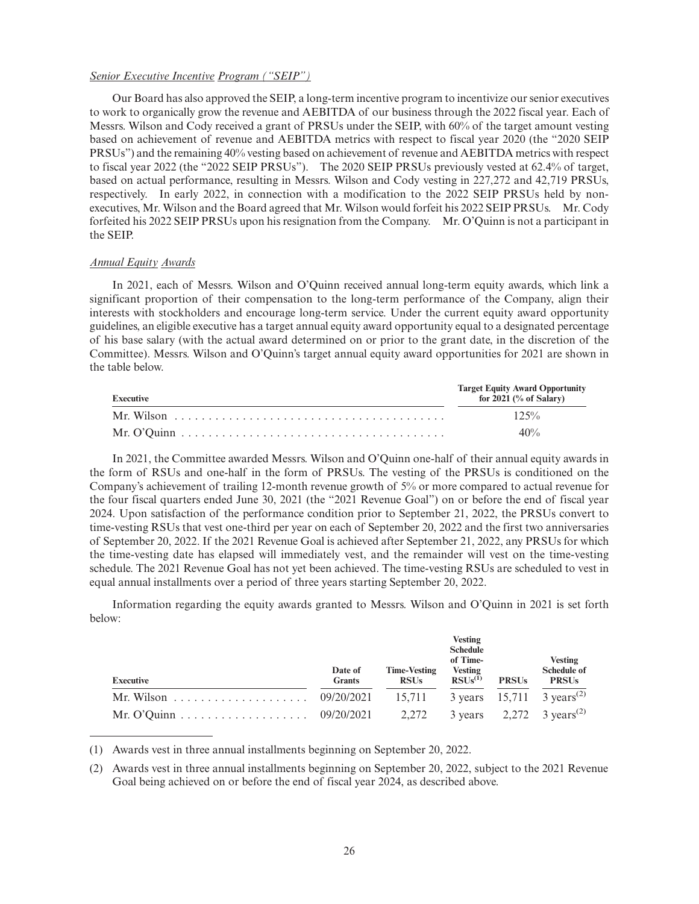#### *Senior Executive Incentive Program ("SEIP")*

Our Board has also approved the SEIP, a long-term incentive program to incentivize our senior executives to work to organically grow the revenue and AEBITDA of our business through the 2022 fiscal year. Each of Messrs. Wilson and Cody received a grant of PRSUs under the SEIP, with 60% of the target amount vesting based on achievement of revenue and AEBITDA metrics with respect to fiscal year 2020 (the "2020 SEIP PRSUs") and the remaining 40% vesting based on achievement of revenue and AEBITDA metrics with respect to fiscal year 2022 (the "2022 SEIP PRSUs"). The 2020 SEIP PRSUs previously vested at 62.4% of target, based on actual performance, resulting in Messrs. Wilson and Cody vesting in 227,272 and 42,719 PRSUs, respectively. In early 2022, in connection with a modification to the 2022 SEIP PRSUs held by nonexecutives, Mr. Wilson and the Board agreed that Mr. Wilson would forfeit his 2022 SEIP PRSUs. Mr. Cody forfeited his 2022 SEIP PRSUs upon his resignation from the Company. Mr. O'Quinn is not a participant in the SEIP.

## *Annual Equity Awards*

In 2021, each of Messrs. Wilson and O'Quinn received annual long-term equity awards, which link a significant proportion of their compensation to the long-term performance of the Company, align their interests with stockholders and encourage long-term service. Under the current equity award opportunity guidelines, an eligible executive has a target annual equity award opportunity equal to a designated percentage of his base salary (with the actual award determined on or prior to the grant date, in the discretion of the Committee). Messrs. Wilson and O'Quinn's target annual equity award opportunities for 2021 are shown in the table below.

| <b>Executive</b> | <b>Target Equity Award Opportunity</b><br>for $2021$ (% of Salary) |
|------------------|--------------------------------------------------------------------|
|                  | $12.5\%$                                                           |
|                  | 40%                                                                |

In 2021, the Committee awarded Messrs. Wilson and O'Quinn one-half of their annual equity awards in the form of RSUs and one-half in the form of PRSUs. The vesting of the PRSUs is conditioned on the Company's achievement of trailing 12-month revenue growth of 5% or more compared to actual revenue for the four fiscal quarters ended June 30, 2021 (the "2021 Revenue Goal") on or before the end of fiscal year 2024. Upon satisfaction of the performance condition prior to September 21, 2022, the PRSUs convert to time-vesting RSUs that vest one-third per year on each of September 20, 2022 and the first two anniversaries of September 20, 2022. If the 2021 Revenue Goal is achieved after September 21, 2022, any PRSUs for which the time-vesting date has elapsed will immediately vest, and the remainder will vest on the time-vesting schedule. The 2021 Revenue Goal has not yet been achieved. The time-vesting RSUs are scheduled to vest in equal annual installments over a period of three years starting September 20, 2022.

Information regarding the equity awards granted to Messrs. Wilson and O'Quinn in 2021 is set forth below:

| <b>Executive</b> | Date of<br><b>Grants</b> | <b>Time-Vesting</b><br><b>RSUs</b> | <b>Vesting</b><br><b>Schedule</b><br>of Time-<br><b>Vesting</b><br>RSUs <sup>(1)</sup> | <b>PRSUs</b> | <b>Vesting</b><br><b>Schedule of</b><br><b>PRSUs</b> |
|------------------|--------------------------|------------------------------------|----------------------------------------------------------------------------------------|--------------|------------------------------------------------------|
|                  |                          |                                    |                                                                                        |              | 3 years $15,711$ 3 years <sup>(2)</sup>              |
|                  |                          |                                    |                                                                                        |              | 3 years $2,272$ 3 years <sup>(2)</sup>               |

(1) Awards vest in three annual installments beginning on September 20, 2022.

(2) Awards vest in three annual installments beginning on September 20, 2022, subject to the 2021 Revenue Goal being achieved on or before the end of fiscal year 2024, as described above.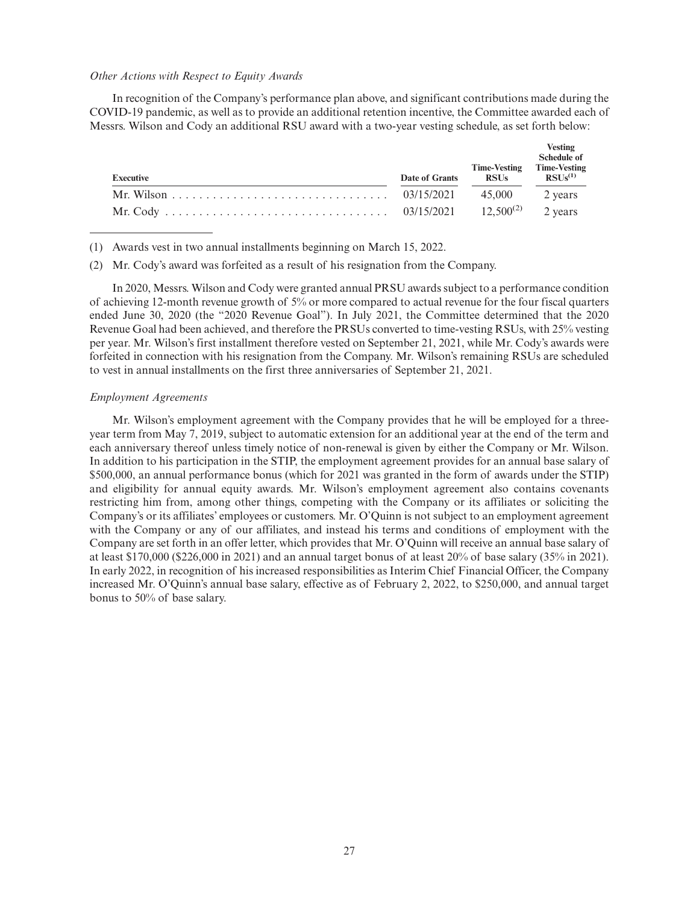#### *Other Actions with Respect to Equity Awards*

In recognition of the Company's performance plan above, and significant contributions made during the COVID-19 pandemic, as well as to provide an additional retention incentive, the Committee awarded each of Messrs. Wilson and Cody an additional RSU award with a two-year vesting schedule, as set forth below:

|           |                |                                    | <b>Vesting</b><br>Schedule of       |  |
|-----------|----------------|------------------------------------|-------------------------------------|--|
| Executive | Date of Grants | <b>Time-Vesting</b><br><b>RSUs</b> | <b>Time-Vesting</b><br>$RSUs^{(1)}$ |  |
|           |                |                                    | 2 years                             |  |
|           |                |                                    |                                     |  |

(1) Awards vest in two annual installments beginning on March 15, 2022.

(2) Mr. Cody's award was forfeited as a result of his resignation from the Company.

In 2020, Messrs. Wilson and Cody were granted annual PRSU awards subject to a performance condition of achieving 12-month revenue growth of 5% or more compared to actual revenue for the four fiscal quarters ended June 30, 2020 (the "2020 Revenue Goal"). In July 2021, the Committee determined that the 2020 Revenue Goal had been achieved, and therefore the PRSUs converted to time-vesting RSUs, with 25% vesting per year. Mr. Wilson's first installment therefore vested on September 21, 2021, while Mr. Cody's awards were forfeited in connection with his resignation from the Company. Mr. Wilson's remaining RSUs are scheduled to vest in annual installments on the first three anniversaries of September 21, 2021.

#### *Employment Agreements*

Mr. Wilson's employment agreement with the Company provides that he will be employed for a threeyear term from May 7, 2019, subject to automatic extension for an additional year at the end of the term and each anniversary thereof unless timely notice of non-renewal is given by either the Company or Mr. Wilson. In addition to his participation in the STIP, the employment agreement provides for an annual base salary of \$500,000, an annual performance bonus (which for 2021 was granted in the form of awards under the STIP) and eligibility for annual equity awards. Mr. Wilson's employment agreement also contains covenants restricting him from, among other things, competing with the Company or its affiliates or soliciting the Company's or its affiliates' employees or customers. Mr. O'Quinn is not subject to an employment agreement with the Company or any of our affiliates, and instead his terms and conditions of employment with the Company are set forth in an offer letter, which provides that Mr. O'Quinn will receive an annual base salary of at least \$170,000 (\$226,000 in 2021) and an annual target bonus of at least 20% of base salary (35% in 2021). In early 2022, in recognition of his increased responsibilities as Interim Chief Financial Officer, the Company increased Mr. O'Quinn's annual base salary, effective as of February 2, 2022, to \$250,000, and annual target bonus to 50% of base salary.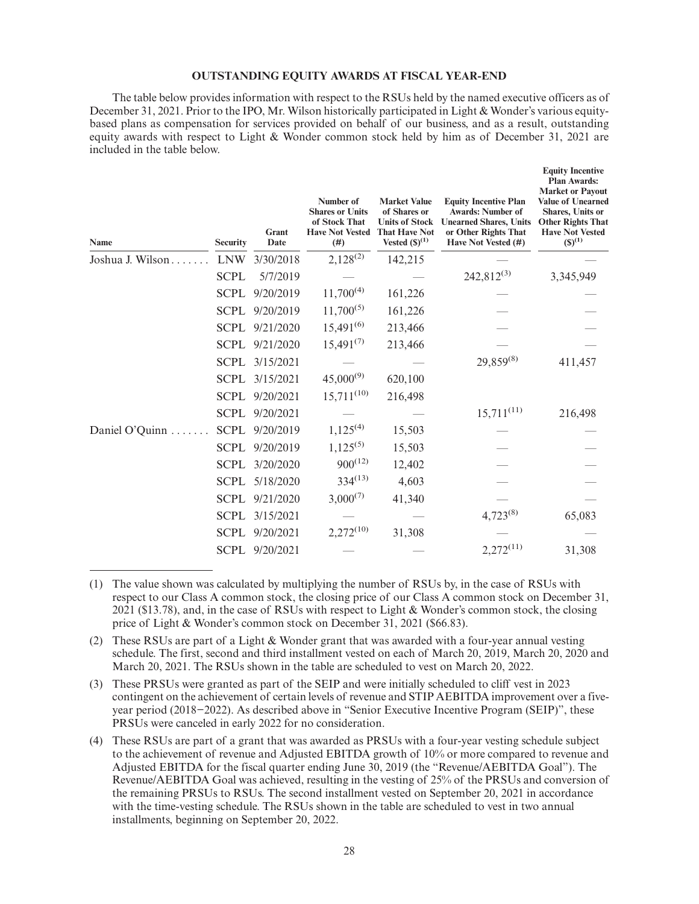#### **OUTSTANDING EQUITY AWARDS AT FISCAL YEAR-END**

The table below provides information with respect to the RSUs held by the named executive officers as of December 31, 2021. Prior to the IPO, Mr. Wilson historically participated in Light & Wonder's various equitybased plans as compensation for services provided on behalf of our business, and as a result, outstanding equity awards with respect to Light & Wonder common stock held by him as of December 31, 2021 are included in the table below.

| <b>Name</b>      | <b>Security</b> | Grant<br>Date | Number of<br><b>Shares or Units</b><br>of Stock That<br><b>Have Not Vested</b><br>(#) | <b>Market Value</b><br>of Shares or<br><b>Units of Stock</b><br><b>That Have Not</b><br>Vested $(S)^{(1)}$ | <b>Equity Incentive Plan</b><br><b>Awards: Number of</b><br><b>Unearned Shares, Units</b><br>or Other Rights That<br>Have Not Vested (#) | <b>Equity Incentive</b><br><b>Plan Awards:</b><br><b>Market or Payout</b><br><b>Value of Unearned</b><br><b>Shares</b> , Units or<br><b>Other Rights That</b><br><b>Have Not Vested</b><br>$(S)^{(1)}$ |
|------------------|-----------------|---------------|---------------------------------------------------------------------------------------|------------------------------------------------------------------------------------------------------------|------------------------------------------------------------------------------------------------------------------------------------------|--------------------------------------------------------------------------------------------------------------------------------------------------------------------------------------------------------|
| Joshua J. Wilson | <b>LNW</b>      | 3/30/2018     | $2,128^{(2)}$                                                                         | 142,215                                                                                                    |                                                                                                                                          |                                                                                                                                                                                                        |
|                  | <b>SCPL</b>     | 5/7/2019      |                                                                                       |                                                                                                            | $242,812^{(3)}$                                                                                                                          | 3,345,949                                                                                                                                                                                              |
|                  | <b>SCPL</b>     | 9/20/2019     | $11,700^{(4)}$                                                                        | 161,226                                                                                                    |                                                                                                                                          |                                                                                                                                                                                                        |
|                  | <b>SCPL</b>     | 9/20/2019     | $11,700^{(5)}$                                                                        | 161,226                                                                                                    |                                                                                                                                          |                                                                                                                                                                                                        |
|                  | <b>SCPL</b>     | 9/21/2020     | $15,491^{(6)}$                                                                        | 213,466                                                                                                    |                                                                                                                                          |                                                                                                                                                                                                        |
|                  | <b>SCPL</b>     | 9/21/2020     | $15,491^{(7)}$                                                                        | 213,466                                                                                                    |                                                                                                                                          |                                                                                                                                                                                                        |
|                  | <b>SCPL</b>     | 3/15/2021     |                                                                                       |                                                                                                            | $29,859^{(8)}$                                                                                                                           | 411,457                                                                                                                                                                                                |
|                  | <b>SCPL</b>     | 3/15/2021     | $45,000^{(9)}$                                                                        | 620,100                                                                                                    |                                                                                                                                          |                                                                                                                                                                                                        |
|                  | <b>SCPL</b>     | 9/20/2021     | $15,711^{(10)}$                                                                       | 216,498                                                                                                    |                                                                                                                                          |                                                                                                                                                                                                        |
|                  | <b>SCPL</b>     | 9/20/2021     |                                                                                       |                                                                                                            | $15,711^{(11)}$                                                                                                                          | 216,498                                                                                                                                                                                                |
| Daniel O'Quinn   | <b>SCPL</b>     | 9/20/2019     | $1,125^{(4)}$                                                                         | 15,503                                                                                                     |                                                                                                                                          |                                                                                                                                                                                                        |
|                  | <b>SCPL</b>     | 9/20/2019     | $1,125^{(5)}$                                                                         | 15,503                                                                                                     |                                                                                                                                          |                                                                                                                                                                                                        |
|                  | <b>SCPL</b>     | 3/20/2020     | $900^{(12)}$                                                                          | 12,402                                                                                                     |                                                                                                                                          |                                                                                                                                                                                                        |
|                  | <b>SCPL</b>     | 5/18/2020     | $334^{(13)}$                                                                          | 4,603                                                                                                      |                                                                                                                                          |                                                                                                                                                                                                        |
|                  | <b>SCPL</b>     | 9/21/2020     | $3,000^{(7)}$                                                                         | 41,340                                                                                                     |                                                                                                                                          |                                                                                                                                                                                                        |
|                  | <b>SCPL</b>     | 3/15/2021     |                                                                                       |                                                                                                            | $4,723^{(8)}$                                                                                                                            | 65,083                                                                                                                                                                                                 |
|                  | <b>SCPL</b>     | 9/20/2021     | $2,272^{(10)}$                                                                        | 31,308                                                                                                     |                                                                                                                                          |                                                                                                                                                                                                        |
|                  | <b>SCPL</b>     | 9/20/2021     |                                                                                       |                                                                                                            | $2,272^{(11)}$                                                                                                                           | 31,308                                                                                                                                                                                                 |

<sup>(1)</sup> The value shown was calculated by multiplying the number of RSUs by, in the case of RSUs with respect to our Class A common stock, the closing price of our Class A common stock on December 31, 2021 (\$13.78), and, in the case of RSUs with respect to Light & Wonder's common stock, the closing price of Light & Wonder's common stock on December 31, 2021 (\$66.83).

<sup>(2)</sup> These RSUs are part of a Light & Wonder grant that was awarded with a four-year annual vesting schedule. The first, second and third installment vested on each of March 20, 2019, March 20, 2020 and March 20, 2021. The RSUs shown in the table are scheduled to vest on March 20, 2022.

<sup>(3)</sup> These PRSUs were granted as part of the SEIP and were initially scheduled to cliff vest in 2023 contingent on the achievement of certain levels of revenue and STIP AEBITDA improvement over a fiveyear period (2018−2022). As described above in "Senior Executive Incentive Program (SEIP)", these PRSUs were canceled in early 2022 for no consideration.

<sup>(4)</sup> These RSUs are part of a grant that was awarded as PRSUs with a four-year vesting schedule subject to the achievement of revenue and Adjusted EBITDA growth of 10% or more compared to revenue and Adjusted EBITDA for the fiscal quarter ending June 30, 2019 (the "Revenue/AEBITDA Goal"). The Revenue/AEBITDA Goal was achieved, resulting in the vesting of 25% of the PRSUs and conversion of the remaining PRSUs to RSUs. The second installment vested on September 20, 2021 in accordance with the time-vesting schedule. The RSUs shown in the table are scheduled to vest in two annual installments, beginning on September 20, 2022.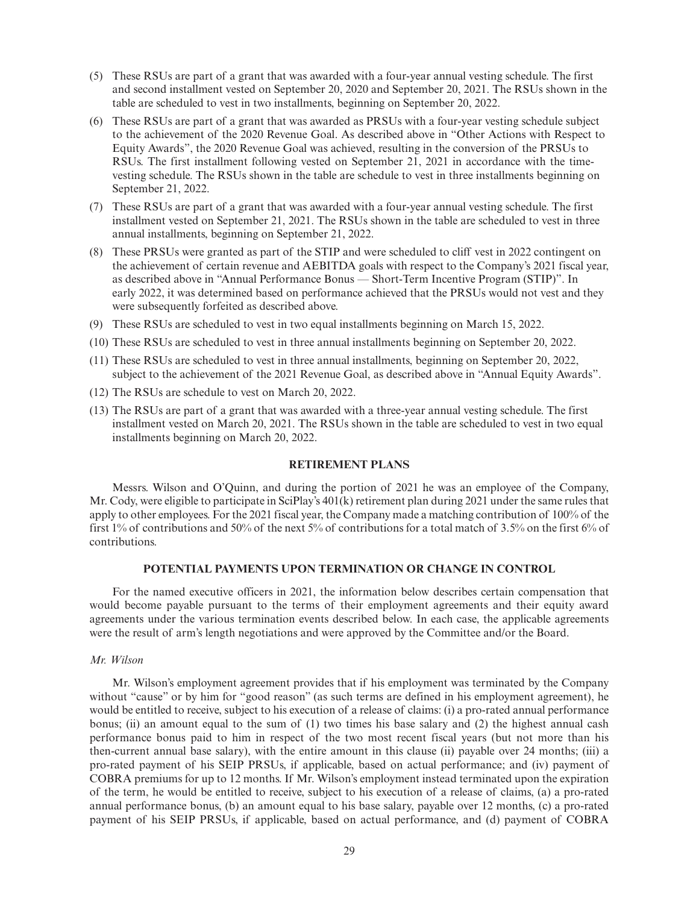- (5) These RSUs are part of a grant that was awarded with a four-year annual vesting schedule. The first and second installment vested on September 20, 2020 and September 20, 2021. The RSUs shown in the table are scheduled to vest in two installments, beginning on September 20, 2022.
- (6) These RSUs are part of a grant that was awarded as PRSUs with a four-year vesting schedule subject to the achievement of the 2020 Revenue Goal. As described above in "Other Actions with Respect to Equity Awards", the 2020 Revenue Goal was achieved, resulting in the conversion of the PRSUs to RSUs. The first installment following vested on September 21, 2021 in accordance with the timevesting schedule. The RSUs shown in the table are schedule to vest in three installments beginning on September 21, 2022.
- (7) These RSUs are part of a grant that was awarded with a four-year annual vesting schedule. The first installment vested on September 21, 2021. The RSUs shown in the table are scheduled to vest in three annual installments, beginning on September 21, 2022.
- (8) These PRSUs were granted as part of the STIP and were scheduled to cliff vest in 2022 contingent on the achievement of certain revenue and AEBITDA goals with respect to the Company's 2021 fiscal year, as described above in "Annual Performance Bonus — Short-Term Incentive Program (STIP)". In early 2022, it was determined based on performance achieved that the PRSUs would not vest and they were subsequently forfeited as described above.
- (9) These RSUs are scheduled to vest in two equal installments beginning on March 15, 2022.
- (10) These RSUs are scheduled to vest in three annual installments beginning on September 20, 2022.
- (11) These RSUs are scheduled to vest in three annual installments, beginning on September 20, 2022, subject to the achievement of the 2021 Revenue Goal, as described above in "Annual Equity Awards".
- (12) The RSUs are schedule to vest on March 20, 2022.
- (13) The RSUs are part of a grant that was awarded with a three-year annual vesting schedule. The first installment vested on March 20, 2021. The RSUs shown in the table are scheduled to vest in two equal installments beginning on March 20, 2022.

## **RETIREMENT PLANS**

Messrs. Wilson and O'Quinn, and during the portion of 2021 he was an employee of the Company, Mr. Cody, were eligible to participate in SciPlay's 401(k) retirement plan during 2021 under the same rules that apply to other employees. For the 2021 fiscal year, the Company made a matching contribution of 100% of the first 1% of contributions and 50% of the next 5% of contributions for a total match of 3.5% on the first 6% of contributions.

## **POTENTIAL PAYMENTS UPON TERMINATION OR CHANGE IN CONTROL**

For the named executive officers in 2021, the information below describes certain compensation that would become payable pursuant to the terms of their employment agreements and their equity award agreements under the various termination events described below. In each case, the applicable agreements were the result of arm's length negotiations and were approved by the Committee and/or the Board.

## *Mr. Wilson*

Mr. Wilson's employment agreement provides that if his employment was terminated by the Company without "cause" or by him for "good reason" (as such terms are defined in his employment agreement), he would be entitled to receive, subject to his execution of a release of claims: (i) a pro-rated annual performance bonus; (ii) an amount equal to the sum of (1) two times his base salary and (2) the highest annual cash performance bonus paid to him in respect of the two most recent fiscal years (but not more than his then-current annual base salary), with the entire amount in this clause (ii) payable over 24 months; (iii) a pro-rated payment of his SEIP PRSUs, if applicable, based on actual performance; and (iv) payment of COBRA premiums for up to 12 months. If Mr. Wilson's employment instead terminated upon the expiration of the term, he would be entitled to receive, subject to his execution of a release of claims, (a) a pro-rated annual performance bonus, (b) an amount equal to his base salary, payable over 12 months, (c) a pro-rated payment of his SEIP PRSUs, if applicable, based on actual performance, and (d) payment of COBRA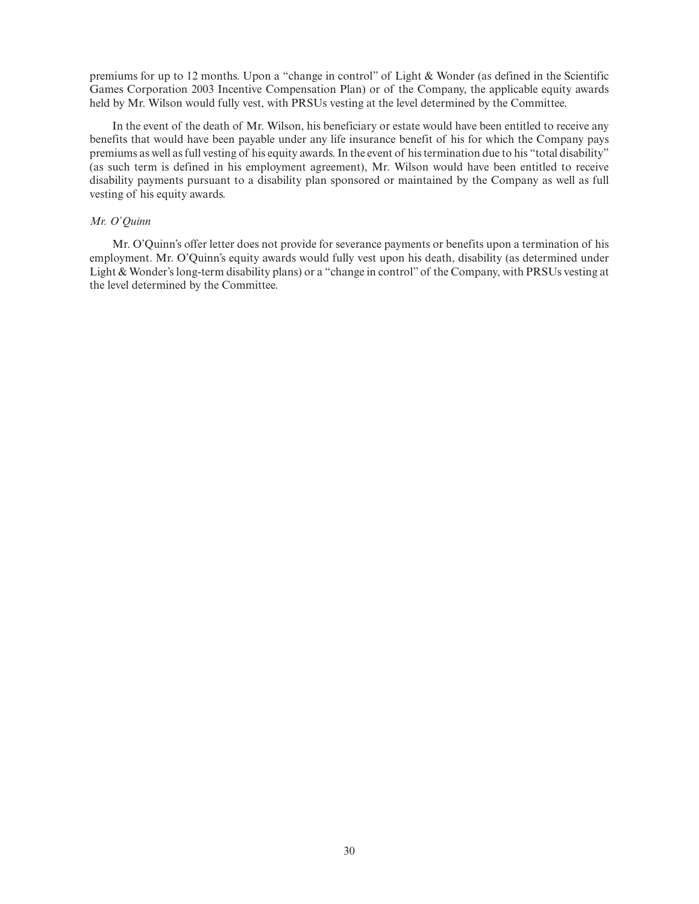premiums for up to 12 months. Upon a "change in control" of Light & Wonder (as defined in the Scientific Games Corporation 2003 Incentive Compensation Plan) or of the Company, the applicable equity awards held by Mr. Wilson would fully vest, with PRSUs vesting at the level determined by the Committee.

In the event of the death of Mr. Wilson, his beneficiary or estate would have been entitled to receive any benefits that would have been payable under any life insurance benefit of his for which the Company pays premiums as well as full vesting of his equity awards. In the event of his termination due to his "total disability" (as such term is defined in his employment agreement), Mr. Wilson would have been entitled to receive disability payments pursuant to a disability plan sponsored or maintained by the Company as well as full vesting of his equity awards.

## *Mr. O'Quinn*

Mr. O'Quinn's offer letter does not provide for severance payments or benefits upon a termination of his employment. Mr. O'Quinn's equity awards would fully vest upon his death, disability (as determined under Light & Wonder's long-term disability plans) or a "change in control" of the Company, with PRSUs vesting at the level determined by the Committee.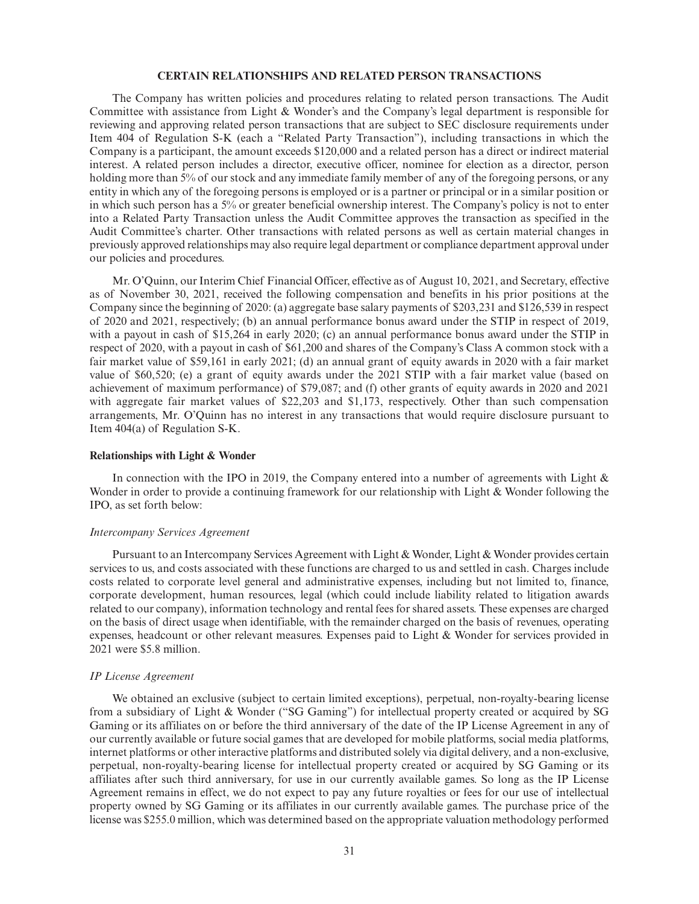## **CERTAIN RELATIONSHIPS AND RELATED PERSON TRANSACTIONS**

The Company has written policies and procedures relating to related person transactions. The Audit Committee with assistance from Light & Wonder's and the Company's legal department is responsible for reviewing and approving related person transactions that are subject to SEC disclosure requirements under Item 404 of Regulation S-K (each a "Related Party Transaction"), including transactions in which the Company is a participant, the amount exceeds \$120,000 and a related person has a direct or indirect material interest. A related person includes a director, executive officer, nominee for election as a director, person holding more than 5% of our stock and any immediate family member of any of the foregoing persons, or any entity in which any of the foregoing persons is employed or is a partner or principal or in a similar position or in which such person has a 5% or greater beneficial ownership interest. The Company's policy is not to enter into a Related Party Transaction unless the Audit Committee approves the transaction as specified in the Audit Committee's charter. Other transactions with related persons as well as certain material changes in previously approved relationships may also require legal department or compliance department approval under our policies and procedures.

Mr. O'Quinn, our Interim Chief Financial Officer, effective as of August 10, 2021, and Secretary, effective as of November 30, 2021, received the following compensation and benefits in his prior positions at the Company since the beginning of 2020: (a) aggregate base salary payments of \$203,231 and \$126,539 in respect of 2020 and 2021, respectively; (b) an annual performance bonus award under the STIP in respect of 2019, with a payout in cash of \$15,264 in early 2020; (c) an annual performance bonus award under the STIP in respect of 2020, with a payout in cash of \$61,200 and shares of the Company's Class A common stock with a fair market value of \$59,161 in early 2021; (d) an annual grant of equity awards in 2020 with a fair market value of \$60,520; (e) a grant of equity awards under the 2021 STIP with a fair market value (based on achievement of maximum performance) of \$79,087; and (f) other grants of equity awards in 2020 and 2021 with aggregate fair market values of \$22,203 and \$1,173, respectively. Other than such compensation arrangements, Mr. O'Quinn has no interest in any transactions that would require disclosure pursuant to Item 404(a) of Regulation S-K.

#### **Relationships with Light & Wonder**

In connection with the IPO in 2019, the Company entered into a number of agreements with Light  $\&$ Wonder in order to provide a continuing framework for our relationship with Light & Wonder following the IPO, as set forth below:

#### *Intercompany Services Agreement*

Pursuant to an Intercompany Services Agreement with Light & Wonder, Light & Wonder provides certain services to us, and costs associated with these functions are charged to us and settled in cash. Charges include costs related to corporate level general and administrative expenses, including but not limited to, finance, corporate development, human resources, legal (which could include liability related to litigation awards related to our company), information technology and rental fees for shared assets. These expenses are charged on the basis of direct usage when identifiable, with the remainder charged on the basis of revenues, operating expenses, headcount or other relevant measures. Expenses paid to Light & Wonder for services provided in 2021 were \$5.8 million.

#### *IP License Agreement*

We obtained an exclusive (subject to certain limited exceptions), perpetual, non-royalty-bearing license from a subsidiary of Light & Wonder ("SG Gaming") for intellectual property created or acquired by SG Gaming or its affiliates on or before the third anniversary of the date of the IP License Agreement in any of our currently available or future social games that are developed for mobile platforms, social media platforms, internet platforms or other interactive platforms and distributed solely via digital delivery, and a non-exclusive, perpetual, non-royalty-bearing license for intellectual property created or acquired by SG Gaming or its affiliates after such third anniversary, for use in our currently available games. So long as the IP License Agreement remains in effect, we do not expect to pay any future royalties or fees for our use of intellectual property owned by SG Gaming or its affiliates in our currently available games. The purchase price of the license was \$255.0 million, which was determined based on the appropriate valuation methodology performed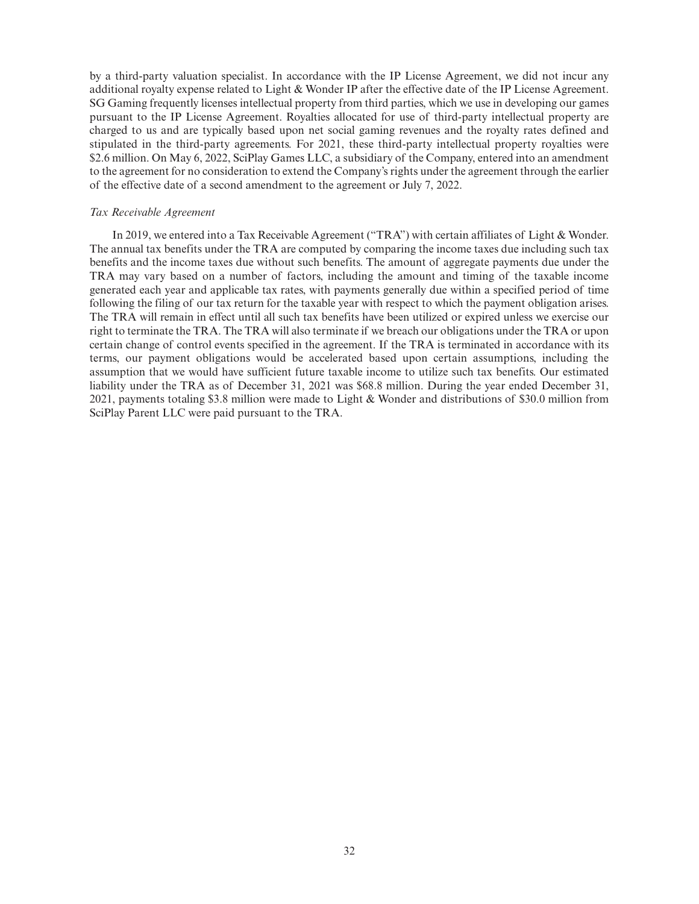by a third-party valuation specialist. In accordance with the IP License Agreement, we did not incur any additional royalty expense related to Light & Wonder IP after the effective date of the IP License Agreement. SG Gaming frequently licenses intellectual property from third parties, which we use in developing our games pursuant to the IP License Agreement. Royalties allocated for use of third-party intellectual property are charged to us and are typically based upon net social gaming revenues and the royalty rates defined and stipulated in the third-party agreements. For 2021, these third-party intellectual property royalties were \$2.6 million. On May 6, 2022, SciPlay Games LLC, a subsidiary of the Company, entered into an amendment to the agreement for no consideration to extend the Company's rights under the agreement through the earlier of the effective date of a second amendment to the agreement or July 7, 2022.

## *Tax Receivable Agreement*

In 2019, we entered into a Tax Receivable Agreement ("TRA") with certain affiliates of Light & Wonder. The annual tax benefits under the TRA are computed by comparing the income taxes due including such tax benefits and the income taxes due without such benefits. The amount of aggregate payments due under the TRA may vary based on a number of factors, including the amount and timing of the taxable income generated each year and applicable tax rates, with payments generally due within a specified period of time following the filing of our tax return for the taxable year with respect to which the payment obligation arises. The TRA will remain in effect until all such tax benefits have been utilized or expired unless we exercise our right to terminate the TRA. The TRA will also terminate if we breach our obligations under the TRA or upon certain change of control events specified in the agreement. If the TRA is terminated in accordance with its terms, our payment obligations would be accelerated based upon certain assumptions, including the assumption that we would have sufficient future taxable income to utilize such tax benefits. Our estimated liability under the TRA as of December 31, 2021 was \$68.8 million. During the year ended December 31, 2021, payments totaling \$3.8 million were made to Light & Wonder and distributions of \$30.0 million from SciPlay Parent LLC were paid pursuant to the TRA.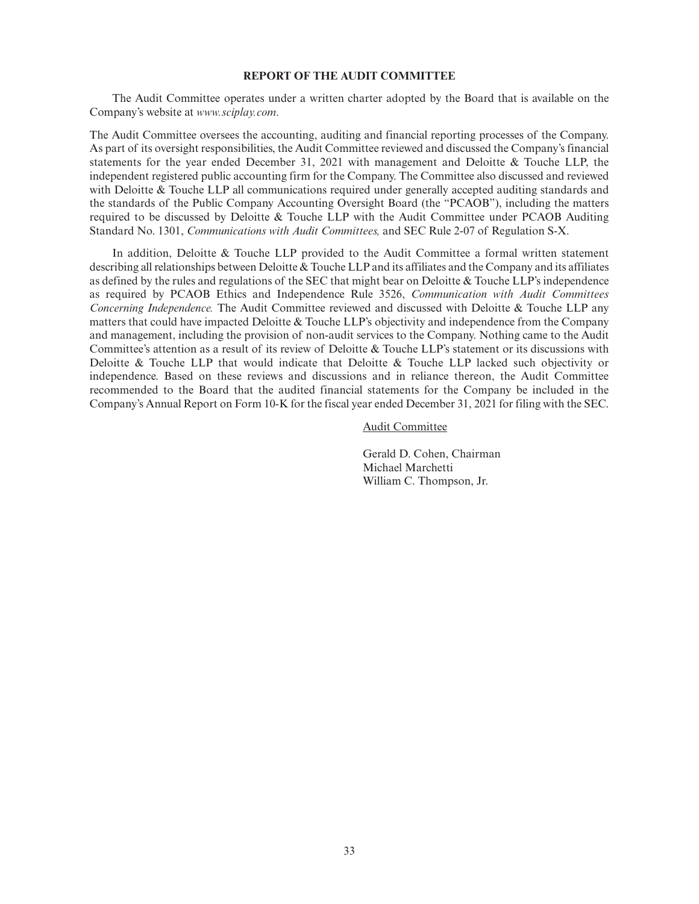## **REPORT OF THE AUDIT COMMITTEE**

The Audit Committee operates under a written charter adopted by the Board that is available on the Company's website at *www.sciplay.com*.

The Audit Committee oversees the accounting, auditing and financial reporting processes of the Company. As part of its oversight responsibilities, the Audit Committee reviewed and discussed the Company's financial statements for the year ended December 31, 2021 with management and Deloitte & Touche LLP, the independent registered public accounting firm for the Company. The Committee also discussed and reviewed with Deloitte & Touche LLP all communications required under generally accepted auditing standards and the standards of the Public Company Accounting Oversight Board (the "PCAOB"), including the matters required to be discussed by Deloitte & Touche LLP with the Audit Committee under PCAOB Auditing Standard No. 1301, *Communications with Audit Committees,* and SEC Rule 2-07 of Regulation S-X.

In addition, Deloitte & Touche LLP provided to the Audit Committee a formal written statement describing all relationships between Deloitte & Touche LLP and its affiliates and the Company and its affiliates as defined by the rules and regulations of the SEC that might bear on Deloitte & Touche LLP's independence as required by PCAOB Ethics and Independence Rule 3526, *Communication with Audit Committees Concerning Independence.* The Audit Committee reviewed and discussed with Deloitte & Touche LLP any matters that could have impacted Deloitte & Touche LLP's objectivity and independence from the Company and management, including the provision of non-audit services to the Company. Nothing came to the Audit Committee's attention as a result of its review of Deloitte & Touche LLP's statement or its discussions with Deloitte & Touche LLP that would indicate that Deloitte & Touche LLP lacked such objectivity or independence. Based on these reviews and discussions and in reliance thereon, the Audit Committee recommended to the Board that the audited financial statements for the Company be included in the Company's Annual Report on Form 10-K for the fiscal year ended December 31, 2021 for filing with the SEC.

Audit Committee

Gerald D. Cohen, Chairman Michael Marchetti William C. Thompson, Jr.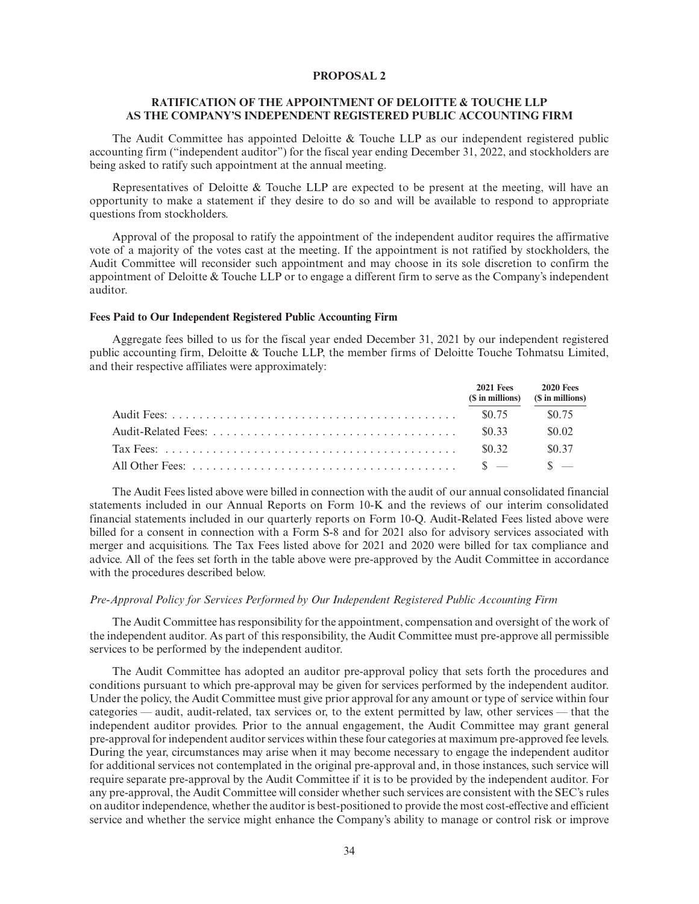## **PROPOSAL 2**

## **RATIFICATION OF THE APPOINTMENT OF DELOITTE & TOUCHE LLP AS THE COMPANY'S INDEPENDENT REGISTERED PUBLIC ACCOUNTING FIRM**

The Audit Committee has appointed Deloitte & Touche LLP as our independent registered public accounting firm ("independent auditor") for the fiscal year ending December 31, 2022, and stockholders are being asked to ratify such appointment at the annual meeting.

Representatives of Deloitte  $\&$  Touche LLP are expected to be present at the meeting, will have an opportunity to make a statement if they desire to do so and will be available to respond to appropriate questions from stockholders.

Approval of the proposal to ratify the appointment of the independent auditor requires the affirmative vote of a majority of the votes cast at the meeting. If the appointment is not ratified by stockholders, the Audit Committee will reconsider such appointment and may choose in its sole discretion to confirm the appointment of Deloitte & Touche LLP or to engage a different firm to serve as the Company's independent auditor.

## **Fees Paid to Our Independent Registered Public Accounting Firm**

Aggregate fees billed to us for the fiscal year ended December 31, 2021 by our independent registered public accounting firm, Deloitte & Touche LLP, the member firms of Deloitte Touche Tohmatsu Limited, and their respective affiliates were approximately:

| (\$ in millions) (\$ in millions) | 2021 Fees 2020 Fees |
|-----------------------------------|---------------------|
|                                   | \$0.75              |
|                                   | \$0.02              |
| \$0.32                            | \$0.37              |
|                                   |                     |

The Audit Fees listed above were billed in connection with the audit of our annual consolidated financial statements included in our Annual Reports on Form 10-K and the reviews of our interim consolidated financial statements included in our quarterly reports on Form 10-Q. Audit-Related Fees listed above were billed for a consent in connection with a Form S-8 and for 2021 also for advisory services associated with merger and acquisitions. The Tax Fees listed above for 2021 and 2020 were billed for tax compliance and advice. All of the fees set forth in the table above were pre-approved by the Audit Committee in accordance with the procedures described below.

## *Pre-Approval Policy for Services Performed by Our Independent Registered Public Accounting Firm*

The Audit Committee has responsibility for the appointment, compensation and oversight of the work of the independent auditor. As part of this responsibility, the Audit Committee must pre-approve all permissible services to be performed by the independent auditor.

The Audit Committee has adopted an auditor pre-approval policy that sets forth the procedures and conditions pursuant to which pre-approval may be given for services performed by the independent auditor. Under the policy, the Audit Committee must give prior approval for any amount or type of service within four categories — audit, audit-related, tax services or, to the extent permitted by law, other services — that the independent auditor provides. Prior to the annual engagement, the Audit Committee may grant general pre-approval for independent auditor services within these four categories at maximum pre-approved fee levels. During the year, circumstances may arise when it may become necessary to engage the independent auditor for additional services not contemplated in the original pre-approval and, in those instances, such service will require separate pre-approval by the Audit Committee if it is to be provided by the independent auditor. For any pre-approval, the Audit Committee will consider whether such services are consistent with the SEC's rules on auditor independence, whether the auditor is best-positioned to provide the most cost-effective and efficient service and whether the service might enhance the Company's ability to manage or control risk or improve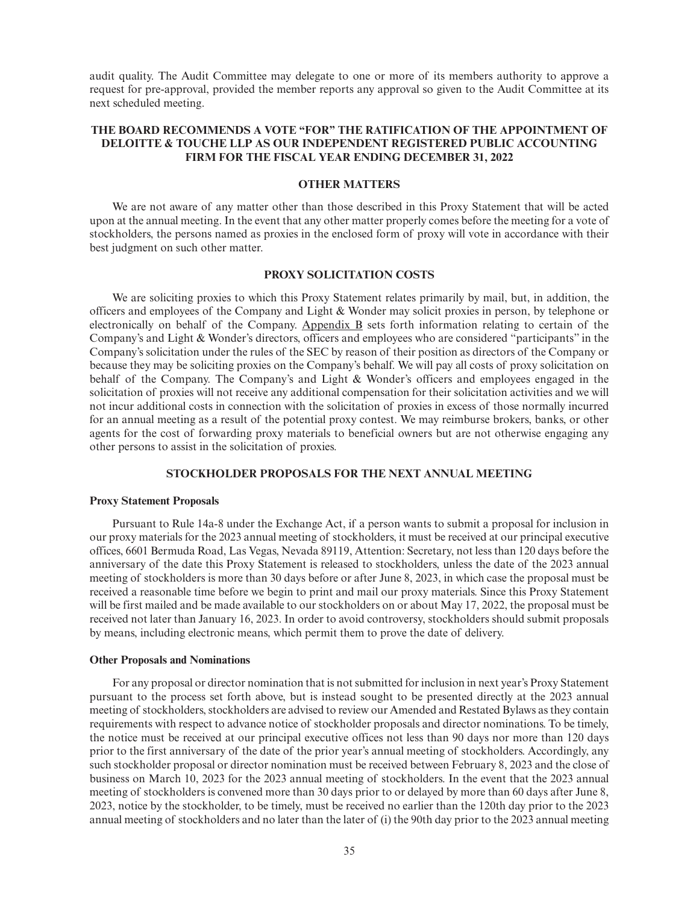audit quality. The Audit Committee may delegate to one or more of its members authority to approve a request for pre-approval, provided the member reports any approval so given to the Audit Committee at its next scheduled meeting.

## **THE BOARD RECOMMENDS A VOTE "FOR" THE RATIFICATION OF THE APPOINTMENT OF DELOITTE & TOUCHE LLP AS OUR INDEPENDENT REGISTERED PUBLIC ACCOUNTING FIRM FOR THE FISCAL YEAR ENDING DECEMBER 31, 2022**

## **OTHER MATTERS**

We are not aware of any matter other than those described in this Proxy Statement that will be acted upon at the annual meeting. In the event that any other matter properly comes before the meeting for a vote of stockholders, the persons named as proxies in the enclosed form of proxy will vote in accordance with their best judgment on such other matter.

## **PROXY SOLICITATION COSTS**

We are soliciting proxies to which this Proxy Statement relates primarily by mail, but, in addition, the officers and employees of the Company and Light & Wonder may solicit proxies in person, by telephone or electronically on behalf of the Company. Appendix B sets forth information relating to certain of the Company's and Light & Wonder's directors, officers and employees who are considered "participants" in the Company's solicitation under the rules of the SEC by reason of their position as directors of the Company or because they may be soliciting proxies on the Company's behalf. We will pay all costs of proxy solicitation on behalf of the Company. The Company's and Light & Wonder's officers and employees engaged in the solicitation of proxies will not receive any additional compensation for their solicitation activities and we will not incur additional costs in connection with the solicitation of proxies in excess of those normally incurred for an annual meeting as a result of the potential proxy contest. We may reimburse brokers, banks, or other agents for the cost of forwarding proxy materials to beneficial owners but are not otherwise engaging any other persons to assist in the solicitation of proxies.

## **STOCKHOLDER PROPOSALS FOR THE NEXT ANNUAL MEETING**

#### **Proxy Statement Proposals**

Pursuant to Rule 14a-8 under the Exchange Act, if a person wants to submit a proposal for inclusion in our proxy materials for the 2023 annual meeting of stockholders, it must be received at our principal executive offices, 6601 Bermuda Road, Las Vegas, Nevada 89119, Attention: Secretary, not less than 120 days before the anniversary of the date this Proxy Statement is released to stockholders, unless the date of the 2023 annual meeting of stockholders is more than 30 days before or after June 8, 2023, in which case the proposal must be received a reasonable time before we begin to print and mail our proxy materials. Since this Proxy Statement will be first mailed and be made available to our stockholders on or about May 17, 2022, the proposal must be received not later than January 16, 2023. In order to avoid controversy, stockholders should submit proposals by means, including electronic means, which permit them to prove the date of delivery.

#### **Other Proposals and Nominations**

For any proposal or director nomination that is not submitted for inclusion in next year's Proxy Statement pursuant to the process set forth above, but is instead sought to be presented directly at the 2023 annual meeting of stockholders, stockholders are advised to review our Amended and Restated Bylaws as they contain requirements with respect to advance notice of stockholder proposals and director nominations. To be timely, the notice must be received at our principal executive offices not less than 90 days nor more than 120 days prior to the first anniversary of the date of the prior year's annual meeting of stockholders. Accordingly, any such stockholder proposal or director nomination must be received between February 8, 2023 and the close of business on March 10, 2023 for the 2023 annual meeting of stockholders. In the event that the 2023 annual meeting of stockholders is convened more than 30 days prior to or delayed by more than 60 days after June 8, 2023, notice by the stockholder, to be timely, must be received no earlier than the 120th day prior to the 2023 annual meeting of stockholders and no later than the later of (i) the 90th day prior to the 2023 annual meeting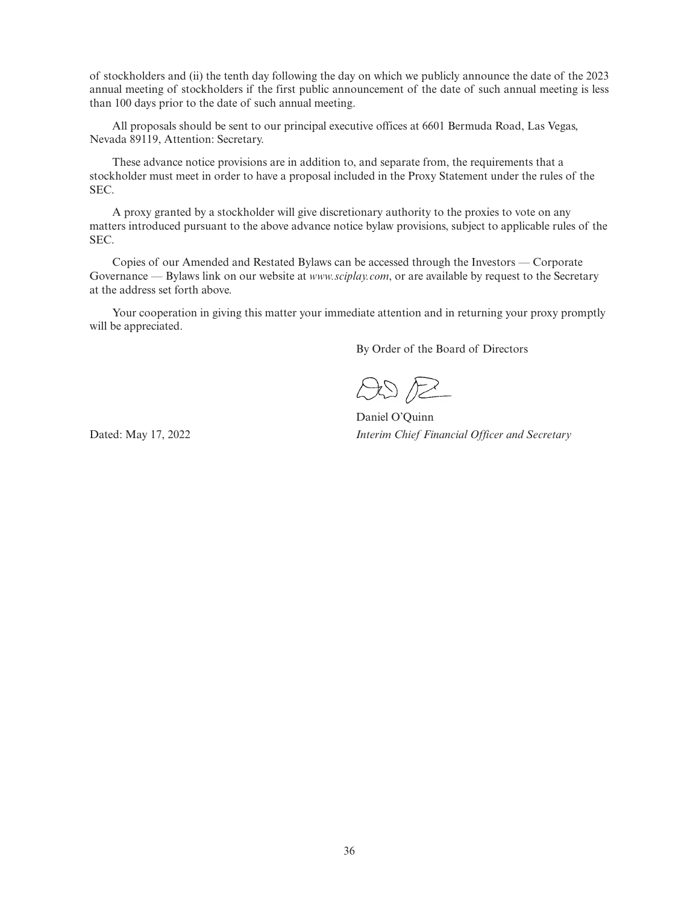of stockholders and (ii) the tenth day following the day on which we publicly announce the date of the 2023 annual meeting of stockholders if the first public announcement of the date of such annual meeting is less than 100 days prior to the date of such annual meeting.

All proposals should be sent to our principal executive offices at 6601 Bermuda Road, Las Vegas, Nevada 89119, Attention: Secretary.

These advance notice provisions are in addition to, and separate from, the requirements that a stockholder must meet in order to have a proposal included in the Proxy Statement under the rules of the SEC.

A proxy granted by a stockholder will give discretionary authority to the proxies to vote on any matters introduced pursuant to the above advance notice bylaw provisions, subject to applicable rules of the SEC.

Copies of our Amended and Restated Bylaws can be accessed through the Investors — Corporate Governance — Bylaws link on our website at *www.sciplay.com*, or are available by request to the Secretary at the address set forth above.

Your cooperation in giving this matter your immediate attention and in returning your proxy promptly will be appreciated.

By Order of the Board of Directors

 $ADE$ 

Daniel O'Quinn Dated: May 17, 2022 *Interim Chief Financial Officer and Secretary*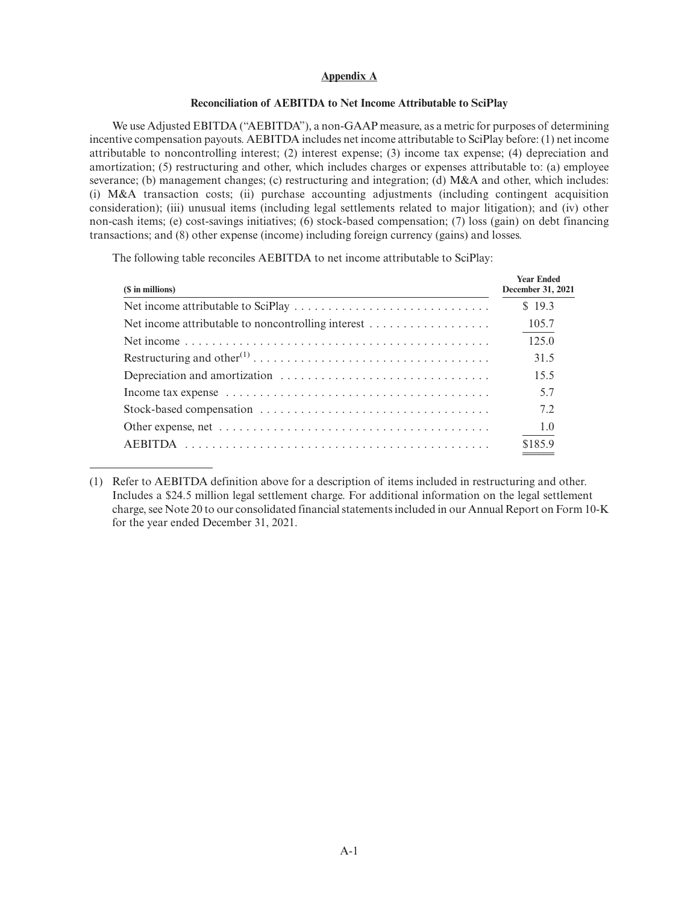## **Appendix A**

## **Reconciliation of AEBITDA to Net Income Attributable to SciPlay**

We use Adjusted EBITDA ("AEBITDA"), a non-GAAP measure, as a metric for purposes of determining incentive compensation payouts. AEBITDA includes net income attributable to SciPlay before: (1) net income attributable to noncontrolling interest; (2) interest expense; (3) income tax expense; (4) depreciation and amortization; (5) restructuring and other, which includes charges or expenses attributable to: (a) employee severance; (b) management changes; (c) restructuring and integration; (d) M&A and other, which includes: (i) M&A transaction costs; (ii) purchase accounting adjustments (including contingent acquisition consideration); (iii) unusual items (including legal settlements related to major litigation); and (iv) other non-cash items; (e) cost-savings initiatives; (6) stock-based compensation; (7) loss (gain) on debt financing transactions; and (8) other expense (income) including foreign currency (gains) and losses.

The following table reconciles AEBITDA to net income attributable to SciPlay:

| (\$ in millions) | <b>Year Ended</b><br>December 31, 2021 |
|------------------|----------------------------------------|
|                  | \$19.3                                 |
|                  | 105.7                                  |
|                  | 125.0                                  |
|                  | 31.5                                   |
|                  | 15.5                                   |
|                  | 5.7                                    |
|                  | 7.2                                    |
|                  | 1.0                                    |
|                  | \$185.9                                |

<sup>(1)</sup> Refer to AEBITDA definition above for a description of items included in restructuring and other. Includes a \$24.5 million legal settlement charge. For additional information on the legal settlement charge, see Note 20 to our consolidated financial statements included in our Annual Report on Form 10-K for the year ended December 31, 2021.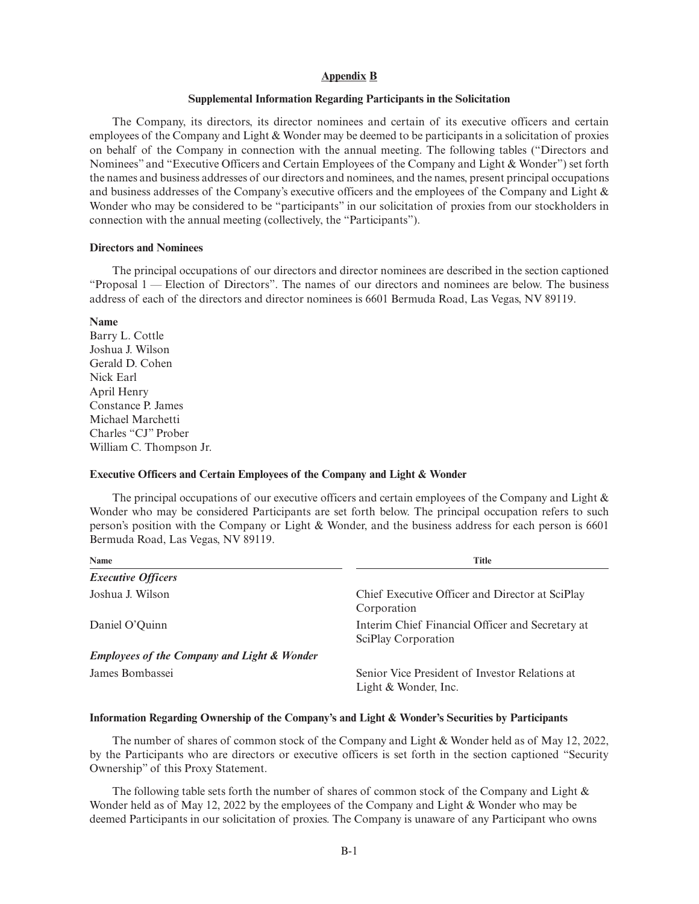## **Appendix B**

#### **Supplemental Information Regarding Participants in the Solicitation**

The Company, its directors, its director nominees and certain of its executive officers and certain employees of the Company and Light & Wonder may be deemed to be participants in a solicitation of proxies on behalf of the Company in connection with the annual meeting. The following tables ("Directors and Nominees" and "Executive Officers and Certain Employees of the Company and Light & Wonder") set forth the names and business addresses of our directors and nominees, and the names, present principal occupations and business addresses of the Company's executive officers and the employees of the Company and Light & Wonder who may be considered to be "participants" in our solicitation of proxies from our stockholders in connection with the annual meeting (collectively, the "Participants").

#### **Directors and Nominees**

The principal occupations of our directors and director nominees are described in the section captioned "Proposal 1 — Election of Directors". The names of our directors and nominees are below. The business address of each of the directors and director nominees is 6601 Bermuda Road, Las Vegas, NV 89119.

#### **Name**

Barry L. Cottle Joshua J. Wilson Gerald D. Cohen Nick Earl April Henry Constance P. James Michael Marchetti Charles "CJ" Prober William C. Thompson Jr.

#### **Executive Officers and Certain Employees of the Company and Light & Wonder**

The principal occupations of our executive officers and certain employees of the Company and Light  $\&$ Wonder who may be considered Participants are set forth below. The principal occupation refers to such person's position with the Company or Light & Wonder, and the business address for each person is 6601 Bermuda Road, Las Vegas, NV 89119.

| Name                                                   | <b>Title</b>                                                            |
|--------------------------------------------------------|-------------------------------------------------------------------------|
| <b>Executive Officers</b>                              |                                                                         |
| Joshua J. Wilson                                       | Chief Executive Officer and Director at SciPlay<br>Corporation          |
| Daniel O'Quinn                                         | Interim Chief Financial Officer and Secretary at<br>SciPlay Corporation |
| <b>Employees of the Company and Light &amp; Wonder</b> |                                                                         |
| James Bombassei                                        | Senior Vice President of Investor Relations at<br>Light & Wonder, Inc.  |

#### **Information Regarding Ownership of the Company's and Light & Wonder's Securities by Participants**

The number of shares of common stock of the Company and Light & Wonder held as of May 12, 2022, by the Participants who are directors or executive officers is set forth in the section captioned "Security Ownership" of this Proxy Statement.

The following table sets forth the number of shares of common stock of the Company and Light & Wonder held as of May 12, 2022 by the employees of the Company and Light & Wonder who may be deemed Participants in our solicitation of proxies. The Company is unaware of any Participant who owns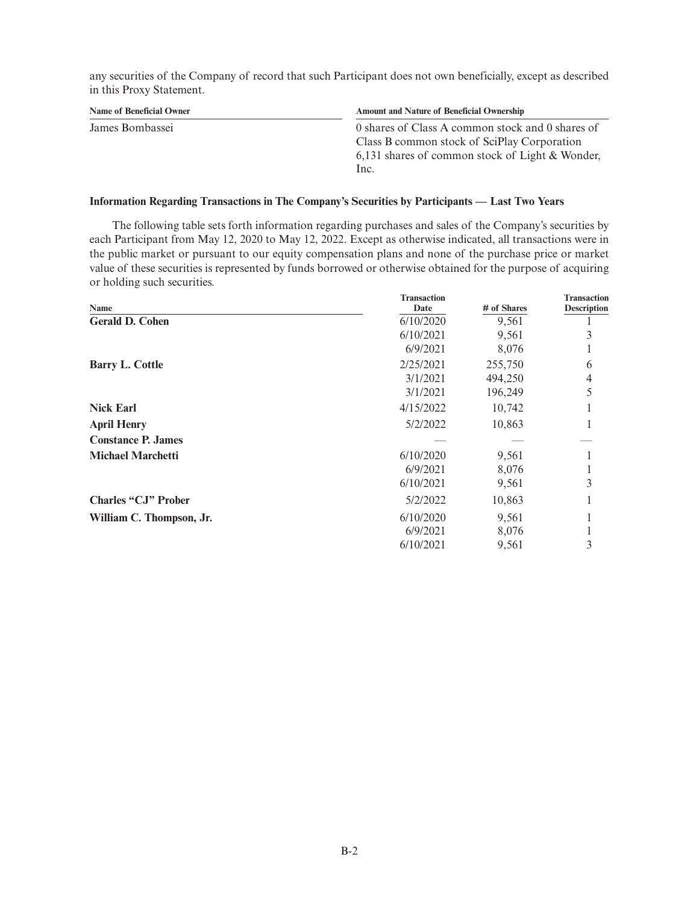any securities of the Company of record that such Participant does not own beneficially, except as described in this Proxy Statement.

| Name of Beneficial Owner | <b>Amount and Nature of Beneficial Ownership</b>  |
|--------------------------|---------------------------------------------------|
| James Bombassei          | 0 shares of Class A common stock and 0 shares of  |
|                          | Class B common stock of SciPlay Corporation       |
|                          | 6,131 shares of common stock of Light $&$ Wonder, |
|                          | Inc.                                              |

## **Information Regarding Transactions in The Company's Securities by Participants — Last Two Years**

The following table sets forth information regarding purchases and sales of the Company's securities by each Participant from May 12, 2020 to May 12, 2022. Except as otherwise indicated, all transactions were in the public market or pursuant to our equity compensation plans and none of the purchase price or market value of these securities is represented by funds borrowed or otherwise obtained for the purpose of acquiring or holding such securities.

|                            | <b>Transaction</b> | Transaction |                    |
|----------------------------|--------------------|-------------|--------------------|
| Name                       | Date               | # of Shares | <b>Description</b> |
| <b>Gerald D. Cohen</b>     | 6/10/2020          | 9,561       |                    |
|                            | 6/10/2021          | 9,561       |                    |
|                            | 6/9/2021           | 8,076       |                    |
| <b>Barry L. Cottle</b>     | 2/25/2021          | 255,750     | 6                  |
|                            | 3/1/2021           | 494,250     | 4                  |
|                            | 3/1/2021           | 196,249     | 5                  |
| <b>Nick Earl</b>           | 4/15/2022          | 10,742      |                    |
| <b>April Henry</b>         | 5/2/2022           | 10,863      |                    |
| <b>Constance P. James</b>  |                    |             |                    |
| <b>Michael Marchetti</b>   | 6/10/2020          | 9,561       |                    |
|                            | 6/9/2021           | 8,076       |                    |
|                            | 6/10/2021          | 9,561       | 3                  |
| <b>Charles "CJ" Prober</b> | 5/2/2022           | 10,863      |                    |
| William C. Thompson, Jr.   | 6/10/2020          | 9,561       |                    |
|                            | 6/9/2021           | 8,076       |                    |
|                            | 6/10/2021          | 9,561       | 3                  |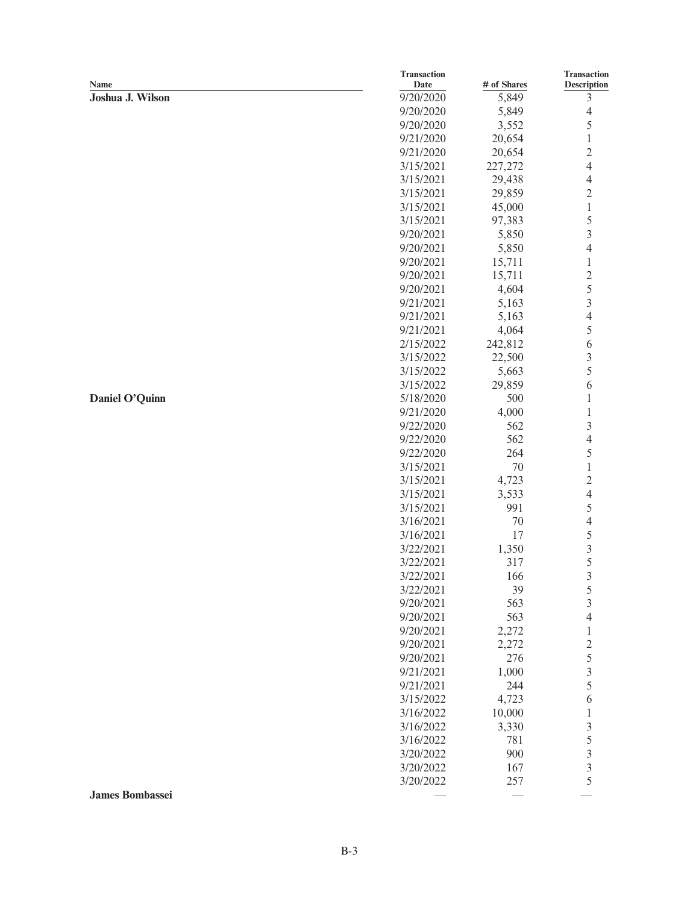|                        | <b>Transaction</b> |             | Transaction              |
|------------------------|--------------------|-------------|--------------------------|
| Name                   | Date               | # of Shares | Description              |
| Joshua J. Wilson       | 9/20/2020          | 5,849       | 3                        |
|                        | 9/20/2020          | 5,849       | $\overline{4}$           |
|                        | 9/20/2020          | 3,552       | 5                        |
|                        | 9/21/2020          | 20,654      | $\,1$                    |
|                        | 9/21/2020          | 20,654      | $\overline{c}$           |
|                        | 3/15/2021          | 227,272     | $\overline{4}$           |
|                        | 3/15/2021          | 29,438      | $\overline{4}$           |
|                        | 3/15/2021          | 29,859      | $\overline{c}$           |
|                        | 3/15/2021          | 45,000      | $\,1$                    |
|                        | 3/15/2021          | 97,383      | 5                        |
|                        | 9/20/2021          | 5,850       | $\overline{3}$           |
|                        | 9/20/2021          | 5,850       | $\overline{4}$           |
|                        | 9/20/2021          | 15,711      | $\,1$                    |
|                        | 9/20/2021          | 15,711      | $\overline{c}$           |
|                        | 9/20/2021          | 4,604       | 5                        |
|                        | 9/21/2021          |             | $\overline{3}$           |
|                        |                    | 5,163       | $\overline{4}$           |
|                        | 9/21/2021          | 5,163       |                          |
|                        | 9/21/2021          | 4,064       | 5                        |
|                        | 2/15/2022          | 242,812     | 6                        |
|                        | 3/15/2022          | 22,500      | $\overline{3}$           |
|                        | 3/15/2022          | 5,663       | 5                        |
|                        | 3/15/2022          | 29,859      | 6                        |
| Daniel O'Quinn         | 5/18/2020          | 500         | $\,1\,$                  |
|                        | 9/21/2020          | 4,000       | $\,1\,$                  |
|                        | 9/22/2020          | 562         | $\mathfrak{Z}$           |
|                        | 9/22/2020          | 562         | $\overline{\mathcal{L}}$ |
|                        | 9/22/2020          | 264         | 5                        |
|                        | 3/15/2021          | $70\,$      | $\,1$                    |
|                        | 3/15/2021          | 4,723       | $\overline{c}$           |
|                        | 3/15/2021          | 3,533       | $\overline{4}$           |
|                        | 3/15/2021          | 991         | 5                        |
|                        | 3/16/2021          | $70\,$      | $\overline{4}$           |
|                        | 3/16/2021          | 17          | 5                        |
|                        | 3/22/2021          | 1,350       | $\overline{3}$           |
|                        | 3/22/2021          | 317         | 5                        |
|                        | 3/22/2021          | 166         | 3                        |
|                        | 3/22/2021          |             |                          |
|                        |                    | 39          | 5                        |
|                        | 9/20/2021          | 563         | $\mathfrak{Z}$           |
|                        | 9/20/2021          | 563         | $\overline{4}$           |
|                        | 9/20/2021          | 2,272       | $\,1\,$                  |
|                        | 9/20/2021          | 2,272       | $rac{2}{5}$              |
|                        | 9/20/2021          | 276         |                          |
|                        | 9/21/2021          | 1,000       | $\overline{3}$           |
|                        | 9/21/2021          | 244         | 5                        |
|                        | 3/15/2022          | 4,723       | 6                        |
|                        | 3/16/2022          | 10,000      | $\,1\,$                  |
|                        | 3/16/2022          | 3,330       | $\overline{\mathbf{3}}$  |
|                        | 3/16/2022          | 781         | 5                        |
|                        | 3/20/2022          | 900         |                          |
|                        | 3/20/2022          | 167         | $\frac{3}{3}$            |
|                        | 3/20/2022          | 257         | 5                        |
| <b>James Bombassei</b> |                    |             |                          |
|                        |                    |             |                          |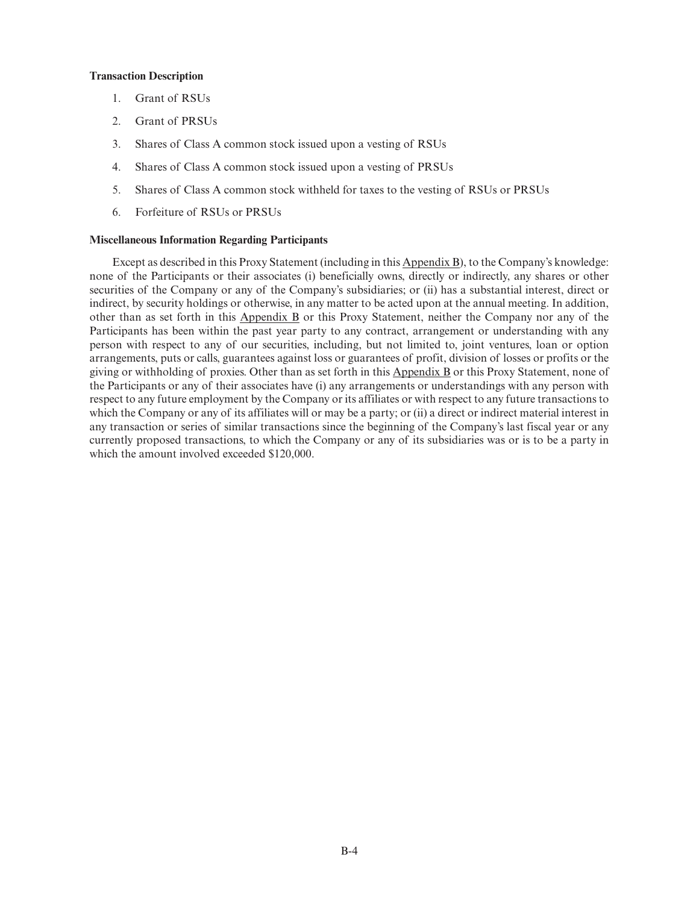## **Transaction Description**

- 1. Grant of RSUs
- 2. Grant of PRSUs
- 3. Shares of Class A common stock issued upon a vesting of RSUs
- 4. Shares of Class A common stock issued upon a vesting of PRSUs
- 5. Shares of Class A common stock withheld for taxes to the vesting of RSUs or PRSUs
- 6. Forfeiture of RSUs or PRSUs

## **Miscellaneous Information Regarding Participants**

Except as described in this Proxy Statement (including in this Appendix B), to the Company's knowledge: none of the Participants or their associates (i) beneficially owns, directly or indirectly, any shares or other securities of the Company or any of the Company's subsidiaries; or (ii) has a substantial interest, direct or indirect, by security holdings or otherwise, in any matter to be acted upon at the annual meeting. In addition, other than as set forth in this Appendix B or this Proxy Statement, neither the Company nor any of the Participants has been within the past year party to any contract, arrangement or understanding with any person with respect to any of our securities, including, but not limited to, joint ventures, loan or option arrangements, puts or calls, guarantees against loss or guarantees of profit, division of losses or profits or the giving or withholding of proxies. Other than as set forth in this Appendix B or this Proxy Statement, none of the Participants or any of their associates have (i) any arrangements or understandings with any person with respect to any future employment by the Company or its affiliates or with respect to any future transactions to which the Company or any of its affiliates will or may be a party; or (ii) a direct or indirect material interest in any transaction or series of similar transactions since the beginning of the Company's last fiscal year or any currently proposed transactions, to which the Company or any of its subsidiaries was or is to be a party in which the amount involved exceeded \$120,000.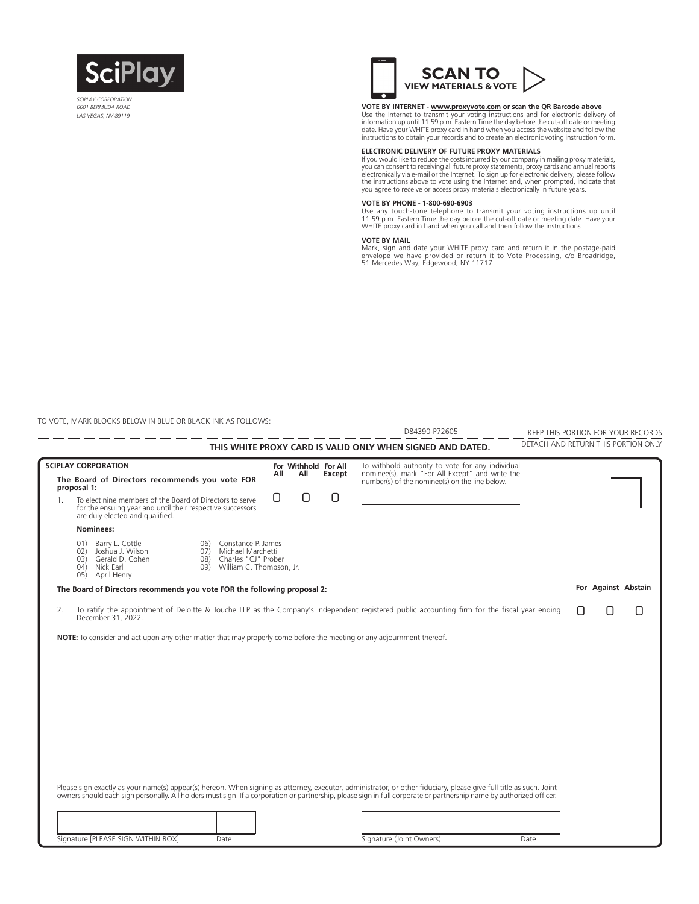

*SCIPLAY CORPORATION 6601 BERMUDA ROAD LAS VEGAS, NV 89119*



**VOTE BY INTERNET - <u>www.proxyvote.com</u> or scan the QR Barcode above**<br>Use the Internet to transmit your voting instructions and for electronic delivery of<br>information up until 11:59 p.m. Eastern Time the day before the cut date. Have your WHITE proxy card in hand when you access the website and follow the instructions to obtain your records and to create an electronic voting instruction form.

#### **ELECTRONIC DELIVERY OF FUTURE PROXY MATERIALS**

If you would like to reduce the costs incurred by our company in mailing proxy materials,<br>you can consent to receiving all future proxy statements, proxy cards and annual reports<br>electronically via e-mail or the Internet. you agree to receive or access proxy materials electronically in future years.

#### **VOTE BY PHONE - 1-800-690-6903**

Use any touch-tone telephone to transmit your voting instructions up until<br>11:59 p.m. Eastern Time the day before the cut-off date or meeting date. Have your<br>WHITE proxy card in hand when you call and then follow the instr

#### **VOTE BY MAIL**

Mark, sign and date your WHITE proxy card and return it in the postage-paid envelope we have provided or return it to Vote Processing, c/o Broadridge, 51 Mercedes Way, Edgewood, NY 11717.

TO VOTE, MARK BLOCKS BELOW IN BLUE OR BLACK INK AS FOLLOWS:

L,

|    |                                                       |                                                                                                                                                           |            |                                                                                                    |     |                      |        | D84390-P72605                                                                                                                                                                                                                                                                                                                              | KEEP THIS PORTION FOR YOUR RECORDS  |  |                     |
|----|-------------------------------------------------------|-----------------------------------------------------------------------------------------------------------------------------------------------------------|------------|----------------------------------------------------------------------------------------------------|-----|----------------------|--------|--------------------------------------------------------------------------------------------------------------------------------------------------------------------------------------------------------------------------------------------------------------------------------------------------------------------------------------------|-------------------------------------|--|---------------------|
|    |                                                       |                                                                                                                                                           |            |                                                                                                    |     |                      |        | THIS WHITE PROXY CARD IS VALID ONLY WHEN SIGNED AND DATED.                                                                                                                                                                                                                                                                                 | DETACH AND RETURN THIS PORTION ONLY |  |                     |
|    | <b>SCIPLAY CORPORATION</b>                            |                                                                                                                                                           |            |                                                                                                    |     | For Withhold For All |        | To withhold authority to vote for any individual                                                                                                                                                                                                                                                                                           |                                     |  |                     |
|    | proposal 1:                                           | The Board of Directors recommends you vote FOR                                                                                                            |            |                                                                                                    | All | All                  | Except | nominee(s), mark "For All Except" and write the<br>number(s) of the nominee(s) on the line below.                                                                                                                                                                                                                                          |                                     |  |                     |
| 1. |                                                       | To elect nine members of the Board of Directors to serve<br>for the ensuing year and until their respective successors<br>are duly elected and qualified. |            |                                                                                                    | 0   | Π                    | Π      |                                                                                                                                                                                                                                                                                                                                            |                                     |  |                     |
|    | Nominees:                                             |                                                                                                                                                           |            |                                                                                                    |     |                      |        |                                                                                                                                                                                                                                                                                                                                            |                                     |  |                     |
|    | 01)<br>02)<br>03)<br>04) Nick Earl<br>05) April Henry | Barry L. Cottle<br>Joshua J. Wilson<br>Gerald D. Cohen                                                                                                    | 06)<br>07) | Constance P. James<br>Michael Marchetti<br>08) Charles "CJ" Prober<br>09) William C. Thompson, Jr. |     |                      |        |                                                                                                                                                                                                                                                                                                                                            |                                     |  |                     |
|    |                                                       | The Board of Directors recommends you vote FOR the following proposal 2:                                                                                  |            |                                                                                                    |     |                      |        |                                                                                                                                                                                                                                                                                                                                            |                                     |  | For Against Abstain |
| 2. | December 31, 2022.                                    |                                                                                                                                                           |            |                                                                                                    |     |                      |        | To ratify the appointment of Deloitte & Touche LLP as the Company's independent registered public accounting firm for the fiscal year ending                                                                                                                                                                                               |                                     |  |                     |
|    |                                                       |                                                                                                                                                           |            |                                                                                                    |     |                      |        | Please sign exactly as your name(s) appear(s) hereon. When signing as attorney, executor, administrator, or other fiduciary, please give full title as such. Joint<br>owners should each sign personally. All holders must sign. If a corporation or partnership, please sign in full corporate or partnership name by authorized officer. |                                     |  |                     |
|    |                                                       | Signature [PLEASE SIGN WITHIN BOX]                                                                                                                        |            | Date                                                                                               |     |                      |        | Signature (Joint Owners)                                                                                                                                                                                                                                                                                                                   | Date                                |  |                     |
|    |                                                       |                                                                                                                                                           |            |                                                                                                    |     |                      |        |                                                                                                                                                                                                                                                                                                                                            |                                     |  |                     |